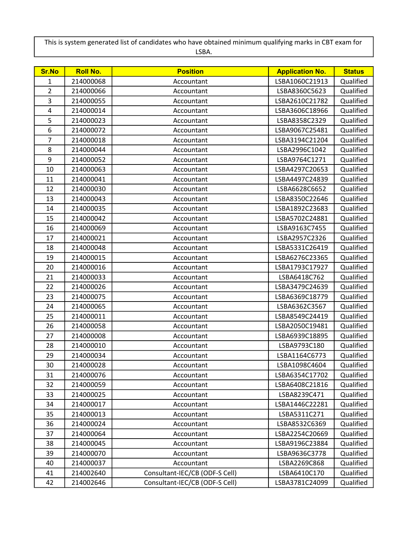This is system generated list of candidates who have obtained minimum qualifying marks in CBT exam for LSBA.

| <b>Sr.No</b>   | <b>Roll No.</b> | <b>Position</b>                | <b>Application No.</b> | <b>Status</b> |
|----------------|-----------------|--------------------------------|------------------------|---------------|
| $\mathbf{1}$   | 214000068       | Accountant                     | LSBA1060C21913         | Qualified     |
| $\overline{2}$ | 214000066       | Accountant                     | LSBA8360C5623          | Qualified     |
| 3              | 214000055       | Accountant                     | LSBA2610C21782         | Qualified     |
| 4              | 214000014       | Accountant                     | LSBA3606C18966         | Qualified     |
| 5              | 214000023       | Accountant                     | LSBA8358C2329          | Qualified     |
| 6              | 214000072       | Accountant                     | LSBA9067C25481         | Qualified     |
| 7              | 214000018       | Accountant                     | LSBA3194C21204         | Qualified     |
| 8              | 214000044       | Accountant                     | LSBA2996C1042          | Qualified     |
| 9              | 214000052       | Accountant                     | LSBA9764C1271          | Qualified     |
| 10             | 214000063       | Accountant                     | LSBA4297C20653         | Qualified     |
| 11             | 214000041       | Accountant                     | LSBA4497C24839         | Qualified     |
| 12             | 214000030       | Accountant                     | LSBA6628C6652          | Qualified     |
| 13             | 214000043       | Accountant                     | LSBA8350C22646         | Qualified     |
| 14             | 214000035       | Accountant                     | LSBA1892C23683         | Qualified     |
| 15             | 214000042       | Accountant                     | LSBA5702C24881         | Qualified     |
| 16             | 214000069       | Accountant                     | LSBA9163C7455          | Qualified     |
| 17             | 214000021       | Accountant                     | LSBA2957C2326          | Qualified     |
| 18             | 214000048       | Accountant                     | LSBA5331C26419         | Qualified     |
| 19             | 214000015       | Accountant                     | LSBA6276C23365         | Qualified     |
| 20             | 214000016       | Accountant                     | LSBA1793C17927         | Qualified     |
| 21             | 214000033       | Accountant                     | LSBA6418C762           | Qualified     |
| 22             | 214000026       | Accountant                     | LSBA3479C24639         | Qualified     |
| 23             | 214000075       | Accountant                     | LSBA6369C18779         | Qualified     |
| 24             | 214000065       | Accountant                     | LSBA6362C3567          | Qualified     |
| 25             | 214000011       | Accountant                     | LSBA8549C24419         | Qualified     |
| 26             | 214000058       | Accountant                     | LSBA2050C19481         | Qualified     |
| 27             | 214000008       | Accountant                     | LSBA6939C18895         | Qualified     |
| 28             | 214000010       | Accountant                     | LSBA9793C180           | Qualified     |
| 29             | 214000034       | Accountant                     | LSBA1164C6773          | Qualified     |
| 30             | 214000028       | Accountant                     | LSBA1098C4604          | Qualified     |
| 31             | 214000076       | Accountant                     | LSBA6354C17702         | Qualified     |
| 32             | 214000059       | Accountant                     | LSBA6408C21816         | Qualified     |
| 33             | 214000025       | Accountant                     | LSBA8239C471           | Qualified     |
| 34             | 214000017       | Accountant                     | LSBA1446C22281         | Qualified     |
| 35             | 214000013       | Accountant                     | LSBA5311C271           | Qualified     |
| 36             | 214000024       | Accountant                     | LSBA8532C6369          | Qualified     |
| 37             | 214000064       | Accountant                     | LSBA2254C20669         | Qualified     |
| 38             | 214000045       | Accountant                     | LSBA9196C23884         | Qualified     |
| 39             | 214000070       | Accountant                     | LSBA9636C3778          | Qualified     |
| 40             | 214000037       | Accountant                     | LSBA2269C868           | Qualified     |
| 41             | 214002640       | Consultant-IEC/CB (ODF-S Cell) | LSBA6410C170           | Qualified     |
| 42             | 214002646       | Consultant-IEC/CB (ODF-S Cell) | LSBA3781C24099         | Qualified     |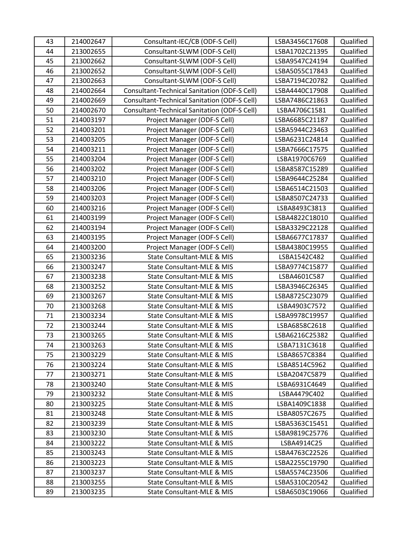| 43 | 214002647 | Consultant-IEC/CB (ODF-S Cell)                      | LSBA3456C17608 | Qualified |
|----|-----------|-----------------------------------------------------|----------------|-----------|
| 44 | 213002655 | Consultant-SLWM (ODF-S Cell)                        | LSBA1702C21395 | Qualified |
| 45 | 213002662 | Consultant-SLWM (ODF-S Cell)                        | LSBA9547C24194 | Qualified |
| 46 | 213002652 | Consultant-SLWM (ODF-S Cell)                        | LSBA5055C17843 | Qualified |
| 47 | 213002663 | Consultant-SLWM (ODF-S Cell)                        | LSBA7194C20782 | Qualified |
| 48 | 214002664 | <b>Consultant-Technical Sanitation (ODF-S Cell)</b> | LSBA4440C17908 | Qualified |
| 49 | 214002669 | <b>Consultant-Technical Sanitation (ODF-S Cell)</b> | LSBA7486C21863 | Qualified |
| 50 | 214002670 | Consultant-Technical Sanitation (ODF-S Cell)        | LSBA4706C1581  | Qualified |
| 51 | 214003197 | Project Manager (ODF-S Cell)                        | LSBA6685C21187 | Qualified |
| 52 | 214003201 | Project Manager (ODF-S Cell)                        | LSBA5944C23463 | Qualified |
| 53 | 214003205 | Project Manager (ODF-S Cell)                        | LSBA6231C24814 | Qualified |
| 54 | 214003211 | Project Manager (ODF-S Cell)                        | LSBA7666C17575 | Qualified |
| 55 | 214003204 | Project Manager (ODF-S Cell)                        | LSBA1970C6769  | Qualified |
| 56 | 214003202 | Project Manager (ODF-S Cell)                        | LSBA8587C15289 | Qualified |
| 57 | 214003210 | Project Manager (ODF-S Cell)                        | LSBA9644C25284 | Qualified |
| 58 | 214003206 | Project Manager (ODF-S Cell)                        | LSBA6514C21503 | Qualified |
| 59 | 214003203 | Project Manager (ODF-S Cell)                        | LSBA8507C24733 | Qualified |
| 60 | 214003216 | Project Manager (ODF-S Cell)                        | LSBA8493C3813  | Qualified |
| 61 | 214003199 | Project Manager (ODF-S Cell)                        | LSBA4822C18010 | Qualified |
| 62 | 214003194 | Project Manager (ODF-S Cell)                        | LSBA3329C22128 | Qualified |
| 63 | 214003195 | Project Manager (ODF-S Cell)                        | LSBA6677C17837 | Qualified |
| 64 | 214003200 | Project Manager (ODF-S Cell)                        | LSBA4380C19955 | Qualified |
| 65 | 213003236 | State Consultant-MLE & MIS                          | LSBA1542C482   | Qualified |
| 66 | 213003247 | State Consultant-MLE & MIS                          | LSBA9774C15877 | Qualified |
| 67 | 213003238 | State Consultant-MLE & MIS                          | LSBA4601C587   | Qualified |
| 68 | 213003252 | State Consultant-MLE & MIS                          | LSBA3946C26345 | Qualified |
| 69 | 213003267 | State Consultant-MLE & MIS                          | LSBA8725C23079 | Qualified |
| 70 | 213003268 | State Consultant-MLE & MIS                          | LSBA4903C7572  | Qualified |
| 71 | 213003234 | State Consultant-MLE & MIS                          | LSBA9978C19957 | Qualified |
| 72 | 213003244 | State Consultant-MLE & MIS                          | LSBA6858C2618  | Qualified |
| 73 | 213003265 | State Consultant-MLE & MIS                          | LSBA6216C25382 | Qualified |
| 74 | 213003263 | State Consultant-MLE & MIS                          | LSBA7131C3618  | Qualified |
| 75 | 213003229 | State Consultant-MLE & MIS                          | LSBA8657C8384  | Qualified |
| 76 | 213003224 | State Consultant-MLE & MIS                          | LSBA8514C5962  | Qualified |
| 77 | 213003271 | State Consultant-MLE & MIS                          | LSBA2047C5879  | Qualified |
| 78 | 213003240 | State Consultant-MLE & MIS                          | LSBA6931C4649  | Qualified |
| 79 | 213003232 | State Consultant-MLE & MIS                          | LSBA4479C402   | Qualified |
| 80 | 213003225 | State Consultant-MLE & MIS                          | LSBA1409C1838  | Qualified |
| 81 | 213003248 | State Consultant-MLE & MIS                          | LSBA8057C2675  | Qualified |
| 82 | 213003239 | State Consultant-MLE & MIS                          | LSBA5363C15451 | Qualified |
| 83 | 213003230 | State Consultant-MLE & MIS                          | LSBA9819C25776 | Qualified |
| 84 | 213003222 | State Consultant-MLE & MIS                          | LSBA4914C25    | Qualified |
| 85 | 213003243 | State Consultant-MLE & MIS                          | LSBA4763C22526 | Qualified |
| 86 | 213003223 | State Consultant-MLE & MIS                          | LSBA2255C19790 | Qualified |
| 87 | 213003237 | State Consultant-MLE & MIS                          | LSBA5574C23506 | Qualified |
| 88 | 213003255 | State Consultant-MLE & MIS                          | LSBA5310C20542 | Qualified |
| 89 | 213003235 | State Consultant-MLE & MIS                          | LSBA6503C19066 | Qualified |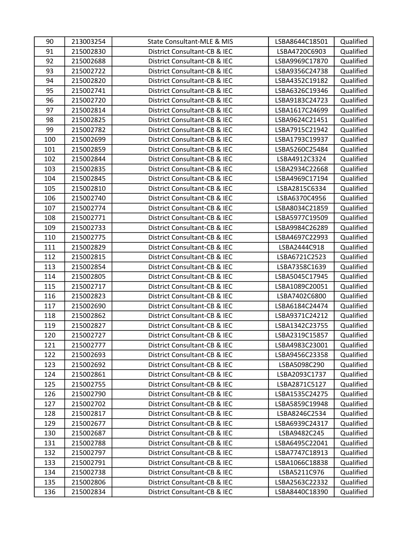| 90  | 213003254 | State Consultant-MLE & MIS   | LSBA8644C18501 | Qualified |
|-----|-----------|------------------------------|----------------|-----------|
| 91  | 215002830 | District Consultant-CB & IEC | LSBA4720C6903  | Qualified |
| 92  | 215002688 | District Consultant-CB & IEC | LSBA9969C17870 | Qualified |
| 93  | 215002722 | District Consultant-CB & IEC | LSBA9356C24738 | Qualified |
| 94  | 215002820 | District Consultant-CB & IEC | LSBA4352C19182 | Qualified |
| 95  | 215002741 | District Consultant-CB & IEC | LSBA6326C19346 | Qualified |
| 96  | 215002720 | District Consultant-CB & IEC | LSBA9183C24723 | Qualified |
| 97  | 215002814 | District Consultant-CB & IEC | LSBA1617C24699 | Qualified |
| 98  | 215002825 | District Consultant-CB & IEC | LSBA9624C21451 | Qualified |
| 99  | 215002782 | District Consultant-CB & IEC | LSBA7915C21942 | Qualified |
| 100 | 215002699 | District Consultant-CB & IEC | LSBA1793C19937 | Qualified |
| 101 | 215002859 | District Consultant-CB & IEC | LSBA5260C25484 | Qualified |
| 102 | 215002844 | District Consultant-CB & IEC | LSBA4912C3324  | Qualified |
| 103 | 215002835 | District Consultant-CB & IEC | LSBA2934C22668 | Qualified |
| 104 | 215002845 | District Consultant-CB & IEC | LSBA4969C17194 | Qualified |
| 105 | 215002810 | District Consultant-CB & IEC | LSBA2815C6334  | Qualified |
| 106 | 215002740 | District Consultant-CB & IEC | LSBA6370C4956  | Qualified |
| 107 | 215002774 | District Consultant-CB & IEC | LSBA8034C21859 | Qualified |
| 108 | 215002771 | District Consultant-CB & IEC | LSBA5977C19509 | Qualified |
| 109 | 215002733 | District Consultant-CB & IEC | LSBA9984C26289 | Qualified |
| 110 | 215002775 | District Consultant-CB & IEC | LSBA4697C22993 | Qualified |
| 111 | 215002829 | District Consultant-CB & IEC | LSBA2444C918   | Qualified |
| 112 | 215002815 | District Consultant-CB & IEC | LSBA6721C2523  | Qualified |
| 113 | 215002854 | District Consultant-CB & IEC | LSBA7358C1639  | Qualified |
| 114 | 215002805 | District Consultant-CB & IEC | LSBA5045C17945 | Qualified |
| 115 | 215002717 | District Consultant-CB & IEC | LSBA1089C20051 | Qualified |
| 116 | 215002823 | District Consultant-CB & IEC | LSBA7402C6800  | Qualified |
| 117 | 215002690 | District Consultant-CB & IEC | LSBA6184C24474 | Qualified |
| 118 | 215002862 | District Consultant-CB & IEC | LSBA9371C24212 | Qualified |
| 119 | 215002827 | District Consultant-CB & IEC | LSBA1342C23755 | Qualified |
| 120 | 215002727 | District Consultant-CB & IEC | LSBA2319C15857 | Qualified |
| 121 | 215002777 | District Consultant-CB & IEC | LSBA4983C23001 | Qualified |
| 122 | 215002693 | District Consultant-CB & IEC | LSBA9456C23358 | Qualified |
| 123 | 215002692 | District Consultant-CB & IEC | LSBA5098C290   | Qualified |
| 124 | 215002861 | District Consultant-CB & IEC | LSBA2093C1737  | Qualified |
| 125 | 215002755 | District Consultant-CB & IEC | LSBA2871C5127  | Qualified |
| 126 | 215002790 | District Consultant-CB & IEC | LSBA1535C24275 | Qualified |
| 127 | 215002702 | District Consultant-CB & IEC | LSBA5859C19948 | Qualified |
| 128 | 215002817 | District Consultant-CB & IEC | LSBA8246C2534  | Qualified |
| 129 | 215002677 | District Consultant-CB & IEC | LSBA6939C24317 | Qualified |
| 130 | 215002687 | District Consultant-CB & IEC | LSBA9482C245   | Qualified |
| 131 | 215002788 | District Consultant-CB & IEC | LSBA6495C22041 | Qualified |
| 132 | 215002797 | District Consultant-CB & IEC | LSBA7747C18913 | Qualified |
| 133 | 215002791 | District Consultant-CB & IEC | LSBA1066C18838 | Qualified |
| 134 | 215002738 | District Consultant-CB & IEC | LSBA5211C976   | Qualified |
| 135 | 215002806 | District Consultant-CB & IEC | LSBA2563C22332 | Qualified |
| 136 | 215002834 | District Consultant-CB & IEC | LSBA8440C18390 | Qualified |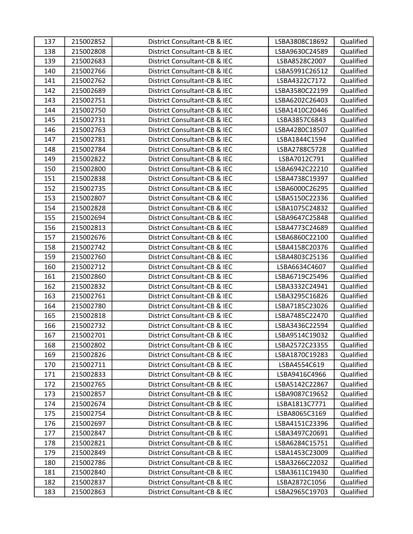| 137 | 215002852 | District Consultant-CB & IEC | LSBA3808C18692 | Qualified |
|-----|-----------|------------------------------|----------------|-----------|
| 138 | 215002808 | District Consultant-CB & IEC | LSBA9630C24589 | Qualified |
| 139 | 215002683 | District Consultant-CB & IEC | LSBA8528C2007  | Qualified |
| 140 | 215002766 | District Consultant-CB & IEC | LSBA5991C26512 | Qualified |
| 141 | 215002762 | District Consultant-CB & IEC | LSBA4322C7172  | Qualified |
| 142 | 215002689 | District Consultant-CB & IEC | LSBA3580C22199 | Qualified |
| 143 | 215002751 | District Consultant-CB & IEC | LSBA6202C26403 | Qualified |
| 144 | 215002750 | District Consultant-CB & IEC | LSBA1410C20446 | Qualified |
| 145 | 215002731 | District Consultant-CB & IEC | LSBA3857C6843  | Qualified |
| 146 | 215002763 | District Consultant-CB & IEC | LSBA4280C18507 | Qualified |
| 147 | 215002781 | District Consultant-CB & IEC | LSBA1844C1594  | Qualified |
| 148 | 215002784 | District Consultant-CB & IEC | LSBA2788C5728  | Qualified |
| 149 | 215002822 | District Consultant-CB & IEC | LSBA7012C791   | Qualified |
| 150 | 215002800 | District Consultant-CB & IEC | LSBA6942C22210 | Qualified |
| 151 | 215002838 | District Consultant-CB & IEC | LSBA4738C19397 | Qualified |
| 152 | 215002735 | District Consultant-CB & IEC | LSBA6000C26295 | Qualified |
| 153 | 215002807 | District Consultant-CB & IEC | LSBA5150C22336 | Qualified |
| 154 | 215002828 | District Consultant-CB & IEC | LSBA1075C24832 | Qualified |
| 155 | 215002694 | District Consultant-CB & IEC | LSBA9647C25848 | Qualified |
| 156 | 215002813 | District Consultant-CB & IEC | LSBA4773C24689 | Qualified |
| 157 | 215002676 | District Consultant-CB & IEC | LSBA6860C22100 | Qualified |
| 158 | 215002742 | District Consultant-CB & IEC | LSBA4158C20376 | Qualified |
| 159 | 215002760 | District Consultant-CB & IEC | LSBA4803C25136 | Qualified |
| 160 | 215002712 | District Consultant-CB & IEC | LSBA6634C4607  | Qualified |
| 161 | 215002860 | District Consultant-CB & IEC | LSBA6719C25496 | Qualified |
| 162 | 215002832 | District Consultant-CB & IEC | LSBA3332C24941 | Qualified |
| 163 | 215002761 | District Consultant-CB & IEC | LSBA3295C16826 | Qualified |
| 164 | 215002780 | District Consultant-CB & IEC | LSBA7185C23026 | Qualified |
| 165 | 215002818 | District Consultant-CB & IEC | LSBA7485C22470 | Qualified |
| 166 | 215002732 | District Consultant-CB & IEC | LSBA3436C22594 | Qualified |
| 167 | 215002701 | District Consultant-CB & IEC | LSBA9514C19032 | Qualified |
| 168 | 215002802 | District Consultant-CB & IEC | LSBA2572C23355 | Qualified |
| 169 | 215002826 | District Consultant-CB & IEC | LSBA1870C19283 | Qualified |
| 170 | 215002711 | District Consultant-CB & IEC | LSBA4554C619   | Qualified |
| 171 | 215002833 | District Consultant-CB & IEC | LSBA9416C4966  | Qualified |
| 172 | 215002765 | District Consultant-CB & IEC | LSBA5142C22867 | Qualified |
| 173 | 215002857 | District Consultant-CB & IEC | LSBA9087C19652 | Qualified |
| 174 | 215002674 | District Consultant-CB & IEC | LSBA1813C7771  | Qualified |
| 175 | 215002754 | District Consultant-CB & IEC | LSBA8065C3169  | Qualified |
| 176 | 215002697 | District Consultant-CB & IEC | LSBA4151C23396 | Qualified |
| 177 | 215002847 | District Consultant-CB & IEC | LSBA3497C20691 | Qualified |
| 178 | 215002821 | District Consultant-CB & IEC | LSBA6284C15751 | Qualified |
| 179 | 215002849 | District Consultant-CB & IEC | LSBA1453C23009 | Qualified |
| 180 | 215002786 | District Consultant-CB & IEC | LSBA3266C22032 | Qualified |
| 181 | 215002840 | District Consultant-CB & IEC | LSBA3611C19430 | Qualified |
| 182 | 215002837 | District Consultant-CB & IEC | LSBA2872C1056  | Qualified |
| 183 | 215002863 | District Consultant-CB & IEC | LSBA2965C19703 | Qualified |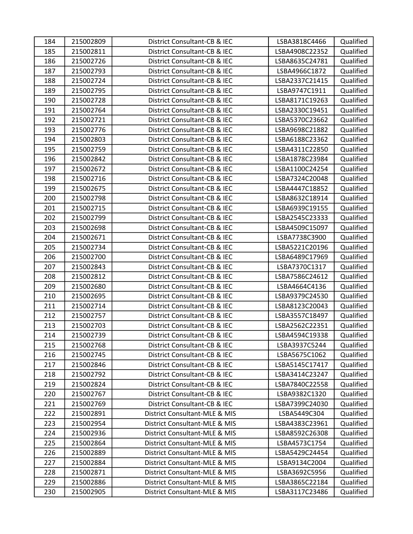| 184 | 215002809 | District Consultant-CB & IEC  | LSBA3818C4466  | Qualified |
|-----|-----------|-------------------------------|----------------|-----------|
| 185 | 215002811 | District Consultant-CB & IEC  | LSBA4908C22352 | Qualified |
| 186 | 215002726 | District Consultant-CB & IEC  | LSBA8635C24781 | Qualified |
| 187 | 215002793 | District Consultant-CB & IEC  | LSBA4966C1872  | Qualified |
| 188 | 215002724 | District Consultant-CB & IEC  | LSBA2337C21415 | Qualified |
| 189 | 215002795 | District Consultant-CB & IEC  | LSBA9747C1911  | Qualified |
| 190 | 215002728 | District Consultant-CB & IEC  | LSBA8171C19263 | Qualified |
| 191 | 215002764 | District Consultant-CB & IEC  | LSBA2330C19451 | Qualified |
| 192 | 215002721 | District Consultant-CB & IEC  | LSBA5370C23662 | Qualified |
| 193 | 215002776 | District Consultant-CB & IEC  | LSBA9698C21882 | Qualified |
| 194 | 215002803 | District Consultant-CB & IEC  | LSBA6188C23362 | Qualified |
| 195 | 215002759 | District Consultant-CB & IEC  | LSBA4311C22850 | Qualified |
| 196 | 215002842 | District Consultant-CB & IEC  | LSBA1878C23984 | Qualified |
| 197 | 215002672 | District Consultant-CB & IEC  | LSBA1100C24254 | Qualified |
| 198 | 215002716 | District Consultant-CB & IEC  | LSBA7324C20048 | Qualified |
| 199 | 215002675 | District Consultant-CB & IEC  | LSBA4447C18852 | Qualified |
| 200 | 215002798 | District Consultant-CB & IEC  | LSBA8632C18914 | Qualified |
| 201 | 215002715 | District Consultant-CB & IEC  | LSBA6939C19155 | Qualified |
| 202 | 215002799 | District Consultant-CB & IEC  | LSBA2545C23333 | Qualified |
| 203 | 215002698 | District Consultant-CB & IEC  | LSBA4509C15097 | Qualified |
| 204 | 215002671 | District Consultant-CB & IEC  | LSBA7738C3900  | Qualified |
| 205 | 215002734 | District Consultant-CB & IEC  | LSBA5221C20196 | Qualified |
| 206 | 215002700 | District Consultant-CB & IEC  | LSBA6489C17969 | Qualified |
| 207 | 215002843 | District Consultant-CB & IEC  | LSBA7370C1317  | Qualified |
| 208 | 215002812 | District Consultant-CB & IEC  | LSBA7586C24612 | Qualified |
| 209 | 215002680 | District Consultant-CB & IEC  | LSBA4664C4136  | Qualified |
| 210 | 215002695 | District Consultant-CB & IEC  | LSBA9379C24530 | Qualified |
| 211 | 215002714 | District Consultant-CB & IEC  | LSBA8123C20043 | Qualified |
| 212 | 215002757 | District Consultant-CB & IEC  | LSBA3557C18497 | Qualified |
| 213 | 215002703 | District Consultant-CB & IEC  | LSBA2562C22351 | Qualified |
| 214 | 215002739 | District Consultant-CB & IEC  | LSBA4594C19338 | Qualified |
| 215 | 215002768 | District Consultant-CB & IEC  | LSBA3937C5244  | Qualified |
| 216 | 215002745 | District Consultant-CB & IEC  | LSBA5675C1062  | Qualified |
| 217 | 215002846 | District Consultant-CB & IEC  | LSBA5145C17417 | Qualified |
| 218 | 215002792 | District Consultant-CB & IEC  | LSBA3414C23247 | Qualified |
| 219 | 215002824 | District Consultant-CB & IEC  | LSBA7840C22558 | Qualified |
| 220 | 215002767 | District Consultant-CB & IEC  | LSBA9382C1320  | Qualified |
| 221 | 215002769 | District Consultant-CB & IEC  | LSBA7399C24030 | Qualified |
| 222 | 215002891 | District Consultant-MLE & MIS | LSBA5449C304   | Qualified |
| 223 | 215002954 | District Consultant-MLE & MIS | LSBA4383C23961 | Qualified |
| 224 | 215002936 | District Consultant-MLE & MIS | LSBA8592C26308 | Qualified |
| 225 | 215002864 | District Consultant-MLE & MIS | LSBA4573C1754  | Qualified |
| 226 | 215002889 | District Consultant-MLE & MIS | LSBA5429C24454 | Qualified |
| 227 | 215002884 | District Consultant-MLE & MIS | LSBA9134C2004  | Qualified |
| 228 | 215002871 | District Consultant-MLE & MIS | LSBA3692C5956  | Qualified |
| 229 | 215002886 | District Consultant-MLE & MIS | LSBA3865C22184 | Qualified |
| 230 | 215002905 | District Consultant-MLE & MIS | LSBA3117C23486 | Qualified |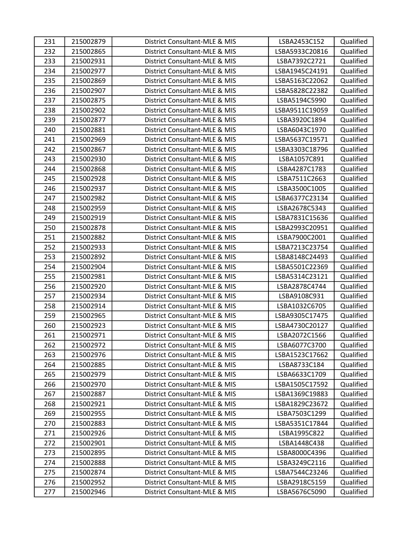| 231 | 215002879 | District Consultant-MLE & MIS | LSBA2453C152   | Qualified |
|-----|-----------|-------------------------------|----------------|-----------|
| 232 | 215002865 | District Consultant-MLE & MIS | LSBA5933C20816 | Qualified |
| 233 | 215002931 | District Consultant-MLE & MIS | LSBA7392C2721  | Qualified |
| 234 | 215002977 | District Consultant-MLE & MIS | LSBA1945C24191 | Qualified |
| 235 | 215002869 | District Consultant-MLE & MIS | LSBA5163C22062 | Qualified |
| 236 | 215002907 | District Consultant-MLE & MIS | LSBA5828C22382 | Qualified |
| 237 | 215002875 | District Consultant-MLE & MIS | LSBA5194C5990  | Qualified |
| 238 | 215002902 | District Consultant-MLE & MIS | LSBA9511C19059 | Qualified |
| 239 | 215002877 | District Consultant-MLE & MIS | LSBA3920C1894  | Qualified |
| 240 | 215002881 | District Consultant-MLE & MIS | LSBA6043C1970  | Qualified |
| 241 | 215002969 | District Consultant-MLE & MIS | LSBA5637C19571 | Qualified |
| 242 | 215002867 | District Consultant-MLE & MIS | LSBA3303C18796 | Qualified |
| 243 | 215002930 | District Consultant-MLE & MIS | LSBA1057C891   | Qualified |
| 244 | 215002868 | District Consultant-MLE & MIS | LSBA4287C1783  | Qualified |
| 245 | 215002928 | District Consultant-MLE & MIS | LSBA7511C2663  | Qualified |
| 246 | 215002937 | District Consultant-MLE & MIS | LSBA3500C1005  | Qualified |
| 247 | 215002982 | District Consultant-MLE & MIS | LSBA6377C23134 | Qualified |
| 248 | 215002959 | District Consultant-MLE & MIS | LSBA2678C5343  | Qualified |
| 249 | 215002919 | District Consultant-MLE & MIS | LSBA7831C15636 | Qualified |
| 250 | 215002878 | District Consultant-MLE & MIS | LSBA2993C20951 | Qualified |
| 251 | 215002882 | District Consultant-MLE & MIS | LSBA7900C2001  | Qualified |
| 252 | 215002933 | District Consultant-MLE & MIS | LSBA7213C23754 | Qualified |
| 253 | 215002892 | District Consultant-MLE & MIS | LSBA8148C24493 | Qualified |
| 254 | 215002904 | District Consultant-MLE & MIS | LSBA5501C22369 | Qualified |
| 255 | 215002981 | District Consultant-MLE & MIS | LSBA5314C23121 | Qualified |
| 256 | 215002920 | District Consultant-MLE & MIS | LSBA2878C4744  | Qualified |
| 257 | 215002934 | District Consultant-MLE & MIS | LSBA9108C931   | Qualified |
| 258 | 215002914 | District Consultant-MLE & MIS | LSBA1032C6705  | Qualified |
| 259 | 215002965 | District Consultant-MLE & MIS | LSBA9305C17475 | Qualified |
| 260 | 215002923 | District Consultant-MLE & MIS | LSBA4730C20127 | Qualified |
| 261 | 215002971 | District Consultant-MLE & MIS | LSBA2072C1566  | Qualified |
| 262 | 215002972 | District Consultant-MLE & MIS | LSBA6077C3700  | Qualified |
| 263 | 215002976 | District Consultant-MLE & MIS | LSBA1523C17662 | Qualified |
| 264 | 215002885 | District Consultant-MLE & MIS | LSBA8733C184   | Qualified |
| 265 | 215002979 | District Consultant-MLE & MIS | LSBA6633C1709  | Qualified |
| 266 | 215002970 | District Consultant-MLE & MIS | LSBA1505C17592 | Qualified |
| 267 | 215002887 | District Consultant-MLE & MIS | LSBA1369C19883 | Qualified |
| 268 | 215002921 | District Consultant-MLE & MIS | LSBA1829C23672 | Qualified |
| 269 | 215002955 | District Consultant-MLE & MIS | LSBA7503C1299  | Qualified |
| 270 | 215002883 | District Consultant-MLE & MIS | LSBA5351C17844 | Qualified |
| 271 | 215002926 | District Consultant-MLE & MIS | LSBA1995C822   | Qualified |
| 272 | 215002901 | District Consultant-MLE & MIS | LSBA1448C438   | Qualified |
| 273 | 215002895 | District Consultant-MLE & MIS | LSBA8000C4396  | Qualified |
| 274 | 215002888 | District Consultant-MLE & MIS | LSBA3249C2116  | Qualified |
| 275 | 215002874 | District Consultant-MLE & MIS | LSBA7544C23246 | Qualified |
| 276 | 215002952 | District Consultant-MLE & MIS | LSBA2918C5159  | Qualified |
| 277 | 215002946 | District Consultant-MLE & MIS | LSBA5676C5090  | Qualified |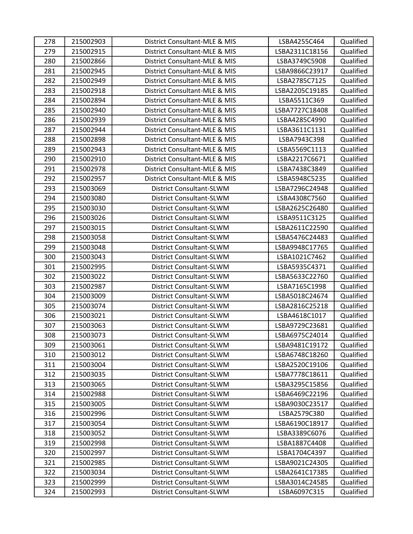| 278 | 215002903 | District Consultant-MLE & MIS   | LSBA4255C464   | Qualified |
|-----|-----------|---------------------------------|----------------|-----------|
| 279 | 215002915 | District Consultant-MLE & MIS   | LSBA2311C18156 | Qualified |
| 280 | 215002866 | District Consultant-MLE & MIS   | LSBA3749C5908  | Qualified |
| 281 | 215002945 | District Consultant-MLE & MIS   | LSBA9866C23917 | Qualified |
| 282 | 215002949 | District Consultant-MLE & MIS   | LSBA2785C7125  | Qualified |
| 283 | 215002918 | District Consultant-MLE & MIS   | LSBA2205C19185 | Qualified |
| 284 | 215002894 | District Consultant-MLE & MIS   | LSBA5511C369   | Qualified |
| 285 | 215002940 | District Consultant-MLE & MIS   | LSBA7727C18408 | Qualified |
| 286 | 215002939 | District Consultant-MLE & MIS   | LSBA4285C4990  | Qualified |
| 287 | 215002944 | District Consultant-MLE & MIS   | LSBA3611C1131  | Qualified |
| 288 | 215002898 | District Consultant-MLE & MIS   | LSBA7943C398   | Qualified |
| 289 | 215002943 | District Consultant-MLE & MIS   | LSBA5569C1113  | Qualified |
| 290 | 215002910 | District Consultant-MLE & MIS   | LSBA2217C6671  | Qualified |
| 291 | 215002978 | District Consultant-MLE & MIS   | LSBA7438C3849  | Qualified |
| 292 | 215002957 | District Consultant-MLE & MIS   | LSBA5948C5235  | Qualified |
| 293 | 215003069 | District Consultant-SLWM        | LSBA7296C24948 | Qualified |
| 294 | 215003080 | District Consultant-SLWM        | LSBA4308C7560  | Qualified |
| 295 | 215003030 | District Consultant-SLWM        | LSBA2625C26480 | Qualified |
| 296 | 215003026 | District Consultant-SLWM        | LSBA9511C3125  | Qualified |
| 297 | 215003015 | District Consultant-SLWM        | LSBA2611C22590 | Qualified |
| 298 | 215003058 | District Consultant-SLWM        | LSBA5476C24483 | Qualified |
| 299 | 215003048 | District Consultant-SLWM        | LSBA9948C17765 | Qualified |
| 300 | 215003043 | District Consultant-SLWM        | LSBA1021C7462  | Qualified |
| 301 | 215002995 | District Consultant-SLWM        | LSBA5935C4371  | Qualified |
| 302 | 215003022 | District Consultant-SLWM        | LSBA5633C22760 | Qualified |
| 303 | 215002987 | District Consultant-SLWM        | LSBA7165C1998  | Qualified |
| 304 | 215003009 | District Consultant-SLWM        | LSBA5018C24674 | Qualified |
| 305 | 215003074 | District Consultant-SLWM        | LSBA2816C25218 | Qualified |
| 306 | 215003021 | District Consultant-SLWM        | LSBA4618C1017  | Qualified |
| 307 | 215003063 | District Consultant-SLWM        | LSBA9729C23681 | Qualified |
| 308 | 215003073 | District Consultant-SLWM        | LSBA6975C24014 | Qualified |
| 309 | 215003061 | District Consultant-SLWM        | LSBA9481C19172 | Qualified |
| 310 | 215003012 | <b>District Consultant-SLWM</b> | LSBA6748C18260 | Qualified |
| 311 | 215003004 | District Consultant-SLWM        | LSBA2520C19106 | Qualified |
| 312 | 215003035 | District Consultant-SLWM        | LSBA7778C18611 | Qualified |
| 313 | 215003065 | District Consultant-SLWM        | LSBA3295C15856 | Qualified |
| 314 | 215002988 | District Consultant-SLWM        | LSBA6469C22196 | Qualified |
| 315 | 215003005 | District Consultant-SLWM        | LSBA9030C23517 | Qualified |
| 316 | 215002996 | District Consultant-SLWM        | LSBA2579C380   | Qualified |
| 317 | 215003054 | District Consultant-SLWM        | LSBA6190C18917 | Qualified |
| 318 | 215003052 | District Consultant-SLWM        | LSBA3389C6076  | Qualified |
| 319 | 215002998 | District Consultant-SLWM        | LSBA1887C4408  | Qualified |
| 320 | 215002997 | <b>District Consultant-SLWM</b> | LSBA1704C4397  | Qualified |
| 321 | 215002985 | District Consultant-SLWM        | LSBA9021C24305 | Qualified |
| 322 | 215003034 | District Consultant-SLWM        | LSBA2641C17385 | Qualified |
| 323 | 215002999 | District Consultant-SLWM        | LSBA3014C24585 | Qualified |
| 324 | 215002993 | District Consultant-SLWM        | LSBA6097C315   | Qualified |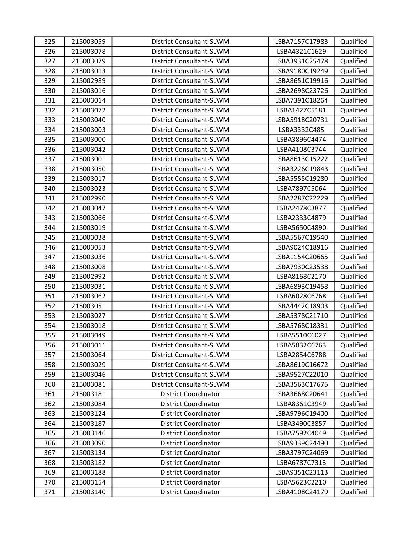| 325 | 215003059 | District Consultant-SLWM        | LSBA7157C17983 | Qualified |
|-----|-----------|---------------------------------|----------------|-----------|
| 326 | 215003078 | District Consultant-SLWM        | LSBA4321C1629  | Qualified |
| 327 | 215003079 | District Consultant-SLWM        | LSBA3931C25478 | Qualified |
| 328 | 215003013 | District Consultant-SLWM        | LSBA9180C19249 | Qualified |
| 329 | 215002989 | District Consultant-SLWM        | LSBA8651C19916 | Qualified |
| 330 | 215003016 | District Consultant-SLWM        | LSBA2698C23726 | Qualified |
| 331 | 215003014 | District Consultant-SLWM        | LSBA7391C18264 | Qualified |
| 332 | 215003072 | District Consultant-SLWM        | LSBA1427C5181  | Qualified |
| 333 | 215003040 | District Consultant-SLWM        | LSBA5918C20731 | Qualified |
| 334 | 215003003 | District Consultant-SLWM        | LSBA3332C485   | Qualified |
| 335 | 215003000 | District Consultant-SLWM        | LSBA3896C4474  | Qualified |
| 336 | 215003042 | District Consultant-SLWM        | LSBA4108C3744  | Qualified |
| 337 | 215003001 | District Consultant-SLWM        | LSBA8613C15222 | Qualified |
| 338 | 215003050 | District Consultant-SLWM        | LSBA3226C19843 | Qualified |
| 339 | 215003017 | District Consultant-SLWM        | LSBA5555C19280 | Qualified |
| 340 | 215003023 | District Consultant-SLWM        | LSBA7897C5064  | Qualified |
| 341 | 215002990 | District Consultant-SLWM        | LSBA2287C22229 | Qualified |
| 342 | 215003047 | District Consultant-SLWM        | LSBA2478C3877  | Qualified |
| 343 | 215003066 | District Consultant-SLWM        | LSBA2333C4879  | Qualified |
| 344 | 215003019 | District Consultant-SLWM        | LSBA5650C4890  | Qualified |
| 345 | 215003038 | District Consultant-SLWM        | LSBA5567C19540 | Qualified |
| 346 | 215003053 | District Consultant-SLWM        | LSBA9024C18916 | Qualified |
| 347 | 215003036 | District Consultant-SLWM        | LSBA1154C20665 | Qualified |
| 348 | 215003008 | District Consultant-SLWM        | LSBA7930C23538 | Qualified |
| 349 | 215002992 | District Consultant-SLWM        | LSBA8168C2170  | Qualified |
| 350 | 215003031 | District Consultant-SLWM        | LSBA6893C19458 | Qualified |
| 351 | 215003062 | District Consultant-SLWM        | LSBA6028C6768  | Qualified |
| 352 | 215003051 | District Consultant-SLWM        | LSBA4442C18903 | Qualified |
| 353 | 215003027 | District Consultant-SLWM        | LSBA5378C21710 | Qualified |
| 354 | 215003018 | District Consultant-SLWM        | LSBA5768C18331 | Qualified |
| 355 | 215003049 | District Consultant-SLWM        | LSBA5510C6027  | Qualified |
| 356 | 215003011 | <b>District Consultant-SLWM</b> | LSBA5832C6763  | Qualified |
| 357 | 215003064 | District Consultant-SLWM        | LSBA2854C6788  | Qualified |
| 358 | 215003029 | District Consultant-SLWM        | LSBA8619C16672 | Qualified |
| 359 | 215003046 | District Consultant-SLWM        | LSBA9527C22010 | Qualified |
| 360 | 215003081 | District Consultant-SLWM        | LSBA3563C17675 | Qualified |
| 361 | 215003181 | <b>District Coordinator</b>     | LSBA3668C20641 | Qualified |
| 362 | 215003084 | <b>District Coordinator</b>     | LSBA8361C3949  | Qualified |
| 363 | 215003124 | <b>District Coordinator</b>     | LSBA9796C19400 | Qualified |
| 364 | 215003187 | <b>District Coordinator</b>     | LSBA3490C3857  | Qualified |
| 365 | 215003146 | <b>District Coordinator</b>     | LSBA7592C4049  | Qualified |
| 366 | 215003090 | <b>District Coordinator</b>     | LSBA9339C24490 | Qualified |
| 367 | 215003134 | <b>District Coordinator</b>     | LSBA3797C24069 | Qualified |
| 368 | 215003182 | <b>District Coordinator</b>     | LSBA6787C7313  | Qualified |
| 369 | 215003188 | <b>District Coordinator</b>     | LSBA9351C23113 | Qualified |
| 370 | 215003154 | <b>District Coordinator</b>     | LSBA5623C2210  | Qualified |
| 371 | 215003140 | <b>District Coordinator</b>     | LSBA4108C24179 | Qualified |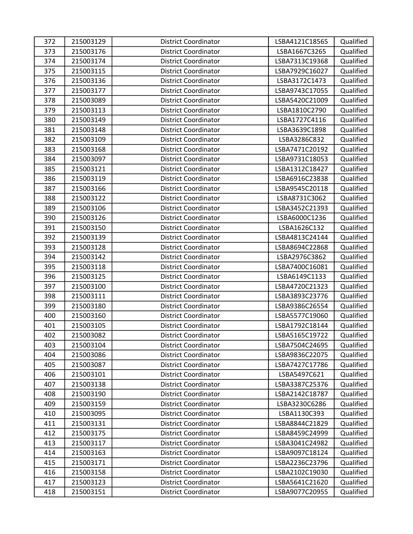| 372 | 215003129 | <b>District Coordinator</b> | LSBA4121C18565 | Qualified |
|-----|-----------|-----------------------------|----------------|-----------|
| 373 | 215003176 | <b>District Coordinator</b> | LSBA1667C3265  | Qualified |
| 374 | 215003174 | <b>District Coordinator</b> | LSBA7313C19368 | Qualified |
| 375 | 215003115 | <b>District Coordinator</b> | LSBA7929C16027 | Qualified |
| 376 | 215003136 | <b>District Coordinator</b> | LSBA3172C1473  | Qualified |
| 377 | 215003177 | <b>District Coordinator</b> | LSBA9743C17055 | Qualified |
| 378 | 215003089 | <b>District Coordinator</b> | LSBA5420C21009 | Qualified |
| 379 | 215003113 | <b>District Coordinator</b> | LSBA1810C2790  | Qualified |
| 380 | 215003149 | <b>District Coordinator</b> | LSBA1727C4116  | Qualified |
| 381 | 215003148 | <b>District Coordinator</b> | LSBA3639C1898  | Qualified |
| 382 | 215003109 | <b>District Coordinator</b> | LSBA3286C832   | Qualified |
| 383 | 215003168 | <b>District Coordinator</b> | LSBA7471C20192 | Qualified |
| 384 | 215003097 | <b>District Coordinator</b> | LSBA9731C18053 | Qualified |
| 385 | 215003121 | <b>District Coordinator</b> | LSBA1312C18427 | Qualified |
| 386 | 215003119 | <b>District Coordinator</b> | LSBA6916C23838 | Qualified |
| 387 | 215003166 | <b>District Coordinator</b> | LSBA9545C20118 | Qualified |
| 388 | 215003122 | <b>District Coordinator</b> | LSBA8731C3062  | Qualified |
| 389 | 215003106 | <b>District Coordinator</b> | LSBA3452C21393 | Qualified |
| 390 | 215003126 | <b>District Coordinator</b> | LSBA6000C1236  | Qualified |
| 391 | 215003150 | <b>District Coordinator</b> | LSBA1626C132   | Qualified |
| 392 | 215003139 | <b>District Coordinator</b> | LSBA4813C24144 | Qualified |
| 393 | 215003128 | <b>District Coordinator</b> | LSBA8694C22868 | Qualified |
| 394 | 215003142 | <b>District Coordinator</b> | LSBA2976C3862  | Qualified |
| 395 | 215003118 | <b>District Coordinator</b> | LSBA7400C16081 | Qualified |
| 396 | 215003125 | <b>District Coordinator</b> | LSBA6149C1133  | Qualified |
| 397 | 215003100 | <b>District Coordinator</b> | LSBA4720C21323 | Qualified |
| 398 | 215003111 | <b>District Coordinator</b> | LSBA3893C23776 | Qualified |
| 399 | 215003180 | <b>District Coordinator</b> | LSBA9386C26554 | Qualified |
| 400 | 215003160 | <b>District Coordinator</b> | LSBA5577C19060 | Qualified |
| 401 | 215003105 | <b>District Coordinator</b> | LSBA1792C18144 | Qualified |
| 402 | 215003082 | <b>District Coordinator</b> | LSBA5165C19722 | Qualified |
| 403 | 215003104 | <b>District Coordinator</b> | LSBA7504C24695 | Qualified |
| 404 | 215003086 | <b>District Coordinator</b> | LSBA9836C22075 | Qualified |
| 405 | 215003087 | <b>District Coordinator</b> | LSBA7427C17786 | Qualified |
| 406 | 215003101 | <b>District Coordinator</b> | LSBA5497C621   | Qualified |
| 407 | 215003138 | <b>District Coordinator</b> | LSBA3387C25376 | Qualified |
| 408 | 215003190 | <b>District Coordinator</b> | LSBA2142C18787 | Qualified |
| 409 | 215003159 | <b>District Coordinator</b> | LSBA3230C6286  | Qualified |
| 410 | 215003095 | <b>District Coordinator</b> | LSBA1130C393   | Qualified |
| 411 | 215003131 | <b>District Coordinator</b> | LSBA8844C21829 | Qualified |
| 412 | 215003175 | <b>District Coordinator</b> | LSBA8459C24999 | Qualified |
| 413 | 215003117 | <b>District Coordinator</b> | LSBA3041C24982 | Qualified |
| 414 | 215003163 | <b>District Coordinator</b> | LSBA9097C18124 | Qualified |
| 415 | 215003171 | <b>District Coordinator</b> | LSBA2236C23796 | Qualified |
| 416 | 215003158 | <b>District Coordinator</b> | LSBA2102C19030 | Qualified |
| 417 | 215003123 | <b>District Coordinator</b> | LSBA5641C21620 | Qualified |
| 418 | 215003151 | <b>District Coordinator</b> | LSBA9077C20955 | Qualified |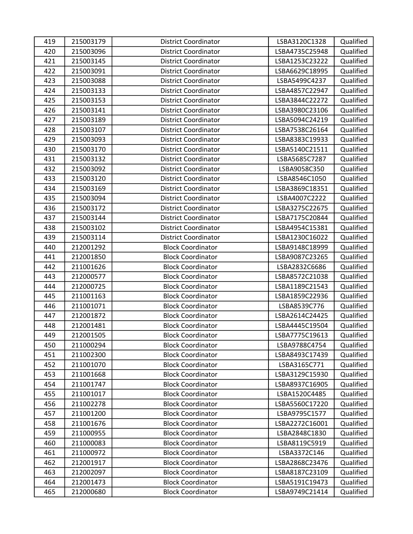| 419 | 215003179 | <b>District Coordinator</b> | LSBA3120C1328  | Qualified |
|-----|-----------|-----------------------------|----------------|-----------|
| 420 | 215003096 | <b>District Coordinator</b> | LSBA4735C25948 | Qualified |
| 421 | 215003145 | <b>District Coordinator</b> | LSBA1253C23222 | Qualified |
| 422 | 215003091 | <b>District Coordinator</b> | LSBA6629C18995 | Qualified |
| 423 | 215003088 | <b>District Coordinator</b> | LSBA5499C4237  | Qualified |
| 424 | 215003133 | <b>District Coordinator</b> | LSBA4857C22947 | Qualified |
| 425 | 215003153 | <b>District Coordinator</b> | LSBA3844C22272 | Qualified |
| 426 | 215003141 | <b>District Coordinator</b> | LSBA3980C23106 | Qualified |
| 427 | 215003189 | <b>District Coordinator</b> | LSBA5094C24219 | Qualified |
| 428 | 215003107 | <b>District Coordinator</b> | LSBA7538C26164 | Qualified |
| 429 | 215003093 | <b>District Coordinator</b> | LSBA8383C19933 | Qualified |
| 430 | 215003170 | <b>District Coordinator</b> | LSBA5140C21511 | Qualified |
| 431 | 215003132 | <b>District Coordinator</b> | LSBA5685C7287  | Qualified |
| 432 | 215003092 | <b>District Coordinator</b> | LSBA9058C350   | Qualified |
| 433 | 215003120 | <b>District Coordinator</b> | LSBA8546C1050  | Qualified |
| 434 | 215003169 | <b>District Coordinator</b> | LSBA3869C18351 | Qualified |
| 435 | 215003094 | <b>District Coordinator</b> | LSBA4007C2222  | Qualified |
| 436 | 215003172 | <b>District Coordinator</b> | LSBA3275C22675 | Qualified |
| 437 | 215003144 | <b>District Coordinator</b> | LSBA7175C20844 | Qualified |
| 438 | 215003102 | <b>District Coordinator</b> | LSBA4954C15381 | Qualified |
| 439 | 215003114 | <b>District Coordinator</b> | LSBA1230C16022 | Qualified |
| 440 | 212001292 | <b>Block Coordinator</b>    | LSBA9148C18999 | Qualified |
| 441 | 212001850 | <b>Block Coordinator</b>    | LSBA9087C23265 | Qualified |
| 442 | 211001626 | <b>Block Coordinator</b>    | LSBA2832C6686  | Qualified |
| 443 | 212000577 | <b>Block Coordinator</b>    | LSBA8572C21038 | Qualified |
| 444 | 212000725 | <b>Block Coordinator</b>    | LSBA1189C21543 | Qualified |
| 445 | 211001163 | <b>Block Coordinator</b>    | LSBA1859C22936 | Qualified |
| 446 | 211001071 | <b>Block Coordinator</b>    | LSBA8539C776   | Qualified |
| 447 | 212001872 | <b>Block Coordinator</b>    | LSBA2614C24425 | Qualified |
| 448 | 212001481 | <b>Block Coordinator</b>    | LSBA4445C19504 | Qualified |
| 449 | 212001505 | <b>Block Coordinator</b>    | LSBA7775C19613 | Qualified |
| 450 | 211000294 | <b>Block Coordinator</b>    | LSBA9788C4754  | Qualified |
| 451 | 211002300 | <b>Block Coordinator</b>    | LSBA8493C17439 | Qualified |
| 452 | 211001070 | <b>Block Coordinator</b>    | LSBA3165C771   | Qualified |
| 453 | 211001668 | <b>Block Coordinator</b>    | LSBA3129C15930 | Qualified |
| 454 | 211001747 | <b>Block Coordinator</b>    | LSBA8937C16905 | Qualified |
| 455 | 211001017 | <b>Block Coordinator</b>    | LSBA1520C4485  | Qualified |
| 456 | 211002278 | <b>Block Coordinator</b>    | LSBA5560C17220 | Qualified |
| 457 | 211001200 | <b>Block Coordinator</b>    | LSBA9795C1577  | Qualified |
| 458 | 211001676 | <b>Block Coordinator</b>    | LSBA2272C16001 | Qualified |
| 459 | 211000955 | <b>Block Coordinator</b>    | LSBA2848C1830  | Qualified |
| 460 | 211000083 | <b>Block Coordinator</b>    | LSBA8119C5919  | Qualified |
| 461 | 211000972 | <b>Block Coordinator</b>    | LSBA3372C146   | Qualified |
| 462 | 212001917 | <b>Block Coordinator</b>    | LSBA2868C23476 | Qualified |
| 463 | 212002097 | <b>Block Coordinator</b>    | LSBA8187C23109 | Qualified |
| 464 | 212001473 | <b>Block Coordinator</b>    | LSBA5191C19473 | Qualified |
| 465 | 212000680 | <b>Block Coordinator</b>    | LSBA9749C21414 | Qualified |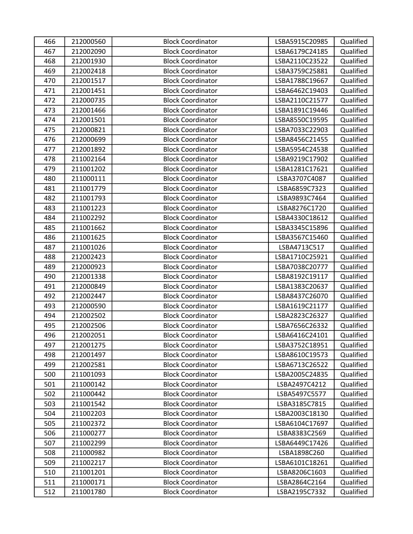| 466 | 212000560 | <b>Block Coordinator</b> | LSBA5915C20985 | Qualified |
|-----|-----------|--------------------------|----------------|-----------|
| 467 | 212002090 | <b>Block Coordinator</b> | LSBA6179C24185 | Qualified |
| 468 | 212001930 | <b>Block Coordinator</b> | LSBA2110C23522 | Qualified |
| 469 | 212002418 | <b>Block Coordinator</b> | LSBA3759C25881 | Qualified |
| 470 | 212001517 | <b>Block Coordinator</b> | LSBA1788C19667 | Qualified |
| 471 | 212001451 | <b>Block Coordinator</b> | LSBA6462C19403 | Qualified |
| 472 | 212000735 | <b>Block Coordinator</b> | LSBA2110C21577 | Qualified |
| 473 | 212001466 | <b>Block Coordinator</b> | LSBA1891C19446 | Qualified |
| 474 | 212001501 | <b>Block Coordinator</b> | LSBA8550C19595 | Qualified |
| 475 | 212000821 | <b>Block Coordinator</b> | LSBA7033C22903 | Qualified |
| 476 | 212000699 | <b>Block Coordinator</b> | LSBA8456C21455 | Qualified |
| 477 | 212001892 | <b>Block Coordinator</b> | LSBA5954C24538 | Qualified |
| 478 | 211002164 | <b>Block Coordinator</b> | LSBA9219C17902 | Qualified |
| 479 | 211001202 | <b>Block Coordinator</b> | LSBA1281C17621 | Qualified |
| 480 | 211000111 | <b>Block Coordinator</b> | LSBA3707C4087  | Qualified |
| 481 | 211001779 | <b>Block Coordinator</b> | LSBA6859C7323  | Qualified |
| 482 | 211001793 | <b>Block Coordinator</b> | LSBA9893C7464  | Qualified |
| 483 | 211001223 | <b>Block Coordinator</b> | LSBA8276C1720  | Qualified |
| 484 | 211002292 | <b>Block Coordinator</b> | LSBA4330C18612 | Qualified |
| 485 | 211001662 | <b>Block Coordinator</b> | LSBA3345C15896 | Qualified |
| 486 | 211001625 | <b>Block Coordinator</b> | LSBA3567C15460 | Qualified |
| 487 | 211001026 | <b>Block Coordinator</b> | LSBA4713C517   | Qualified |
| 488 | 212002423 | <b>Block Coordinator</b> | LSBA1710C25921 | Qualified |
| 489 | 212000923 | <b>Block Coordinator</b> | LSBA7038C20777 | Qualified |
| 490 | 212001338 | <b>Block Coordinator</b> | LSBA8192C19117 | Qualified |
| 491 | 212000849 | <b>Block Coordinator</b> | LSBA1383C20637 | Qualified |
| 492 | 212002447 | <b>Block Coordinator</b> | LSBA8437C26070 | Qualified |
| 493 | 212000590 | <b>Block Coordinator</b> | LSBA1619C21177 | Qualified |
| 494 | 212002502 | <b>Block Coordinator</b> | LSBA2823C26327 | Qualified |
| 495 | 212002506 | <b>Block Coordinator</b> | LSBA7656C26332 | Qualified |
| 496 | 212002051 | <b>Block Coordinator</b> | LSBA6416C24101 | Qualified |
| 497 | 212001275 | <b>Block Coordinator</b> | LSBA3752C18951 | Qualified |
| 498 | 212001497 | <b>Block Coordinator</b> | LSBA8610C19573 | Qualified |
| 499 | 212002581 | <b>Block Coordinator</b> | LSBA6713C26522 | Qualified |
| 500 | 211001093 | <b>Block Coordinator</b> | LSBA2005C24835 | Qualified |
| 501 | 211000142 | <b>Block Coordinator</b> | LSBA2497C4212  | Qualified |
| 502 | 211000442 | <b>Block Coordinator</b> | LSBA5497C5577  | Qualified |
| 503 | 211001542 | <b>Block Coordinator</b> | LSBA3185C7815  | Qualified |
| 504 | 211002203 | <b>Block Coordinator</b> | LSBA2003C18130 | Qualified |
| 505 | 211002372 | <b>Block Coordinator</b> | LSBA6104C17697 | Qualified |
| 506 | 211000277 | <b>Block Coordinator</b> | LSBA8383C2569  | Qualified |
| 507 | 211002299 | <b>Block Coordinator</b> | LSBA6449C17426 | Qualified |
| 508 | 211000982 | <b>Block Coordinator</b> | LSBA1898C260   | Qualified |
| 509 | 211002217 | <b>Block Coordinator</b> | LSBA6101C18261 | Qualified |
| 510 | 211001201 | <b>Block Coordinator</b> | LSBA8206C1603  | Qualified |
| 511 | 211000171 | <b>Block Coordinator</b> | LSBA2864C2164  | Qualified |
| 512 | 211001780 | <b>Block Coordinator</b> | LSBA2195C7332  | Qualified |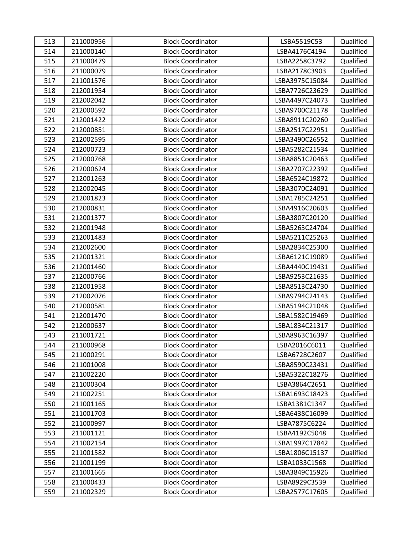| 513 | 211000956 | <b>Block Coordinator</b> | LSBA5519C53    | Qualified |
|-----|-----------|--------------------------|----------------|-----------|
| 514 | 211000140 | <b>Block Coordinator</b> | LSBA4176C4194  | Qualified |
| 515 | 211000479 | <b>Block Coordinator</b> | LSBA2258C3792  | Qualified |
| 516 | 211000079 | <b>Block Coordinator</b> | LSBA2178C3903  | Qualified |
| 517 | 211001576 | <b>Block Coordinator</b> | LSBA3975C15084 | Qualified |
| 518 | 212001954 | <b>Block Coordinator</b> | LSBA7726C23629 | Qualified |
| 519 | 212002042 | <b>Block Coordinator</b> | LSBA4497C24073 | Qualified |
| 520 | 212000592 | <b>Block Coordinator</b> | LSBA9700C21178 | Qualified |
| 521 | 212001422 | <b>Block Coordinator</b> | LSBA8911C20260 | Qualified |
| 522 | 212000851 | <b>Block Coordinator</b> | LSBA2517C22951 | Qualified |
| 523 | 212002595 | <b>Block Coordinator</b> | LSBA3490C26552 | Qualified |
| 524 | 212000723 | <b>Block Coordinator</b> | LSBA5282C21534 | Qualified |
| 525 | 212000768 | <b>Block Coordinator</b> | LSBA8851C20463 | Qualified |
| 526 | 212000624 | <b>Block Coordinator</b> | LSBA2707C22392 | Qualified |
| 527 | 212001263 | <b>Block Coordinator</b> | LSBA6524C19872 | Qualified |
| 528 | 212002045 | <b>Block Coordinator</b> | LSBA3070C24091 | Qualified |
| 529 | 212001823 | <b>Block Coordinator</b> | LSBA1785C24251 | Qualified |
| 530 | 212000831 | <b>Block Coordinator</b> | LSBA4916C20603 | Qualified |
| 531 | 212001377 | <b>Block Coordinator</b> | LSBA3807C20120 | Qualified |
| 532 | 212001948 | <b>Block Coordinator</b> | LSBA5263C24704 | Qualified |
| 533 | 212001483 | <b>Block Coordinator</b> | LSBA5211C25263 | Qualified |
| 534 | 212002600 | <b>Block Coordinator</b> | LSBA2834C25300 | Qualified |
| 535 | 212001321 | <b>Block Coordinator</b> | LSBA6121C19089 | Qualified |
| 536 | 212001460 | <b>Block Coordinator</b> | LSBA4440C19431 | Qualified |
| 537 | 212000766 | <b>Block Coordinator</b> | LSBA9253C21635 | Qualified |
| 538 | 212001958 | <b>Block Coordinator</b> | LSBA8513C24730 | Qualified |
| 539 | 212002076 | <b>Block Coordinator</b> | LSBA9794C24143 | Qualified |
| 540 | 212000581 | <b>Block Coordinator</b> | LSBA5194C21048 | Qualified |
| 541 | 212001470 | <b>Block Coordinator</b> | LSBA1582C19469 | Qualified |
| 542 | 212000637 | <b>Block Coordinator</b> | LSBA1834C21317 | Qualified |
| 543 | 211001721 | <b>Block Coordinator</b> | LSBA8963C16397 | Qualified |
| 544 | 211000968 | <b>Block Coordinator</b> | LSBA2016C6011  | Qualified |
| 545 | 211000291 | <b>Block Coordinator</b> | LSBA6728C2607  | Qualified |
| 546 | 211001008 | <b>Block Coordinator</b> | LSBA8590C23431 | Qualified |
| 547 | 211002220 | <b>Block Coordinator</b> | LSBA5322C18276 | Qualified |
| 548 | 211000304 | <b>Block Coordinator</b> | LSBA3864C2651  | Qualified |
| 549 | 211002251 | <b>Block Coordinator</b> | LSBA1693C18423 | Qualified |
| 550 | 211001165 | <b>Block Coordinator</b> | LSBA1381C1347  | Qualified |
| 551 | 211001703 | <b>Block Coordinator</b> | LSBA6438C16099 | Qualified |
| 552 | 211000997 | <b>Block Coordinator</b> | LSBA7875C6224  | Qualified |
| 553 | 211001121 | <b>Block Coordinator</b> | LSBA4192C5048  | Qualified |
| 554 | 211002154 | <b>Block Coordinator</b> | LSBA1997C17842 | Qualified |
| 555 | 211001582 | <b>Block Coordinator</b> | LSBA1806C15137 | Qualified |
| 556 | 211001199 | <b>Block Coordinator</b> | LSBA1033C1568  | Qualified |
| 557 | 211001665 | <b>Block Coordinator</b> | LSBA3849C15926 | Qualified |
| 558 | 211000433 | <b>Block Coordinator</b> | LSBA8929C3539  | Qualified |
| 559 | 211002329 | <b>Block Coordinator</b> | LSBA2577C17605 | Qualified |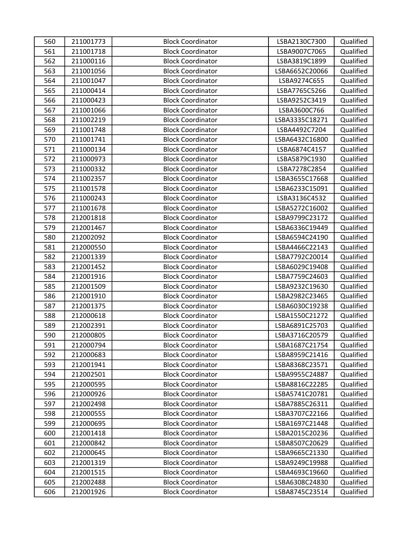| 560 | 211001773 | <b>Block Coordinator</b> | LSBA2130C7300  | Qualified |
|-----|-----------|--------------------------|----------------|-----------|
| 561 | 211001718 | <b>Block Coordinator</b> | LSBA9007C7065  | Qualified |
| 562 | 211000116 | <b>Block Coordinator</b> | LSBA3819C1899  | Qualified |
| 563 | 211001056 | <b>Block Coordinator</b> | LSBA6652C20066 | Qualified |
| 564 | 211001047 | <b>Block Coordinator</b> | LSBA9274C655   | Qualified |
| 565 | 211000414 | <b>Block Coordinator</b> | LSBA7765C5266  | Qualified |
| 566 | 211000423 | <b>Block Coordinator</b> | LSBA9252C3419  | Qualified |
| 567 | 211001066 | <b>Block Coordinator</b> | LSBA3600C766   | Qualified |
| 568 | 211002219 | <b>Block Coordinator</b> | LSBA3335C18271 | Qualified |
| 569 | 211001748 | <b>Block Coordinator</b> | LSBA4492C7204  | Qualified |
| 570 | 211001741 | <b>Block Coordinator</b> | LSBA6432C16800 | Qualified |
| 571 | 211000134 | <b>Block Coordinator</b> | LSBA6874C4157  | Qualified |
| 572 | 211000973 | <b>Block Coordinator</b> | LSBA5879C1930  | Qualified |
| 573 | 211000332 | <b>Block Coordinator</b> | LSBA7278C2854  | Qualified |
| 574 | 211002357 | <b>Block Coordinator</b> | LSBA3655C17668 | Qualified |
| 575 | 211001578 | <b>Block Coordinator</b> | LSBA6233C15091 | Qualified |
| 576 | 211000243 | <b>Block Coordinator</b> | LSBA3136C4532  | Qualified |
| 577 | 211001678 | <b>Block Coordinator</b> | LSBA5272C16002 | Qualified |
| 578 | 212001818 | <b>Block Coordinator</b> | LSBA9799C23172 | Qualified |
| 579 | 212001467 | <b>Block Coordinator</b> | LSBA6336C19449 | Qualified |
| 580 | 212002092 | <b>Block Coordinator</b> | LSBA6594C24190 | Qualified |
| 581 | 212000550 | <b>Block Coordinator</b> | LSBA4466C22143 | Qualified |
| 582 | 212001339 | <b>Block Coordinator</b> | LSBA7792C20014 | Qualified |
| 583 | 212001452 | <b>Block Coordinator</b> | LSBA6029C19408 | Qualified |
| 584 | 212001916 | <b>Block Coordinator</b> | LSBA7759C24603 | Qualified |
| 585 | 212001509 | <b>Block Coordinator</b> | LSBA9232C19630 | Qualified |
| 586 | 212001910 | <b>Block Coordinator</b> | LSBA2982C23465 | Qualified |
| 587 | 212001375 | <b>Block Coordinator</b> | LSBA6030C19238 | Qualified |
| 588 | 212000618 | <b>Block Coordinator</b> | LSBA1550C21272 | Qualified |
| 589 | 212002391 | <b>Block Coordinator</b> | LSBA6891C25703 | Qualified |
| 590 | 212000805 | <b>Block Coordinator</b> | LSBA3716C20579 | Qualified |
| 591 | 212000794 | <b>Block Coordinator</b> | LSBA1687C21754 | Qualified |
| 592 | 212000683 | <b>Block Coordinator</b> | LSBA8959C21416 | Qualified |
| 593 | 212001941 | <b>Block Coordinator</b> | LSBA8368C23571 | Qualified |
| 594 | 212002501 | <b>Block Coordinator</b> | LSBA9955C24887 | Qualified |
| 595 | 212000595 | <b>Block Coordinator</b> | LSBA8816C22285 | Qualified |
| 596 | 212000926 | <b>Block Coordinator</b> | LSBA5741C20781 | Qualified |
| 597 | 212002498 | <b>Block Coordinator</b> | LSBA7885C26311 | Qualified |
| 598 | 212000555 | <b>Block Coordinator</b> | LSBA3707C22166 | Qualified |
| 599 | 212000695 | <b>Block Coordinator</b> | LSBA1697C21448 | Qualified |
| 600 | 212001418 | <b>Block Coordinator</b> | LSBA2015C20236 | Qualified |
| 601 | 212000842 | <b>Block Coordinator</b> | LSBA8507C20629 | Qualified |
| 602 | 212000645 | <b>Block Coordinator</b> | LSBA9665C21330 | Qualified |
| 603 | 212001319 | <b>Block Coordinator</b> | LSBA9249C19988 | Qualified |
| 604 | 212001515 | <b>Block Coordinator</b> | LSBA4693C19660 | Qualified |
| 605 | 212002488 | <b>Block Coordinator</b> | LSBA6308C24830 | Qualified |
| 606 | 212001926 | <b>Block Coordinator</b> | LSBA8745C23514 | Qualified |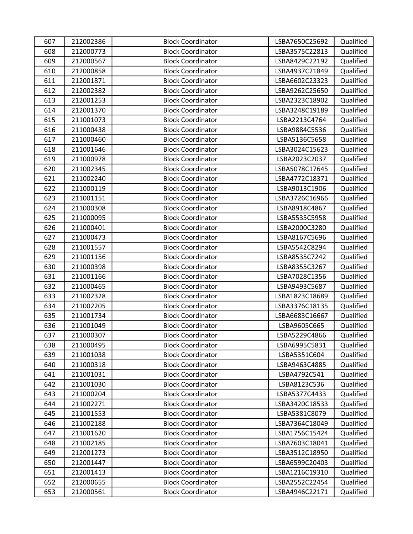| 607 | 212002386 | <b>Block Coordinator</b> | LSBA7650C25692 | Qualified |
|-----|-----------|--------------------------|----------------|-----------|
| 608 | 212000773 | <b>Block Coordinator</b> | LSBA3575C22813 | Qualified |
| 609 | 212000567 | <b>Block Coordinator</b> | LSBA8429C22192 | Qualified |
| 610 | 212000858 | <b>Block Coordinator</b> | LSBA4937C21849 | Qualified |
| 611 | 212001871 | <b>Block Coordinator</b> | LSBA6602C23323 | Qualified |
| 612 | 212002382 | <b>Block Coordinator</b> | LSBA9262C25650 | Qualified |
| 613 | 212001253 | <b>Block Coordinator</b> | LSBA2323C18902 | Qualified |
| 614 | 212001370 | <b>Block Coordinator</b> | LSBA3248C19189 | Qualified |
| 615 | 211001073 | <b>Block Coordinator</b> | LSBA2213C4764  | Qualified |
| 616 | 211000438 | <b>Block Coordinator</b> | LSBA9884C5536  | Qualified |
| 617 | 211000460 | <b>Block Coordinator</b> | LSBA5136C5658  | Qualified |
| 618 | 211001646 | <b>Block Coordinator</b> | LSBA3024C15623 | Qualified |
| 619 | 211000978 | <b>Block Coordinator</b> | LSBA2023C2037  | Qualified |
| 620 | 211002345 | <b>Block Coordinator</b> | LSBA5078C17645 | Qualified |
| 621 | 211002240 | <b>Block Coordinator</b> | LSBA4772C18371 | Qualified |
| 622 | 211000119 | <b>Block Coordinator</b> | LSBA9013C1906  | Qualified |
| 623 | 211001151 | <b>Block Coordinator</b> | LSBA3726C16966 | Qualified |
| 624 | 211000308 | <b>Block Coordinator</b> | LSBA8918C4867  | Qualified |
| 625 | 211000095 | <b>Block Coordinator</b> | LSBA5535C5958  | Qualified |
| 626 | 211000401 | <b>Block Coordinator</b> | LSBA2000C3280  | Qualified |
| 627 | 211000473 | <b>Block Coordinator</b> | LSBA8167C5696  | Qualified |
| 628 | 211001557 | <b>Block Coordinator</b> | LSBA5542C8294  | Qualified |
| 629 | 211001156 | <b>Block Coordinator</b> | LSBA8535C7242  | Qualified |
| 630 | 211000398 | <b>Block Coordinator</b> | LSBA8355C3267  | Qualified |
| 631 | 211001166 | <b>Block Coordinator</b> | LSBA7028C1356  | Qualified |
| 632 | 211000465 | <b>Block Coordinator</b> | LSBA9493C5687  | Qualified |
| 633 | 211002328 | <b>Block Coordinator</b> | LSBA1823C18689 | Qualified |
| 634 | 211002205 | <b>Block Coordinator</b> | LSBA3376C18135 | Qualified |
| 635 | 211001734 | <b>Block Coordinator</b> | LSBA6683C16667 | Qualified |
| 636 | 211001049 | <b>Block Coordinator</b> | LSBA9605C665   | Qualified |
| 637 | 211000307 | <b>Block Coordinator</b> | LSBA5229C4866  | Qualified |
| 638 | 211000495 | <b>Block Coordinator</b> | LSBA6995C5831  | Qualified |
| 639 | 211001038 | <b>Block Coordinator</b> | LSBA5351C604   | Qualified |
| 640 | 211000318 | <b>Block Coordinator</b> | LSBA9463C4885  | Qualified |
| 641 | 211001031 | <b>Block Coordinator</b> | LSBA4792C541   | Qualified |
| 642 | 211001030 | <b>Block Coordinator</b> | LSBA8123C536   | Qualified |
| 643 | 211000204 | <b>Block Coordinator</b> | LSBA5377C4433  | Qualified |
| 644 | 211002271 | <b>Block Coordinator</b> | LSBA3420C18533 | Qualified |
| 645 | 211001553 | <b>Block Coordinator</b> | LSBA5381C8079  | Qualified |
| 646 | 211002188 | <b>Block Coordinator</b> | LSBA7364C18049 | Qualified |
| 647 | 211001620 | <b>Block Coordinator</b> | LSBA1756C15424 | Qualified |
| 648 | 211002185 | <b>Block Coordinator</b> | LSBA7603C18041 | Qualified |
| 649 | 212001273 | <b>Block Coordinator</b> | LSBA3512C18950 | Qualified |
| 650 | 212001447 | <b>Block Coordinator</b> | LSBA6599C20403 | Qualified |
| 651 | 212001413 | <b>Block Coordinator</b> | LSBA1216C19310 | Qualified |
| 652 | 212000655 | <b>Block Coordinator</b> | LSBA2552C22454 | Qualified |
| 653 | 212000561 | <b>Block Coordinator</b> | LSBA4946C22171 | Qualified |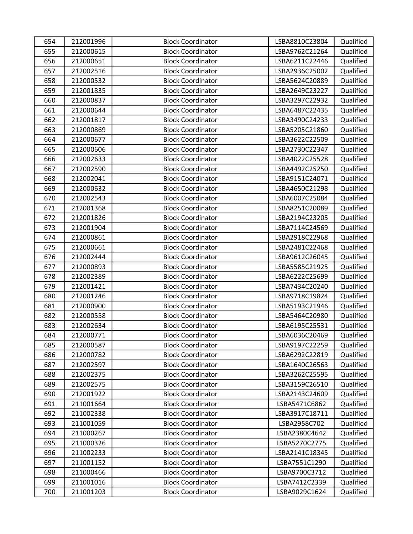| 654 | 212001996 | <b>Block Coordinator</b> | LSBA8810C23804 | Qualified |
|-----|-----------|--------------------------|----------------|-----------|
| 655 | 212000615 | <b>Block Coordinator</b> | LSBA9762C21264 | Qualified |
| 656 | 212000651 | <b>Block Coordinator</b> | LSBA6211C22446 | Qualified |
| 657 | 212002516 | <b>Block Coordinator</b> | LSBA2936C25002 | Qualified |
| 658 | 212000532 | <b>Block Coordinator</b> | LSBA5624C20889 | Qualified |
| 659 | 212001835 | <b>Block Coordinator</b> | LSBA2649C23227 | Qualified |
| 660 | 212000837 | <b>Block Coordinator</b> | LSBA3297C22932 | Qualified |
| 661 | 212000644 | <b>Block Coordinator</b> | LSBA6487C22435 | Qualified |
| 662 | 212001817 | <b>Block Coordinator</b> | LSBA3490C24233 | Qualified |
| 663 | 212000869 | <b>Block Coordinator</b> | LSBA5205C21860 | Qualified |
| 664 | 212000677 | <b>Block Coordinator</b> | LSBA3622C22509 | Qualified |
| 665 | 212000606 | <b>Block Coordinator</b> | LSBA2730C22347 | Qualified |
| 666 | 212002633 | <b>Block Coordinator</b> | LSBA4022C25528 | Qualified |
| 667 | 212002590 | <b>Block Coordinator</b> | LSBA4492C25250 | Qualified |
| 668 | 212002041 | <b>Block Coordinator</b> | LSBA9151C24071 | Qualified |
| 669 | 212000632 | <b>Block Coordinator</b> | LSBA4650C21298 | Qualified |
| 670 | 212002543 | <b>Block Coordinator</b> | LSBA6007C25084 | Qualified |
| 671 | 212001368 | <b>Block Coordinator</b> | LSBA8251C20089 | Qualified |
| 672 | 212001826 | <b>Block Coordinator</b> | LSBA2194C23205 | Qualified |
| 673 | 212001904 | <b>Block Coordinator</b> | LSBA7114C24569 | Qualified |
| 674 | 212000861 | <b>Block Coordinator</b> | LSBA2918C22968 | Qualified |
| 675 | 212000661 | <b>Block Coordinator</b> | LSBA2481C22468 | Qualified |
| 676 | 212002444 | <b>Block Coordinator</b> | LSBA9612C26045 | Qualified |
| 677 | 212000893 | <b>Block Coordinator</b> | LSBA5585C21925 | Qualified |
| 678 | 212002389 | <b>Block Coordinator</b> | LSBA6222C25699 | Qualified |
| 679 | 212001421 | <b>Block Coordinator</b> | LSBA7434C20240 | Qualified |
| 680 | 212001246 | <b>Block Coordinator</b> | LSBA9718C19824 | Qualified |
| 681 | 212000900 | <b>Block Coordinator</b> | LSBA5193C21946 | Qualified |
| 682 | 212000558 | <b>Block Coordinator</b> | LSBA5464C20980 | Qualified |
| 683 | 212002634 | <b>Block Coordinator</b> | LSBA6195C25531 | Qualified |
| 684 | 212000771 | <b>Block Coordinator</b> | LSBA6036C20469 | Qualified |
| 685 | 212000587 | <b>Block Coordinator</b> | LSBA9197C22259 | Qualified |
| 686 | 212000782 | <b>Block Coordinator</b> | LSBA6292C22819 | Qualified |
| 687 | 212002597 | <b>Block Coordinator</b> | LSBA1640C26563 | Qualified |
| 688 | 212002375 | <b>Block Coordinator</b> | LSBA3262C25595 | Qualified |
| 689 | 212002575 | <b>Block Coordinator</b> | LSBA3159C26510 | Qualified |
| 690 | 212001922 | <b>Block Coordinator</b> | LSBA2143C24609 | Qualified |
| 691 | 211001664 | <b>Block Coordinator</b> | LSBA5471C6862  | Qualified |
| 692 | 211002338 | <b>Block Coordinator</b> | LSBA3917C18711 | Qualified |
| 693 | 211001059 | <b>Block Coordinator</b> | LSBA2958C702   | Qualified |
| 694 | 211000267 | <b>Block Coordinator</b> | LSBA2380C4642  | Qualified |
| 695 | 211000326 | <b>Block Coordinator</b> | LSBA5270C2775  | Qualified |
| 696 | 211002233 | <b>Block Coordinator</b> | LSBA2141C18345 | Qualified |
| 697 | 211001152 | <b>Block Coordinator</b> | LSBA7551C1290  | Qualified |
| 698 | 211000466 | <b>Block Coordinator</b> | LSBA9700C3712  | Qualified |
| 699 | 211001016 | <b>Block Coordinator</b> | LSBA7412C2339  | Qualified |
| 700 | 211001203 | <b>Block Coordinator</b> | LSBA9029C1624  | Qualified |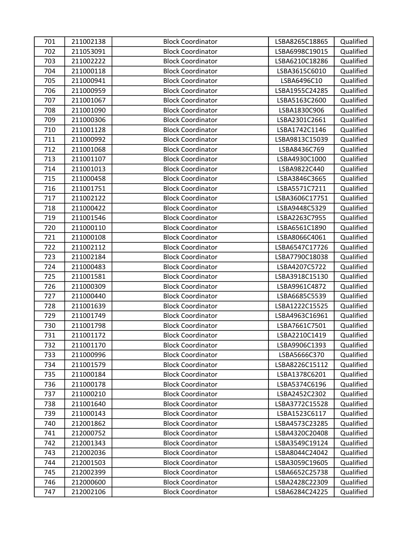| 701 | 211002138 | <b>Block Coordinator</b> | LSBA8265C18865 | Qualified |
|-----|-----------|--------------------------|----------------|-----------|
| 702 | 211053091 | <b>Block Coordinator</b> | LSBA6998C19015 | Qualified |
| 703 | 211002222 | <b>Block Coordinator</b> | LSBA6210C18286 | Qualified |
| 704 | 211000118 | <b>Block Coordinator</b> | LSBA3615C6010  | Qualified |
| 705 | 211000941 | <b>Block Coordinator</b> | LSBA6496C10    | Qualified |
| 706 | 211000959 | <b>Block Coordinator</b> | LSBA1955C24285 | Qualified |
| 707 | 211001067 | <b>Block Coordinator</b> | LSBA5163C2600  | Qualified |
| 708 | 211001090 | <b>Block Coordinator</b> | LSBA1830C906   | Qualified |
| 709 | 211000306 | <b>Block Coordinator</b> | LSBA2301C2661  | Qualified |
| 710 | 211001128 | <b>Block Coordinator</b> | LSBA1742C1146  | Qualified |
| 711 | 211000992 | <b>Block Coordinator</b> | LSBA9813C15039 | Qualified |
| 712 | 211001068 | <b>Block Coordinator</b> | LSBA8436C769   | Qualified |
| 713 | 211001107 | <b>Block Coordinator</b> | LSBA4930C1000  | Qualified |
| 714 | 211001013 | <b>Block Coordinator</b> | LSBA9822C440   | Qualified |
| 715 | 211000458 | <b>Block Coordinator</b> | LSBA3846C3665  | Qualified |
| 716 | 211001751 | <b>Block Coordinator</b> | LSBA5571C7211  | Qualified |
| 717 | 211002122 | <b>Block Coordinator</b> | LSBA3606C17751 | Qualified |
| 718 | 211000422 | <b>Block Coordinator</b> | LSBA9448C5329  | Qualified |
| 719 | 211001546 | <b>Block Coordinator</b> | LSBA2263C7955  | Qualified |
| 720 | 211000110 | <b>Block Coordinator</b> | LSBA6561C1890  | Qualified |
| 721 | 211000108 | <b>Block Coordinator</b> | LSBA8066C4061  | Qualified |
| 722 | 211002112 | <b>Block Coordinator</b> | LSBA6547C17726 | Qualified |
| 723 | 211002184 | <b>Block Coordinator</b> | LSBA7790C18038 | Qualified |
| 724 | 211000483 | <b>Block Coordinator</b> | LSBA4207C5722  | Qualified |
| 725 | 211001581 | <b>Block Coordinator</b> | LSBA3918C15130 | Qualified |
| 726 | 211000309 | <b>Block Coordinator</b> | LSBA9961C4872  | Qualified |
| 727 | 211000440 | <b>Block Coordinator</b> | LSBA6685C5539  | Qualified |
| 728 | 211001639 | <b>Block Coordinator</b> | LSBA1222C15525 | Qualified |
| 729 | 211001749 | <b>Block Coordinator</b> | LSBA4963C16961 | Qualified |
| 730 | 211001798 | <b>Block Coordinator</b> | LSBA7661C7501  | Qualified |
| 731 | 211001172 | <b>Block Coordinator</b> | LSBA2210C1419  | Qualified |
| 732 | 211001170 | <b>Block Coordinator</b> | LSBA9906C1393  | Qualified |
| 733 | 211000996 | <b>Block Coordinator</b> | LSBA5666C370   | Qualified |
| 734 | 211001579 | <b>Block Coordinator</b> | LSBA8226C15112 | Qualified |
| 735 | 211000184 | <b>Block Coordinator</b> | LSBA1378C6201  | Qualified |
| 736 | 211000178 | <b>Block Coordinator</b> | LSBA5374C6196  | Qualified |
| 737 | 211000210 | <b>Block Coordinator</b> | LSBA2452C2302  | Qualified |
| 738 | 211001640 | <b>Block Coordinator</b> | LSBA3772C15528 | Qualified |
| 739 | 211000143 | <b>Block Coordinator</b> | LSBA1523C6117  | Qualified |
| 740 | 212001862 | <b>Block Coordinator</b> | LSBA4573C23285 | Qualified |
| 741 | 212000752 | <b>Block Coordinator</b> | LSBA4320C20408 | Qualified |
| 742 | 212001343 | <b>Block Coordinator</b> | LSBA3549C19124 | Qualified |
| 743 | 212002036 | <b>Block Coordinator</b> | LSBA8044C24042 | Qualified |
| 744 | 212001503 | <b>Block Coordinator</b> | LSBA3059C19605 | Qualified |
| 745 | 212002399 | <b>Block Coordinator</b> | LSBA6652C25738 | Qualified |
| 746 | 212000600 | <b>Block Coordinator</b> | LSBA2428C22309 | Qualified |
| 747 | 212002106 | <b>Block Coordinator</b> | LSBA6284C24225 | Qualified |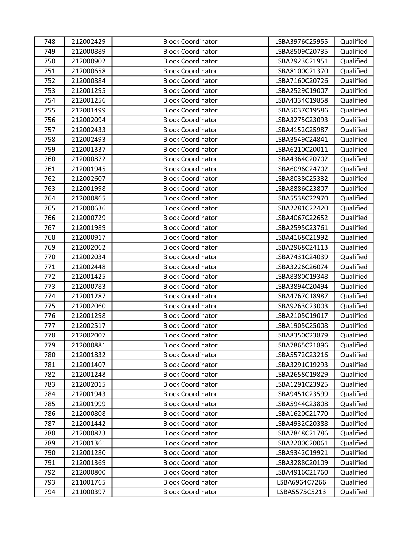| 748 | 212002429 | <b>Block Coordinator</b> | LSBA3976C25955 | Qualified |
|-----|-----------|--------------------------|----------------|-----------|
| 749 | 212000889 | <b>Block Coordinator</b> | LSBA8509C20735 | Qualified |
| 750 | 212000902 | <b>Block Coordinator</b> | LSBA2923C21951 | Qualified |
| 751 | 212000658 | <b>Block Coordinator</b> | LSBA8100C21370 | Qualified |
| 752 | 212000884 | <b>Block Coordinator</b> | LSBA7160C20726 | Qualified |
| 753 | 212001295 | <b>Block Coordinator</b> | LSBA2529C19007 | Qualified |
| 754 | 212001256 | <b>Block Coordinator</b> | LSBA4334C19858 | Qualified |
| 755 | 212001499 | <b>Block Coordinator</b> | LSBA5037C19586 | Qualified |
| 756 | 212002094 | <b>Block Coordinator</b> | LSBA3275C23093 | Qualified |
| 757 | 212002433 | <b>Block Coordinator</b> | LSBA4152C25987 | Qualified |
| 758 | 212002493 | <b>Block Coordinator</b> | LSBA3549C24841 | Qualified |
| 759 | 212001337 | <b>Block Coordinator</b> | LSBA6210C20011 | Qualified |
| 760 | 212000872 | <b>Block Coordinator</b> | LSBA4364C20702 | Qualified |
| 761 | 212001945 | <b>Block Coordinator</b> | LSBA6096C24702 | Qualified |
| 762 | 212002607 | <b>Block Coordinator</b> | LSBA8038C25332 | Qualified |
| 763 | 212001998 | <b>Block Coordinator</b> | LSBA8886C23807 | Qualified |
| 764 | 212000865 | <b>Block Coordinator</b> | LSBA5538C22970 | Qualified |
| 765 | 212000636 | <b>Block Coordinator</b> | LSBA2281C22420 | Qualified |
| 766 | 212000729 | <b>Block Coordinator</b> | LSBA4067C22652 | Qualified |
| 767 | 212001989 | <b>Block Coordinator</b> | LSBA2595C23761 | Qualified |
| 768 | 212000917 | <b>Block Coordinator</b> | LSBA4168C21992 | Qualified |
| 769 | 212002062 | <b>Block Coordinator</b> | LSBA2968C24113 | Qualified |
| 770 | 212002034 | <b>Block Coordinator</b> | LSBA7431C24039 | Qualified |
| 771 | 212002448 | <b>Block Coordinator</b> | LSBA3226C26074 | Qualified |
| 772 | 212001425 | <b>Block Coordinator</b> | LSBA8380C19348 | Qualified |
| 773 | 212000783 | <b>Block Coordinator</b> | LSBA3894C20494 | Qualified |
| 774 | 212001287 | <b>Block Coordinator</b> | LSBA4767C18987 | Qualified |
| 775 | 212002060 | <b>Block Coordinator</b> | LSBA9263C23003 | Qualified |
| 776 | 212001298 | <b>Block Coordinator</b> | LSBA2105C19017 | Qualified |
| 777 | 212002517 | <b>Block Coordinator</b> | LSBA1905C25008 | Qualified |
| 778 | 212002007 | <b>Block Coordinator</b> | LSBA8350C23879 | Qualified |
| 779 | 212000881 | <b>Block Coordinator</b> | LSBA7865C21896 | Qualified |
| 780 | 212001832 | <b>Block Coordinator</b> | LSBA5572C23216 | Qualified |
| 781 | 212001407 | <b>Block Coordinator</b> | LSBA3291C19293 | Qualified |
| 782 | 212001248 | <b>Block Coordinator</b> | LSBA2658C19829 | Qualified |
| 783 | 212002015 | <b>Block Coordinator</b> | LSBA1291C23925 | Qualified |
| 784 | 212001943 | <b>Block Coordinator</b> | LSBA9451C23599 | Qualified |
| 785 | 212001999 | <b>Block Coordinator</b> | LSBA5944C23808 | Qualified |
| 786 | 212000808 | <b>Block Coordinator</b> | LSBA1620C21770 | Qualified |
| 787 | 212001442 | <b>Block Coordinator</b> | LSBA4932C20388 | Qualified |
| 788 | 212000823 | <b>Block Coordinator</b> | LSBA7848C21786 | Qualified |
| 789 | 212001361 | <b>Block Coordinator</b> | LSBA2200C20061 | Qualified |
| 790 | 212001280 | <b>Block Coordinator</b> | LSBA9342C19921 | Qualified |
| 791 | 212001369 | <b>Block Coordinator</b> | LSBA3288C20109 | Qualified |
| 792 | 212000800 | <b>Block Coordinator</b> | LSBA4916C21760 | Qualified |
| 793 | 211001765 | <b>Block Coordinator</b> | LSBA6964C7266  | Qualified |
| 794 | 211000397 | <b>Block Coordinator</b> | LSBA5575C5213  | Qualified |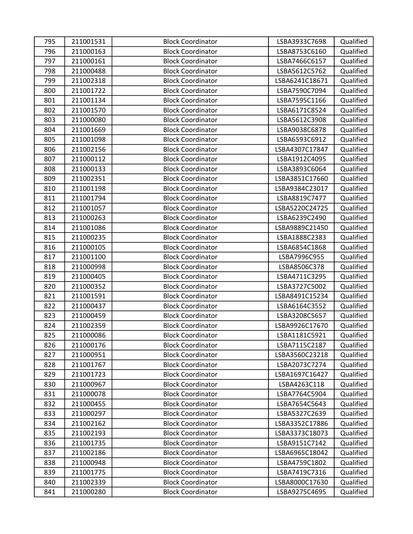| 795 | 211001531 | <b>Block Coordinator</b> | LSBA3933C7698  | Qualified |
|-----|-----------|--------------------------|----------------|-----------|
| 796 | 211000163 | <b>Block Coordinator</b> | LSBA8753C6160  | Qualified |
| 797 | 211000161 | <b>Block Coordinator</b> | LSBA7466C6157  | Qualified |
| 798 | 211000488 | <b>Block Coordinator</b> | LSBA5612C5762  | Qualified |
| 799 | 211002318 | <b>Block Coordinator</b> | LSBA6241C18671 | Qualified |
| 800 | 211001722 | <b>Block Coordinator</b> | LSBA7590C7094  | Qualified |
| 801 | 211001134 | <b>Block Coordinator</b> | LSBA7595C1166  | Qualified |
| 802 | 211001570 | <b>Block Coordinator</b> | LSBA6171C8524  | Qualified |
| 803 | 211000080 | <b>Block Coordinator</b> | LSBA5612C3908  | Qualified |
| 804 | 211001669 | <b>Block Coordinator</b> | LSBA9038C6878  | Qualified |
| 805 | 211001098 | <b>Block Coordinator</b> | LSBA6593C6912  | Qualified |
| 806 | 211002156 | <b>Block Coordinator</b> | LSBA4307C17847 | Qualified |
| 807 | 211000112 | <b>Block Coordinator</b> | LSBA1912C4095  | Qualified |
| 808 | 211000133 | <b>Block Coordinator</b> | LSBA3893C6064  | Qualified |
| 809 | 211002351 | <b>Block Coordinator</b> | LSBA3851C17660 | Qualified |
| 810 | 211001198 | <b>Block Coordinator</b> | LSBA9384C23017 | Qualified |
| 811 | 211001794 | <b>Block Coordinator</b> | LSBA8819C7477  | Qualified |
| 812 | 211001057 | <b>Block Coordinator</b> | LSBA5220C24725 | Qualified |
| 813 | 211000263 | <b>Block Coordinator</b> | LSBA6239C2490  | Qualified |
| 814 | 211001086 | <b>Block Coordinator</b> | LSBA9889C21450 | Qualified |
| 815 | 211000235 | <b>Block Coordinator</b> | LSBA1888C2383  | Qualified |
| 816 | 211000105 | <b>Block Coordinator</b> | LSBA6854C1868  | Qualified |
| 817 | 211001100 | <b>Block Coordinator</b> | LSBA7996C955   | Qualified |
| 818 | 211000998 | <b>Block Coordinator</b> | LSBA8506C378   | Qualified |
| 819 | 211000405 | <b>Block Coordinator</b> | LSBA4711C3295  | Qualified |
| 820 | 211000352 | <b>Block Coordinator</b> | LSBA3727C5002  | Qualified |
| 821 | 211001591 | <b>Block Coordinator</b> | LSBA8491C15234 | Qualified |
| 822 | 211000437 | <b>Block Coordinator</b> | LSBA6164C3552  | Qualified |
| 823 | 211000459 | <b>Block Coordinator</b> | LSBA3208C5657  | Qualified |
| 824 | 211002359 | <b>Block Coordinator</b> | LSBA9926C17670 | Qualified |
| 825 | 211000086 | <b>Block Coordinator</b> | LSBA1181C5921  | Qualified |
| 826 | 211000176 | <b>Block Coordinator</b> | LSBA7115C2187  | Qualified |
| 827 | 211000951 | <b>Block Coordinator</b> | LSBA3560C23218 | Qualified |
| 828 | 211001767 | <b>Block Coordinator</b> | LSBA2073C7274  | Qualified |
| 829 | 211001723 | <b>Block Coordinator</b> | LSBA1697C16427 | Qualified |
| 830 | 211000967 | <b>Block Coordinator</b> | LSBA4263C118   | Qualified |
| 831 | 211000078 | <b>Block Coordinator</b> | LSBA7764C5904  | Qualified |
| 832 | 211000455 | <b>Block Coordinator</b> | LSBA7654C5643  | Qualified |
| 833 | 211000297 | <b>Block Coordinator</b> | LSBA5327C2639  | Qualified |
| 834 | 211002162 | <b>Block Coordinator</b> | LSBA3352C17886 | Qualified |
| 835 | 211002193 | <b>Block Coordinator</b> | LSBA3373C18073 | Qualified |
| 836 | 211001735 | <b>Block Coordinator</b> | LSBA9151C7142  | Qualified |
| 837 | 211002186 | <b>Block Coordinator</b> | LSBA6965C18042 | Qualified |
| 838 | 211000948 | <b>Block Coordinator</b> | LSBA4759C1802  | Qualified |
| 839 | 211001775 | <b>Block Coordinator</b> | LSBA7419C7316  | Qualified |
| 840 | 211002339 | <b>Block Coordinator</b> | LSBA8000C17630 | Qualified |
| 841 | 211000280 | <b>Block Coordinator</b> | LSBA9275C4695  | Qualified |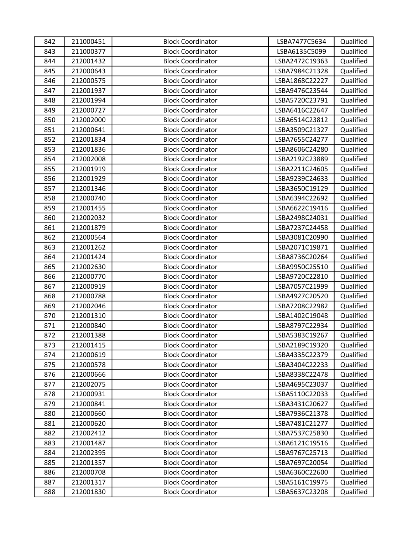| 842 | 211000451 | <b>Block Coordinator</b> | LSBA7477C5634  | Qualified |
|-----|-----------|--------------------------|----------------|-----------|
| 843 | 211000377 | <b>Block Coordinator</b> | LSBA6135C5099  | Qualified |
| 844 | 212001432 | <b>Block Coordinator</b> | LSBA2472C19363 | Qualified |
| 845 | 212000643 | <b>Block Coordinator</b> | LSBA7984C21328 | Qualified |
| 846 | 212000575 | <b>Block Coordinator</b> | LSBA1868C22227 | Qualified |
| 847 | 212001937 | <b>Block Coordinator</b> | LSBA9476C23544 | Qualified |
| 848 | 212001994 | <b>Block Coordinator</b> | LSBA5720C23791 | Qualified |
| 849 | 212000727 | <b>Block Coordinator</b> | LSBA6416C22647 | Qualified |
| 850 | 212002000 | <b>Block Coordinator</b> | LSBA6514C23812 | Qualified |
| 851 | 212000641 | <b>Block Coordinator</b> | LSBA3509C21327 | Qualified |
| 852 | 212001834 | <b>Block Coordinator</b> | LSBA7655C24277 | Qualified |
| 853 | 212001836 | <b>Block Coordinator</b> | LSBA8606C24280 | Qualified |
| 854 | 212002008 | <b>Block Coordinator</b> | LSBA2192C23889 | Qualified |
| 855 | 212001919 | <b>Block Coordinator</b> | LSBA2211C24605 | Qualified |
| 856 | 212001929 | <b>Block Coordinator</b> | LSBA9239C24633 | Qualified |
| 857 | 212001346 | <b>Block Coordinator</b> | LSBA3650C19129 | Qualified |
| 858 | 212000740 | <b>Block Coordinator</b> | LSBA6394C22692 | Qualified |
| 859 | 212001455 | <b>Block Coordinator</b> | LSBA6622C19416 | Qualified |
| 860 | 212002032 | <b>Block Coordinator</b> | LSBA2498C24031 | Qualified |
| 861 | 212001879 | <b>Block Coordinator</b> | LSBA7237C24458 | Qualified |
| 862 | 212000564 | <b>Block Coordinator</b> | LSBA3081C20990 | Qualified |
| 863 | 212001262 | <b>Block Coordinator</b> | LSBA2071C19871 | Qualified |
| 864 | 212001424 | <b>Block Coordinator</b> | LSBA8736C20264 | Qualified |
| 865 | 212002630 | <b>Block Coordinator</b> | LSBA9950C25510 | Qualified |
| 866 | 212000770 | <b>Block Coordinator</b> | LSBA9720C22810 | Qualified |
| 867 | 212000919 | <b>Block Coordinator</b> | LSBA7057C21999 | Qualified |
| 868 | 212000788 | <b>Block Coordinator</b> | LSBA4927C20520 | Qualified |
| 869 | 212002046 | <b>Block Coordinator</b> | LSBA7208C22982 | Qualified |
| 870 | 212001310 | <b>Block Coordinator</b> | LSBA1402C19048 | Qualified |
| 871 | 212000840 | <b>Block Coordinator</b> | LSBA8797C22934 | Qualified |
| 872 | 212001388 | <b>Block Coordinator</b> | LSBA5383C19267 | Qualified |
| 873 | 212001415 | <b>Block Coordinator</b> | LSBA2189C19320 | Qualified |
| 874 | 212000619 | <b>Block Coordinator</b> | LSBA4335C22379 | Qualified |
| 875 | 212000578 | <b>Block Coordinator</b> | LSBA3404C22233 | Qualified |
| 876 | 212000666 | <b>Block Coordinator</b> | LSBA8338C22478 | Qualified |
| 877 | 212002075 | <b>Block Coordinator</b> | LSBA4695C23037 | Qualified |
| 878 | 212000931 | <b>Block Coordinator</b> | LSBA5110C22033 | Qualified |
| 879 | 212000841 | <b>Block Coordinator</b> | LSBA3431C20627 | Qualified |
| 880 | 212000660 | <b>Block Coordinator</b> | LSBA7936C21378 | Qualified |
| 881 | 212000620 | <b>Block Coordinator</b> | LSBA7481C21277 | Qualified |
| 882 | 212002412 | <b>Block Coordinator</b> | LSBA7537C25830 | Qualified |
| 883 | 212001487 | <b>Block Coordinator</b> | LSBA6121C19516 | Qualified |
| 884 | 212002395 | <b>Block Coordinator</b> | LSBA9767C25713 | Qualified |
| 885 | 212001357 | <b>Block Coordinator</b> | LSBA7697C20054 | Qualified |
| 886 | 212000708 | <b>Block Coordinator</b> | LSBA6360C22600 | Qualified |
| 887 | 212001317 | <b>Block Coordinator</b> | LSBA5161C19975 | Qualified |
| 888 | 212001830 | <b>Block Coordinator</b> | LSBA5637C23208 | Qualified |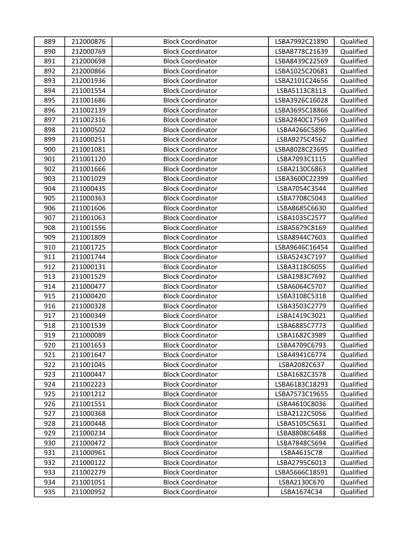| 889 | 212000876 | <b>Block Coordinator</b> | LSBA7992C21890 | Qualified |
|-----|-----------|--------------------------|----------------|-----------|
| 890 | 212000769 | <b>Block Coordinator</b> | LSBA8778C21639 | Qualified |
| 891 | 212000698 | <b>Block Coordinator</b> | LSBA8439C22569 | Qualified |
| 892 | 212000866 | <b>Block Coordinator</b> | LSBA1025C20681 | Qualified |
| 893 | 212001936 | <b>Block Coordinator</b> | LSBA2101C24656 | Qualified |
| 894 | 211001554 | <b>Block Coordinator</b> | LSBA5113C8113  | Qualified |
| 895 | 211001686 | <b>Block Coordinator</b> | LSBA3926C16028 | Qualified |
| 896 | 211002139 | <b>Block Coordinator</b> | LSBA3695C18866 | Qualified |
| 897 | 211002316 | <b>Block Coordinator</b> | LSBA2840C17569 | Qualified |
| 898 | 211000502 | <b>Block Coordinator</b> | LSBA4266C5896  | Qualified |
| 899 | 211000251 | <b>Block Coordinator</b> | LSBA9275C4562  | Qualified |
| 900 | 211001081 | <b>Block Coordinator</b> | LSBA8028C23695 | Qualified |
| 901 | 211001120 | <b>Block Coordinator</b> | LSBA7093C1115  | Qualified |
| 902 | 211001666 | <b>Block Coordinator</b> | LSBA2130C6863  | Qualified |
| 903 | 211001029 | <b>Block Coordinator</b> | LSBA3600C22399 | Qualified |
| 904 | 211000435 | <b>Block Coordinator</b> | LSBA7054C3544  | Qualified |
| 905 | 211000363 | <b>Block Coordinator</b> | LSBA7708C5043  | Qualified |
| 906 | 211001606 | <b>Block Coordinator</b> | LSBA8685C6630  | Qualified |
| 907 | 211001063 | <b>Block Coordinator</b> | LSBA1035C2577  | Qualified |
| 908 | 211001556 | <b>Block Coordinator</b> | LSBA5679C8169  | Qualified |
| 909 | 211001809 | <b>Block Coordinator</b> | LSBA8944C7603  | Qualified |
| 910 | 211001725 | <b>Block Coordinator</b> | LSBA9646C16454 | Qualified |
| 911 | 211001744 | <b>Block Coordinator</b> | LSBA5243C7197  | Qualified |
| 912 | 211000131 | <b>Block Coordinator</b> | LSBA3118C6055  | Qualified |
| 913 | 211001529 | <b>Block Coordinator</b> | LSBA1983C7692  | Qualified |
| 914 | 211000477 | <b>Block Coordinator</b> | LSBA6064C5707  | Qualified |
| 915 | 211000420 | <b>Block Coordinator</b> | LSBA3108C5318  | Qualified |
| 916 | 211000328 | <b>Block Coordinator</b> | LSBA3503C2779  | Qualified |
| 917 | 211000349 | <b>Block Coordinator</b> | LSBA1419C3021  | Qualified |
| 918 | 211001539 | <b>Block Coordinator</b> | LSBA6885C7773  | Qualified |
| 919 | 211000089 | <b>Block Coordinator</b> | LSBA1682C3989  | Qualified |
| 920 | 211001653 | <b>Block Coordinator</b> | LSBA4709C6793  | Qualified |
| 921 | 211001647 | <b>Block Coordinator</b> | LSBA4941C6774  | Qualified |
| 922 | 211001045 | <b>Block Coordinator</b> | LSBA2082C637   | Qualified |
| 923 | 211000447 | <b>Block Coordinator</b> | LSBA1682C3578  | Qualified |
| 924 | 211002223 | <b>Block Coordinator</b> | LSBA6183C18293 | Qualified |
| 925 | 211001212 | <b>Block Coordinator</b> | LSBA7573C19655 | Qualified |
| 926 | 211001551 | <b>Block Coordinator</b> | LSBA4610C8036  | Qualified |
| 927 | 211000368 | <b>Block Coordinator</b> | LSBA2122C5056  | Qualified |
| 928 | 211000448 | <b>Block Coordinator</b> | LSBA5105C5631  | Qualified |
| 929 | 211000234 | <b>Block Coordinator</b> | LSBA8808C6488  | Qualified |
| 930 | 211000472 | <b>Block Coordinator</b> | LSBA7848C5694  | Qualified |
| 931 | 211000961 | <b>Block Coordinator</b> | LSBA4615C78    | Qualified |
| 932 | 211000122 | <b>Block Coordinator</b> | LSBA2795C6013  | Qualified |
| 933 | 211002279 | <b>Block Coordinator</b> | LSBA5666C18591 | Qualified |
| 934 | 211001051 | <b>Block Coordinator</b> | LSBA2130C670   | Qualified |
| 935 | 211000952 | <b>Block Coordinator</b> | LSBA1674C34    | Qualified |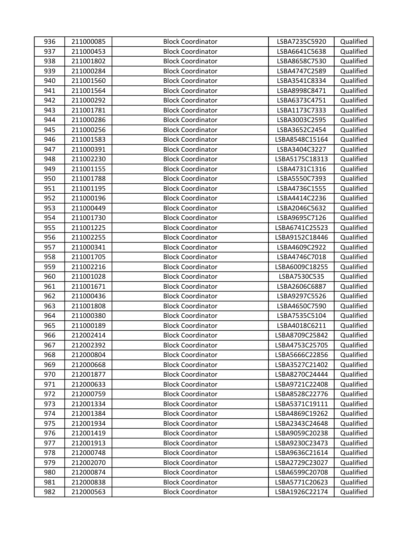| 936 | 211000085 | <b>Block Coordinator</b> | LSBA7235C5920  | Qualified |
|-----|-----------|--------------------------|----------------|-----------|
| 937 | 211000453 | <b>Block Coordinator</b> | LSBA6641C5638  | Qualified |
| 938 | 211001802 | <b>Block Coordinator</b> | LSBA8658C7530  | Qualified |
| 939 | 211000284 | <b>Block Coordinator</b> | LSBA4747C2589  | Qualified |
| 940 | 211001560 | <b>Block Coordinator</b> | LSBA3541C8334  | Qualified |
| 941 | 211001564 | <b>Block Coordinator</b> | LSBA8998C8471  | Qualified |
| 942 | 211000292 | <b>Block Coordinator</b> | LSBA6373C4751  | Qualified |
| 943 | 211001781 | <b>Block Coordinator</b> | LSBA1173C7333  | Qualified |
| 944 | 211000286 | <b>Block Coordinator</b> | LSBA3003C2595  | Qualified |
| 945 | 211000256 | <b>Block Coordinator</b> | LSBA3652C2454  | Qualified |
| 946 | 211001583 | <b>Block Coordinator</b> | LSBA8548C15164 | Qualified |
| 947 | 211000391 | <b>Block Coordinator</b> | LSBA3404C3227  | Qualified |
| 948 | 211002230 | <b>Block Coordinator</b> | LSBA5175C18313 | Qualified |
| 949 | 211001155 | <b>Block Coordinator</b> | LSBA4731C1316  | Qualified |
| 950 | 211001788 | <b>Block Coordinator</b> | LSBA5550C7393  | Qualified |
| 951 | 211001195 | <b>Block Coordinator</b> | LSBA4736C1555  | Qualified |
| 952 | 211000196 | <b>Block Coordinator</b> | LSBA4414C2236  | Qualified |
| 953 | 211000449 | <b>Block Coordinator</b> | LSBA2046C5632  | Qualified |
| 954 | 211001730 | <b>Block Coordinator</b> | LSBA9695C7126  | Qualified |
| 955 | 211001225 | <b>Block Coordinator</b> | LSBA6741C25523 | Qualified |
| 956 | 211002255 | <b>Block Coordinator</b> | LSBA9152C18446 | Qualified |
| 957 | 211000341 | <b>Block Coordinator</b> | LSBA4609C2922  | Qualified |
| 958 | 211001705 | <b>Block Coordinator</b> | LSBA4746C7018  | Qualified |
| 959 | 211002216 | <b>Block Coordinator</b> | LSBA6009C18255 | Qualified |
| 960 | 211001028 | <b>Block Coordinator</b> | LSBA7530C535   | Qualified |
| 961 | 211001671 | <b>Block Coordinator</b> | LSBA2606C6887  | Qualified |
| 962 | 211000436 | <b>Block Coordinator</b> | LSBA9297C5526  | Qualified |
| 963 | 211001808 | <b>Block Coordinator</b> | LSBA4650C7590  | Qualified |
| 964 | 211000380 | <b>Block Coordinator</b> | LSBA7535C5104  | Qualified |
| 965 | 211000189 | <b>Block Coordinator</b> | LSBA4018C6211  | Qualified |
| 966 | 212002414 | <b>Block Coordinator</b> | LSBA8709C25842 | Qualified |
| 967 | 212002392 | <b>Block Coordinator</b> | LSBA4753C25705 | Qualified |
| 968 | 212000804 | <b>Block Coordinator</b> | LSBA5666C22856 | Qualified |
| 969 | 212000668 | <b>Block Coordinator</b> | LSBA3527C21402 | Qualified |
| 970 | 212001877 | <b>Block Coordinator</b> | LSBA8270C24444 | Qualified |
| 971 | 212000633 | <b>Block Coordinator</b> | LSBA9721C22408 | Qualified |
| 972 | 212000759 | <b>Block Coordinator</b> | LSBA8528C22776 | Qualified |
| 973 | 212001334 | <b>Block Coordinator</b> | LSBA5371C19111 | Qualified |
| 974 | 212001384 | <b>Block Coordinator</b> | LSBA4869C19262 | Qualified |
| 975 | 212001934 | <b>Block Coordinator</b> | LSBA2343C24648 | Qualified |
| 976 | 212001419 | <b>Block Coordinator</b> | LSBA9059C20238 | Qualified |
| 977 | 212001913 | <b>Block Coordinator</b> | LSBA9230C23473 | Qualified |
| 978 | 212000748 | <b>Block Coordinator</b> | LSBA9636C21614 | Qualified |
| 979 | 212002070 | <b>Block Coordinator</b> | LSBA2729C23027 | Qualified |
| 980 | 212000874 | <b>Block Coordinator</b> | LSBA6599C20708 | Qualified |
| 981 | 212000838 | <b>Block Coordinator</b> | LSBA5771C20623 | Qualified |
| 982 | 212000563 | <b>Block Coordinator</b> | LSBA1926C22174 | Qualified |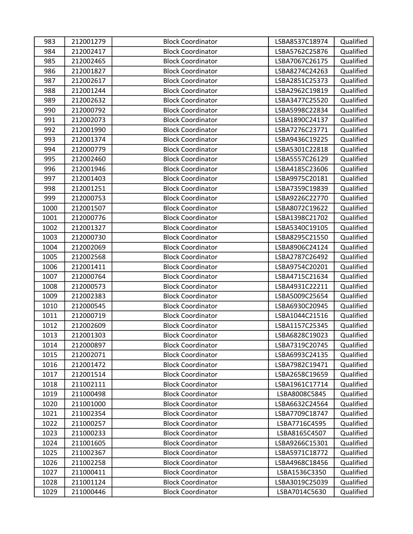| 983  | 212001279 | <b>Block Coordinator</b> | LSBA8537C18974 | Qualified |
|------|-----------|--------------------------|----------------|-----------|
| 984  | 212002417 | <b>Block Coordinator</b> | LSBA5762C25876 | Qualified |
| 985  | 212002465 | <b>Block Coordinator</b> | LSBA7067C26175 | Qualified |
| 986  | 212001827 | <b>Block Coordinator</b> | LSBA8274C24263 | Qualified |
| 987  | 212002617 | <b>Block Coordinator</b> | LSBA2851C25373 | Qualified |
| 988  | 212001244 | <b>Block Coordinator</b> | LSBA2962C19819 | Qualified |
| 989  | 212002632 | <b>Block Coordinator</b> | LSBA3477C25520 | Qualified |
| 990  | 212000792 | <b>Block Coordinator</b> | LSBA5998C22834 | Qualified |
| 991  | 212002073 | <b>Block Coordinator</b> | LSBA1890C24137 | Qualified |
| 992  | 212001990 | <b>Block Coordinator</b> | LSBA7276C23771 | Qualified |
| 993  | 212001374 | <b>Block Coordinator</b> | LSBA9436C19225 | Qualified |
| 994  | 212000779 | <b>Block Coordinator</b> | LSBA5301C22818 | Qualified |
| 995  | 212002460 | <b>Block Coordinator</b> | LSBA5557C26129 | Qualified |
| 996  | 212001946 | <b>Block Coordinator</b> | LSBA4185C23606 | Qualified |
| 997  | 212001403 | <b>Block Coordinator</b> | LSBA9975C20181 | Qualified |
| 998  | 212001251 | <b>Block Coordinator</b> | LSBA7359C19839 | Qualified |
| 999  | 212000753 | <b>Block Coordinator</b> | LSBA9226C22770 | Qualified |
| 1000 | 212001507 | <b>Block Coordinator</b> | LSBA8072C19622 | Qualified |
| 1001 | 212000776 | <b>Block Coordinator</b> | LSBA1398C21702 | Qualified |
| 1002 | 212001327 | <b>Block Coordinator</b> | LSBA5340C19105 | Qualified |
| 1003 | 212000730 | <b>Block Coordinator</b> | LSBA8295C21550 | Qualified |
| 1004 | 212002069 | <b>Block Coordinator</b> | LSBA8906C24124 | Qualified |
| 1005 | 212002568 | <b>Block Coordinator</b> | LSBA2787C26492 | Qualified |
| 1006 | 212001411 | <b>Block Coordinator</b> | LSBA9754C20201 | Qualified |
| 1007 | 212000764 | <b>Block Coordinator</b> | LSBA4715C21634 | Qualified |
| 1008 | 212000573 | <b>Block Coordinator</b> | LSBA4931C22211 | Qualified |
| 1009 | 212002383 | <b>Block Coordinator</b> | LSBA5009C25654 | Qualified |
| 1010 | 212000545 | <b>Block Coordinator</b> | LSBA6930C20945 | Qualified |
| 1011 | 212000719 | <b>Block Coordinator</b> | LSBA1044C21516 | Qualified |
| 1012 | 212002609 | <b>Block Coordinator</b> | LSBA1157C25345 | Qualified |
| 1013 | 212001303 | <b>Block Coordinator</b> | LSBA6828C19023 | Qualified |
| 1014 | 212000897 | <b>Block Coordinator</b> | LSBA7319C20745 | Qualified |
| 1015 | 212002071 | <b>Block Coordinator</b> | LSBA6993C24135 | Qualified |
| 1016 | 212001472 | <b>Block Coordinator</b> | LSBA7982C19471 | Qualified |
| 1017 | 212001514 | <b>Block Coordinator</b> | LSBA2658C19659 | Qualified |
| 1018 | 211002111 | <b>Block Coordinator</b> | LSBA1961C17714 | Qualified |
| 1019 | 211000498 | <b>Block Coordinator</b> | LSBA8008C5845  | Qualified |
| 1020 | 211001000 | <b>Block Coordinator</b> | LSBA6632C24564 | Qualified |
| 1021 | 211002354 | <b>Block Coordinator</b> | LSBA7709C18747 | Qualified |
| 1022 | 211000257 | <b>Block Coordinator</b> | LSBA7716C4595  | Qualified |
| 1023 | 211000233 | <b>Block Coordinator</b> | LSBA8165C4507  | Qualified |
| 1024 | 211001605 | <b>Block Coordinator</b> | LSBA9266C15301 | Qualified |
| 1025 | 211002367 | <b>Block Coordinator</b> | LSBA5971C18772 | Qualified |
| 1026 | 211002258 | <b>Block Coordinator</b> | LSBA4968C18456 | Qualified |
| 1027 | 211000411 | <b>Block Coordinator</b> | LSBA1536C3350  | Qualified |
| 1028 | 211001124 | <b>Block Coordinator</b> | LSBA3019C25039 | Qualified |
| 1029 | 211000446 | <b>Block Coordinator</b> | LSBA7014C5630  | Qualified |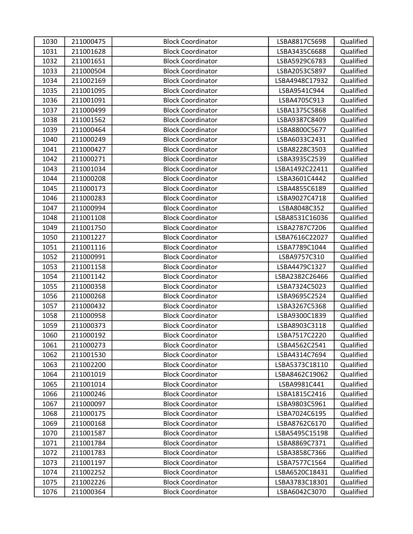| 1030 | 211000475 | <b>Block Coordinator</b> | LSBA8817C5698  | Qualified |
|------|-----------|--------------------------|----------------|-----------|
| 1031 | 211001628 | <b>Block Coordinator</b> | LSBA3435C6688  | Qualified |
| 1032 | 211001651 | <b>Block Coordinator</b> | LSBA5929C6783  | Qualified |
| 1033 | 211000504 | <b>Block Coordinator</b> | LSBA2053C5897  | Qualified |
| 1034 | 211002169 | <b>Block Coordinator</b> | LSBA4948C17932 | Qualified |
| 1035 | 211001095 | <b>Block Coordinator</b> | LSBA9541C944   | Qualified |
| 1036 | 211001091 | <b>Block Coordinator</b> | LSBA4705C913   | Qualified |
| 1037 | 211000499 | <b>Block Coordinator</b> | LSBA1375C5868  | Qualified |
| 1038 | 211001562 | <b>Block Coordinator</b> | LSBA9387C8409  | Qualified |
| 1039 | 211000464 | <b>Block Coordinator</b> | LSBA8800C5677  | Qualified |
| 1040 | 211000249 | <b>Block Coordinator</b> | LSBA6033C2431  | Qualified |
| 1041 | 211000427 | <b>Block Coordinator</b> | LSBA8228C3503  | Qualified |
| 1042 | 211000271 | <b>Block Coordinator</b> | LSBA3935C2539  | Qualified |
| 1043 | 211001034 | <b>Block Coordinator</b> | LSBA1492C22411 | Qualified |
| 1044 | 211000208 | <b>Block Coordinator</b> | LSBA3601C4442  | Qualified |
| 1045 | 211000173 | <b>Block Coordinator</b> | LSBA4855C6189  | Qualified |
| 1046 | 211000283 | <b>Block Coordinator</b> | LSBA9027C4718  | Qualified |
| 1047 | 211000994 | <b>Block Coordinator</b> | LSBA8048C352   | Qualified |
| 1048 | 211001108 | <b>Block Coordinator</b> | LSBA8531C16036 | Qualified |
| 1049 | 211001750 | <b>Block Coordinator</b> | LSBA2787C7206  | Qualified |
| 1050 | 211001227 | <b>Block Coordinator</b> | LSBA7616C22027 | Qualified |
| 1051 | 211001116 | <b>Block Coordinator</b> | LSBA7789C1044  | Qualified |
| 1052 | 211000991 | <b>Block Coordinator</b> | LSBA9757C310   | Qualified |
| 1053 | 211001158 | <b>Block Coordinator</b> | LSBA4479C1327  | Qualified |
| 1054 | 211001142 | <b>Block Coordinator</b> | LSBA2382C26466 | Qualified |
| 1055 | 211000358 | <b>Block Coordinator</b> | LSBA7324C5023  | Qualified |
| 1056 | 211000268 | <b>Block Coordinator</b> | LSBA9695C2524  | Qualified |
| 1057 | 211000432 | <b>Block Coordinator</b> | LSBA3267C5368  | Qualified |
| 1058 | 211000958 | <b>Block Coordinator</b> | LSBA9300C1839  | Qualified |
| 1059 | 211000373 | <b>Block Coordinator</b> | LSBA8903C3118  | Qualified |
| 1060 | 211000192 | <b>Block Coordinator</b> | LSBA7517C2220  | Qualified |
| 1061 | 211000273 | <b>Block Coordinator</b> | LSBA4562C2541  | Qualified |
| 1062 | 211001530 | <b>Block Coordinator</b> | LSBA4314C7694  | Qualified |
| 1063 | 211002200 | <b>Block Coordinator</b> | LSBA5373C18110 | Qualified |
| 1064 | 211001019 | <b>Block Coordinator</b> | LSBA8462C19062 | Qualified |
| 1065 | 211001014 | <b>Block Coordinator</b> | LSBA9981C441   | Qualified |
| 1066 | 211000246 | <b>Block Coordinator</b> | LSBA1815C2416  | Qualified |
| 1067 | 211000097 | <b>Block Coordinator</b> | LSBA9803C5961  | Qualified |
| 1068 | 211000175 | <b>Block Coordinator</b> | LSBA7024C6195  | Qualified |
| 1069 | 211000168 | <b>Block Coordinator</b> | LSBA8762C6170  | Qualified |
| 1070 | 211001587 | <b>Block Coordinator</b> | LSBA5495C15198 | Qualified |
| 1071 | 211001784 | <b>Block Coordinator</b> | LSBA8869C7371  | Qualified |
| 1072 | 211001783 | <b>Block Coordinator</b> | LSBA3858C7366  | Qualified |
| 1073 | 211001197 | <b>Block Coordinator</b> | LSBA7577C1564  | Qualified |
| 1074 | 211002252 | <b>Block Coordinator</b> | LSBA6520C18431 | Qualified |
| 1075 | 211002226 | <b>Block Coordinator</b> | LSBA3783C18301 | Qualified |
| 1076 | 211000364 | <b>Block Coordinator</b> | LSBA6042C3070  | Qualified |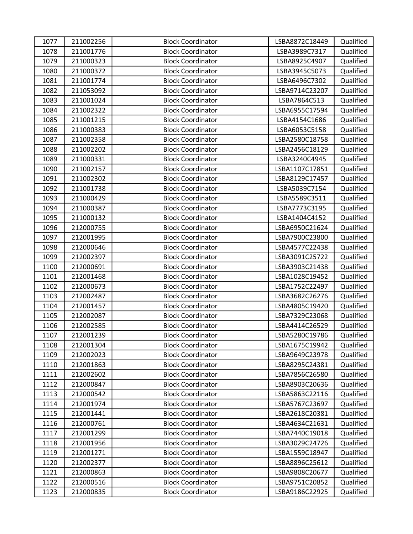| 1077 | 211002256 | <b>Block Coordinator</b> | LSBA8872C18449 | Qualified |
|------|-----------|--------------------------|----------------|-----------|
| 1078 | 211001776 | <b>Block Coordinator</b> | LSBA3989C7317  | Qualified |
| 1079 | 211000323 | <b>Block Coordinator</b> | LSBA8925C4907  | Qualified |
| 1080 | 211000372 | <b>Block Coordinator</b> | LSBA3945C5073  | Qualified |
| 1081 | 211001774 | <b>Block Coordinator</b> | LSBA6496C7302  | Qualified |
| 1082 | 211053092 | <b>Block Coordinator</b> | LSBA9714C23207 | Qualified |
| 1083 | 211001024 | <b>Block Coordinator</b> | LSBA7864C513   | Qualified |
| 1084 | 211002322 | <b>Block Coordinator</b> | LSBA6955C17594 | Qualified |
| 1085 | 211001215 | <b>Block Coordinator</b> | LSBA4154C1686  | Qualified |
| 1086 | 211000383 | <b>Block Coordinator</b> | LSBA6053C5158  | Qualified |
| 1087 | 211002358 | <b>Block Coordinator</b> | LSBA2580C18758 | Qualified |
| 1088 | 211002202 | <b>Block Coordinator</b> | LSBA2456C18129 | Qualified |
| 1089 | 211000331 | <b>Block Coordinator</b> | LSBA3240C4945  | Qualified |
| 1090 | 211002157 | <b>Block Coordinator</b> | LSBA1107C17851 | Qualified |
| 1091 | 211002302 | <b>Block Coordinator</b> | LSBA8129C17457 | Qualified |
| 1092 | 211001738 | <b>Block Coordinator</b> | LSBA5039C7154  | Qualified |
| 1093 | 211000429 | <b>Block Coordinator</b> | LSBA5589C3511  | Qualified |
| 1094 | 211000387 | <b>Block Coordinator</b> | LSBA7773C3195  | Qualified |
| 1095 | 211000132 | <b>Block Coordinator</b> | LSBA1404C4152  | Qualified |
| 1096 | 212000755 | <b>Block Coordinator</b> | LSBA6950C21624 | Qualified |
| 1097 | 212001995 | <b>Block Coordinator</b> | LSBA7900C23800 | Qualified |
| 1098 | 212000646 | <b>Block Coordinator</b> | LSBA4577C22438 | Qualified |
| 1099 | 212002397 | <b>Block Coordinator</b> | LSBA3091C25722 | Qualified |
| 1100 | 212000691 | <b>Block Coordinator</b> | LSBA3903C21438 | Qualified |
| 1101 | 212001468 | <b>Block Coordinator</b> | LSBA1028C19452 | Qualified |
| 1102 | 212000673 | <b>Block Coordinator</b> | LSBA1752C22497 | Qualified |
| 1103 | 212002487 | <b>Block Coordinator</b> | LSBA3682C26276 | Qualified |
| 1104 | 212001457 | <b>Block Coordinator</b> | LSBA4805C19420 | Qualified |
| 1105 | 212002087 | <b>Block Coordinator</b> | LSBA7329C23068 | Qualified |
| 1106 | 212002585 | <b>Block Coordinator</b> | LSBA4414C26529 | Qualified |
| 1107 | 212001239 | <b>Block Coordinator</b> | LSBA5280C19786 | Qualified |
| 1108 | 212001304 | <b>Block Coordinator</b> | LSBA1675C19942 | Qualified |
| 1109 | 212002023 | <b>Block Coordinator</b> | LSBA9649C23978 | Qualified |
| 1110 | 212001863 | <b>Block Coordinator</b> | LSBA8295C24381 | Qualified |
| 1111 | 212002602 | <b>Block Coordinator</b> | LSBA7856C26580 | Qualified |
| 1112 | 212000847 | <b>Block Coordinator</b> | LSBA8903C20636 | Qualified |
| 1113 | 212000542 | <b>Block Coordinator</b> | LSBA5863C22116 | Qualified |
| 1114 | 212001974 | <b>Block Coordinator</b> | LSBA5767C23697 | Qualified |
| 1115 | 212001441 | <b>Block Coordinator</b> | LSBA2618C20381 | Qualified |
| 1116 | 212000761 | <b>Block Coordinator</b> | LSBA4634C21631 | Qualified |
| 1117 | 212001299 | <b>Block Coordinator</b> | LSBA7440C19018 | Qualified |
| 1118 | 212001956 | <b>Block Coordinator</b> | LSBA3029C24726 | Qualified |
| 1119 | 212001271 | <b>Block Coordinator</b> | LSBA1559C18947 | Qualified |
| 1120 | 212002377 | <b>Block Coordinator</b> | LSBA8896C25612 | Qualified |
| 1121 | 212000863 | <b>Block Coordinator</b> | LSBA9808C20677 | Qualified |
| 1122 | 212000516 | <b>Block Coordinator</b> | LSBA9751C20852 | Qualified |
| 1123 | 212000835 | <b>Block Coordinator</b> | LSBA9186C22925 | Qualified |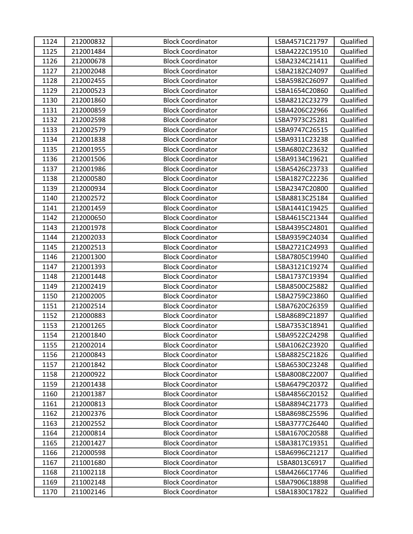| 1124 | 212000832 | <b>Block Coordinator</b> | LSBA4571C21797 | Qualified |
|------|-----------|--------------------------|----------------|-----------|
| 1125 | 212001484 | <b>Block Coordinator</b> | LSBA4222C19510 | Qualified |
| 1126 | 212000678 | <b>Block Coordinator</b> | LSBA2324C21411 | Qualified |
| 1127 | 212002048 | <b>Block Coordinator</b> | LSBA2182C24097 | Qualified |
| 1128 | 212002455 | <b>Block Coordinator</b> | LSBA5982C26097 | Qualified |
| 1129 | 212000523 | <b>Block Coordinator</b> | LSBA1654C20860 | Qualified |
| 1130 | 212001860 | <b>Block Coordinator</b> | LSBA8212C23279 | Qualified |
| 1131 | 212000859 | <b>Block Coordinator</b> | LSBA4206C22966 | Qualified |
| 1132 | 212002598 | <b>Block Coordinator</b> | LSBA7973C25281 | Qualified |
| 1133 | 212002579 | <b>Block Coordinator</b> | LSBA9747C26515 | Qualified |
| 1134 | 212001838 | <b>Block Coordinator</b> | LSBA9311C23238 | Qualified |
| 1135 | 212001955 | <b>Block Coordinator</b> | LSBA6802C23632 | Qualified |
| 1136 | 212001506 | <b>Block Coordinator</b> | LSBA9134C19621 | Qualified |
| 1137 | 212001986 | <b>Block Coordinator</b> | LSBA5426C23733 | Qualified |
| 1138 | 212000580 | <b>Block Coordinator</b> | LSBA1827C22236 | Qualified |
| 1139 | 212000934 | <b>Block Coordinator</b> | LSBA2347C20800 | Qualified |
| 1140 | 212002572 | <b>Block Coordinator</b> | LSBA8813C25184 | Qualified |
| 1141 | 212001459 | <b>Block Coordinator</b> | LSBA1441C19425 | Qualified |
| 1142 | 212000650 | <b>Block Coordinator</b> | LSBA4615C21344 | Qualified |
| 1143 | 212001978 | <b>Block Coordinator</b> | LSBA4395C24801 | Qualified |
| 1144 | 212002033 | <b>Block Coordinator</b> | LSBA9359C24034 | Qualified |
| 1145 | 212002513 | <b>Block Coordinator</b> | LSBA2721C24993 | Qualified |
| 1146 | 212001300 | <b>Block Coordinator</b> | LSBA7805C19940 | Qualified |
| 1147 | 212001393 | <b>Block Coordinator</b> | LSBA3121C19274 | Qualified |
| 1148 | 212001448 | <b>Block Coordinator</b> | LSBA1737C19394 | Qualified |
| 1149 | 212002419 | <b>Block Coordinator</b> | LSBA8500C25882 | Qualified |
| 1150 | 212002005 | <b>Block Coordinator</b> | LSBA2759C23860 | Qualified |
| 1151 | 212002514 | <b>Block Coordinator</b> | LSBA7620C26359 | Qualified |
| 1152 | 212000883 | <b>Block Coordinator</b> | LSBA8689C21897 | Qualified |
| 1153 | 212001265 | <b>Block Coordinator</b> | LSBA7353C18941 | Qualified |
| 1154 | 212001840 | <b>Block Coordinator</b> | LSBA9522C24298 | Qualified |
| 1155 | 212002014 | <b>Block Coordinator</b> | LSBA1062C23920 | Qualified |
| 1156 | 212000843 | <b>Block Coordinator</b> | LSBA8825C21826 | Qualified |
| 1157 | 212001842 | <b>Block Coordinator</b> | LSBA6530C23248 | Qualified |
| 1158 | 212000922 | <b>Block Coordinator</b> | LSBA8008C22007 | Qualified |
| 1159 | 212001438 | <b>Block Coordinator</b> | LSBA6479C20372 | Qualified |
| 1160 | 212001387 | <b>Block Coordinator</b> | LSBA4856C20152 | Qualified |
| 1161 | 212000813 | <b>Block Coordinator</b> | LSBA8894C21773 | Qualified |
| 1162 | 212002376 | <b>Block Coordinator</b> | LSBA8698C25596 | Qualified |
| 1163 | 212002552 | <b>Block Coordinator</b> | LSBA3777C26440 | Qualified |
| 1164 | 212000814 | <b>Block Coordinator</b> | LSBA1670C20588 | Qualified |
| 1165 | 212001427 | <b>Block Coordinator</b> | LSBA3817C19351 | Qualified |
| 1166 | 212000598 | <b>Block Coordinator</b> | LSBA6996C21217 | Qualified |
| 1167 | 211001680 | <b>Block Coordinator</b> | LSBA8013C6917  | Qualified |
| 1168 | 211002118 | <b>Block Coordinator</b> | LSBA4266C17746 | Qualified |
| 1169 | 211002148 | <b>Block Coordinator</b> | LSBA7906C18898 | Qualified |
| 1170 | 211002146 | <b>Block Coordinator</b> | LSBA1830C17822 | Qualified |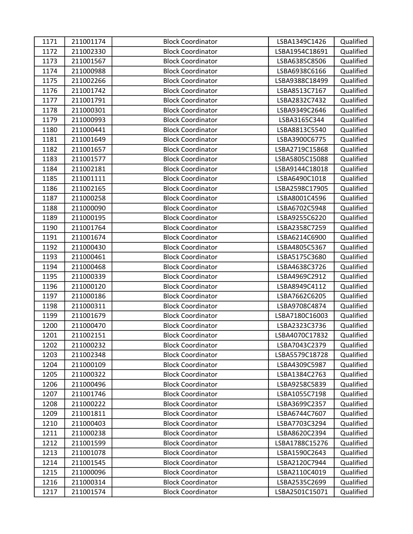| 1171 | 211001174 | <b>Block Coordinator</b> | LSBA1349C1426  | Qualified |
|------|-----------|--------------------------|----------------|-----------|
| 1172 | 211002330 | <b>Block Coordinator</b> | LSBA1954C18691 | Qualified |
| 1173 | 211001567 | <b>Block Coordinator</b> | LSBA6385C8506  | Qualified |
| 1174 | 211000988 | <b>Block Coordinator</b> | LSBA6938C6166  | Qualified |
| 1175 | 211002266 | <b>Block Coordinator</b> | LSBA9388C18499 | Qualified |
| 1176 | 211001742 | <b>Block Coordinator</b> | LSBA8513C7167  | Qualified |
| 1177 | 211001791 | <b>Block Coordinator</b> | LSBA2832C7432  | Qualified |
| 1178 | 211000301 | <b>Block Coordinator</b> | LSBA9349C2646  | Qualified |
| 1179 | 211000993 | <b>Block Coordinator</b> | LSBA3165C344   | Qualified |
| 1180 | 211000441 | <b>Block Coordinator</b> | LSBA8813C5540  | Qualified |
| 1181 | 211001649 | <b>Block Coordinator</b> | LSBA3900C6775  | Qualified |
| 1182 | 211001657 | <b>Block Coordinator</b> | LSBA2719C15868 | Qualified |
| 1183 | 211001577 | <b>Block Coordinator</b> | LSBA5805C15088 | Qualified |
| 1184 | 211002181 | <b>Block Coordinator</b> | LSBA9144C18018 | Qualified |
| 1185 | 211001111 | <b>Block Coordinator</b> | LSBA6490C1018  | Qualified |
| 1186 | 211002165 | <b>Block Coordinator</b> | LSBA2598C17905 | Qualified |
| 1187 | 211000258 | <b>Block Coordinator</b> | LSBA8001C4596  | Qualified |
| 1188 | 211000090 | <b>Block Coordinator</b> | LSBA6702C5948  | Qualified |
| 1189 | 211000195 | <b>Block Coordinator</b> | LSBA9255C6220  | Qualified |
| 1190 | 211001764 | <b>Block Coordinator</b> | LSBA2358C7259  | Qualified |
| 1191 | 211001674 | <b>Block Coordinator</b> | LSBA6214C6900  | Qualified |
| 1192 | 211000430 | <b>Block Coordinator</b> | LSBA4805C5367  | Qualified |
| 1193 | 211000461 | <b>Block Coordinator</b> | LSBA5175C3680  | Qualified |
| 1194 | 211000468 | <b>Block Coordinator</b> | LSBA4638C3726  | Qualified |
| 1195 | 211000339 | <b>Block Coordinator</b> | LSBA4969C2912  | Qualified |
| 1196 | 211000120 | <b>Block Coordinator</b> | LSBA8949C4112  | Qualified |
| 1197 | 211000186 | <b>Block Coordinator</b> | LSBA7662C6205  | Qualified |
| 1198 | 211000311 | <b>Block Coordinator</b> | LSBA9708C4874  | Qualified |
| 1199 | 211001679 | <b>Block Coordinator</b> | LSBA7180C16003 | Qualified |
| 1200 | 211000470 | <b>Block Coordinator</b> | LSBA2323C3736  | Qualified |
| 1201 | 211002151 | <b>Block Coordinator</b> | LSBA4070C17832 | Qualified |
| 1202 | 211000232 | <b>Block Coordinator</b> | LSBA7043C2379  | Qualified |
| 1203 | 211002348 | <b>Block Coordinator</b> | LSBA5579C18728 | Qualified |
| 1204 | 211000109 | <b>Block Coordinator</b> | LSBA4309C5987  | Qualified |
| 1205 | 211000322 | <b>Block Coordinator</b> | LSBA1384C2763  | Qualified |
| 1206 | 211000496 | <b>Block Coordinator</b> | LSBA9258C5839  | Qualified |
| 1207 | 211001746 | <b>Block Coordinator</b> | LSBA1055C7198  | Qualified |
| 1208 | 211000222 | <b>Block Coordinator</b> | LSBA3699C2357  | Qualified |
| 1209 | 211001811 | <b>Block Coordinator</b> | LSBA6744C7607  | Qualified |
| 1210 | 211000403 | <b>Block Coordinator</b> | LSBA7703C3294  | Qualified |
| 1211 | 211000238 | <b>Block Coordinator</b> | LSBA8620C2394  | Qualified |
| 1212 | 211001599 | <b>Block Coordinator</b> | LSBA1788C15276 | Qualified |
| 1213 | 211001078 | <b>Block Coordinator</b> | LSBA1590C2643  | Qualified |
| 1214 | 211001545 | <b>Block Coordinator</b> | LSBA2120C7944  | Qualified |
| 1215 | 211000096 | <b>Block Coordinator</b> | LSBA2110C4019  | Qualified |
| 1216 | 211000314 | <b>Block Coordinator</b> | LSBA2535C2699  | Qualified |
| 1217 | 211001574 | <b>Block Coordinator</b> | LSBA2501C15071 | Qualified |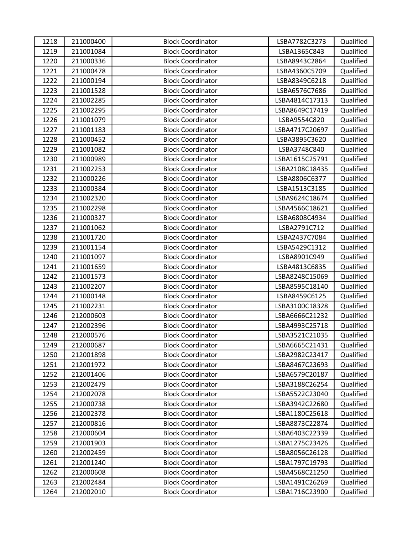| 1218 | 211000400 | <b>Block Coordinator</b> | LSBA7782C3273  | Qualified |
|------|-----------|--------------------------|----------------|-----------|
| 1219 | 211001084 | <b>Block Coordinator</b> | LSBA1365C843   | Qualified |
| 1220 | 211000336 | <b>Block Coordinator</b> | LSBA8943C2864  | Qualified |
| 1221 | 211000478 | <b>Block Coordinator</b> | LSBA4360C5709  | Qualified |
| 1222 | 211000194 | <b>Block Coordinator</b> | LSBA8349C6218  | Qualified |
| 1223 | 211001528 | <b>Block Coordinator</b> | LSBA6576C7686  | Qualified |
| 1224 | 211002285 | <b>Block Coordinator</b> | LSBA4814C17313 | Qualified |
| 1225 | 211002295 | <b>Block Coordinator</b> | LSBA8649C17419 | Qualified |
| 1226 | 211001079 | <b>Block Coordinator</b> | LSBA9554C820   | Qualified |
| 1227 | 211001183 | <b>Block Coordinator</b> | LSBA4717C20697 | Qualified |
| 1228 | 211000452 | <b>Block Coordinator</b> | LSBA3895C3620  | Qualified |
| 1229 | 211001082 | <b>Block Coordinator</b> | LSBA3748C840   | Qualified |
| 1230 | 211000989 | <b>Block Coordinator</b> | LSBA1615C25791 | Qualified |
| 1231 | 211002253 | <b>Block Coordinator</b> | LSBA2108C18435 | Qualified |
| 1232 | 211000226 | <b>Block Coordinator</b> | LSBA8806C6377  | Qualified |
| 1233 | 211000384 | <b>Block Coordinator</b> | LSBA1513C3185  | Qualified |
| 1234 | 211002320 | <b>Block Coordinator</b> | LSBA9624C18674 | Qualified |
| 1235 | 211002298 | <b>Block Coordinator</b> | LSBA4566C18621 | Qualified |
| 1236 | 211000327 | <b>Block Coordinator</b> | LSBA6808C4934  | Qualified |
| 1237 | 211001062 | <b>Block Coordinator</b> | LSBA2791C712   | Qualified |
| 1238 | 211001720 | <b>Block Coordinator</b> | LSBA2437C7084  | Qualified |
| 1239 | 211001154 | <b>Block Coordinator</b> | LSBA5429C1312  | Qualified |
| 1240 | 211001097 | <b>Block Coordinator</b> | LSBA8901C949   | Qualified |
| 1241 | 211001659 | <b>Block Coordinator</b> | LSBA4813C6835  | Qualified |
| 1242 | 211001573 | <b>Block Coordinator</b> | LSBA8248C15069 | Qualified |
| 1243 | 211002207 | <b>Block Coordinator</b> | LSBA8595C18140 | Qualified |
| 1244 | 211000148 | <b>Block Coordinator</b> | LSBA8459C6125  | Qualified |
| 1245 | 211002231 | <b>Block Coordinator</b> | LSBA3100C18328 | Qualified |
| 1246 | 212000603 | <b>Block Coordinator</b> | LSBA6666C21232 | Qualified |
| 1247 | 212002396 | <b>Block Coordinator</b> | LSBA4993C25718 | Qualified |
| 1248 | 212000576 | <b>Block Coordinator</b> | LSBA3521C21035 | Qualified |
| 1249 | 212000687 | <b>Block Coordinator</b> | LSBA6665C21431 | Qualified |
| 1250 | 212001898 | <b>Block Coordinator</b> | LSBA2982C23417 | Qualified |
| 1251 | 212001972 | <b>Block Coordinator</b> | LSBA8467C23693 | Qualified |
| 1252 | 212001406 | <b>Block Coordinator</b> | LSBA6579C20187 | Qualified |
| 1253 | 212002479 | <b>Block Coordinator</b> | LSBA3188C26254 | Qualified |
| 1254 | 212002078 | <b>Block Coordinator</b> | LSBA5522C23040 | Qualified |
| 1255 | 212000738 | <b>Block Coordinator</b> | LSBA3942C22680 | Qualified |
| 1256 | 212002378 | <b>Block Coordinator</b> | LSBA1180C25618 | Qualified |
| 1257 | 212000816 | <b>Block Coordinator</b> | LSBA8873C22874 | Qualified |
| 1258 | 212000604 | <b>Block Coordinator</b> | LSBA6403C22339 | Qualified |
| 1259 | 212001903 | <b>Block Coordinator</b> | LSBA1275C23426 | Qualified |
| 1260 | 212002459 | <b>Block Coordinator</b> | LSBA8056C26128 | Qualified |
| 1261 | 212001240 | <b>Block Coordinator</b> | LSBA1797C19793 | Qualified |
| 1262 | 212000608 | <b>Block Coordinator</b> | LSBA4568C21250 | Qualified |
| 1263 | 212002484 | <b>Block Coordinator</b> | LSBA1491C26269 | Qualified |
| 1264 | 212002010 | <b>Block Coordinator</b> | LSBA1716C23900 | Qualified |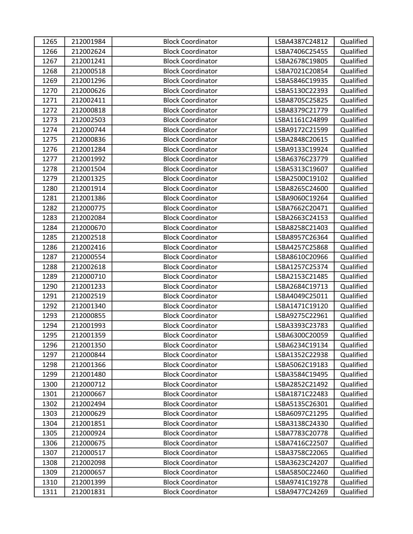| 1265 | 212001984 | <b>Block Coordinator</b> | LSBA4387C24812 | Qualified |
|------|-----------|--------------------------|----------------|-----------|
| 1266 | 212002624 | <b>Block Coordinator</b> | LSBA7406C25455 | Qualified |
| 1267 | 212001241 | <b>Block Coordinator</b> | LSBA2678C19805 | Qualified |
| 1268 | 212000518 | <b>Block Coordinator</b> | LSBA7021C20854 | Qualified |
| 1269 | 212001296 | <b>Block Coordinator</b> | LSBA5846C19935 | Qualified |
| 1270 | 212000626 | <b>Block Coordinator</b> | LSBA5130C22393 | Qualified |
| 1271 | 212002411 | <b>Block Coordinator</b> | LSBA8705C25825 | Qualified |
| 1272 | 212000818 | <b>Block Coordinator</b> | LSBA8379C21779 | Qualified |
| 1273 | 212002503 | <b>Block Coordinator</b> | LSBA1161C24899 | Qualified |
| 1274 | 212000744 | <b>Block Coordinator</b> | LSBA9172C21599 | Qualified |
| 1275 | 212000836 | <b>Block Coordinator</b> | LSBA2848C20615 | Qualified |
| 1276 | 212001284 | <b>Block Coordinator</b> | LSBA9133C19924 | Qualified |
| 1277 | 212001992 | <b>Block Coordinator</b> | LSBA6376C23779 | Qualified |
| 1278 | 212001504 | <b>Block Coordinator</b> | LSBA5313C19607 | Qualified |
| 1279 | 212001325 | <b>Block Coordinator</b> | LSBA2500C19102 | Qualified |
| 1280 | 212001914 | <b>Block Coordinator</b> | LSBA8265C24600 | Qualified |
| 1281 | 212001386 | <b>Block Coordinator</b> | LSBA9060C19264 | Qualified |
| 1282 | 212000775 | <b>Block Coordinator</b> | LSBA7662C20471 | Qualified |
| 1283 | 212002084 | <b>Block Coordinator</b> | LSBA2663C24153 | Qualified |
| 1284 | 212000670 | <b>Block Coordinator</b> | LSBA8258C21403 | Qualified |
| 1285 | 212002518 | <b>Block Coordinator</b> | LSBA8957C26364 | Qualified |
| 1286 | 212002416 | <b>Block Coordinator</b> | LSBA4257C25868 | Qualified |
| 1287 | 212000554 | <b>Block Coordinator</b> | LSBA8610C20966 | Qualified |
| 1288 | 212002618 | <b>Block Coordinator</b> | LSBA1257C25374 | Qualified |
| 1289 | 212000710 | <b>Block Coordinator</b> | LSBA2153C21485 | Qualified |
| 1290 | 212001233 | <b>Block Coordinator</b> | LSBA2684C19713 | Qualified |
| 1291 | 212002519 | <b>Block Coordinator</b> | LSBA4049C25011 | Qualified |
| 1292 | 212001340 | <b>Block Coordinator</b> | LSBA1471C19120 | Qualified |
| 1293 | 212000855 | <b>Block Coordinator</b> | LSBA9275C22961 | Qualified |
| 1294 | 212001993 | <b>Block Coordinator</b> | LSBA3393C23783 | Qualified |
| 1295 | 212001359 | <b>Block Coordinator</b> | LSBA6300C20059 | Qualified |
| 1296 | 212001350 | <b>Block Coordinator</b> | LSBA6234C19134 | Qualified |
| 1297 | 212000844 | <b>Block Coordinator</b> | LSBA1352C22938 | Qualified |
| 1298 | 212001366 | <b>Block Coordinator</b> | LSBA5062C19183 | Qualified |
| 1299 | 212001480 | <b>Block Coordinator</b> | LSBA3584C19495 | Qualified |
| 1300 | 212000712 | <b>Block Coordinator</b> | LSBA2852C21492 | Qualified |
| 1301 | 212000667 | <b>Block Coordinator</b> | LSBA1871C22483 | Qualified |
| 1302 | 212002494 | <b>Block Coordinator</b> | LSBA5135C26301 | Qualified |
| 1303 | 212000629 | <b>Block Coordinator</b> | LSBA6097C21295 | Qualified |
| 1304 | 212001851 | <b>Block Coordinator</b> | LSBA3138C24330 | Qualified |
| 1305 | 212000924 | <b>Block Coordinator</b> | LSBA7783C20778 | Qualified |
| 1306 | 212000675 | <b>Block Coordinator</b> | LSBA7416C22507 | Qualified |
| 1307 | 212000517 | <b>Block Coordinator</b> | LSBA3758C22065 | Qualified |
| 1308 | 212002098 | <b>Block Coordinator</b> | LSBA3623C24207 | Qualified |
| 1309 | 212000657 | <b>Block Coordinator</b> | LSBA5850C22460 | Qualified |
| 1310 | 212001399 | <b>Block Coordinator</b> | LSBA9741C19278 | Qualified |
| 1311 | 212001831 | <b>Block Coordinator</b> | LSBA9477C24269 | Qualified |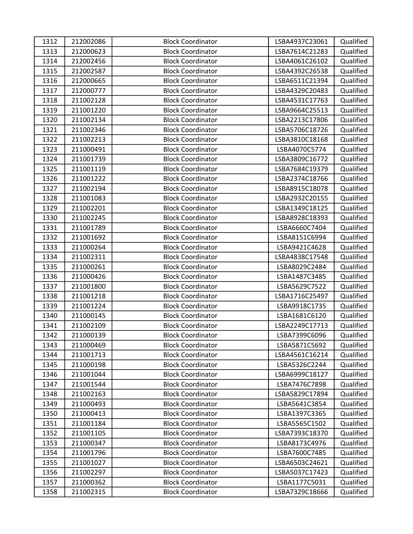| 1312 | 212002086 | <b>Block Coordinator</b> | LSBA4937C23061 | Qualified |
|------|-----------|--------------------------|----------------|-----------|
| 1313 | 212000623 | <b>Block Coordinator</b> | LSBA7614C21283 | Qualified |
| 1314 | 212002456 | <b>Block Coordinator</b> | LSBA4061C26102 | Qualified |
| 1315 | 212002587 | <b>Block Coordinator</b> | LSBA4392C26538 | Qualified |
| 1316 | 212000665 | <b>Block Coordinator</b> | LSBA6511C21394 | Qualified |
| 1317 | 212000777 | <b>Block Coordinator</b> | LSBA4329C20483 | Qualified |
| 1318 | 211002128 | <b>Block Coordinator</b> | LSBA4531C17763 | Qualified |
| 1319 | 211001220 | <b>Block Coordinator</b> | LSBA9664C25513 | Qualified |
| 1320 | 211002134 | <b>Block Coordinator</b> | LSBA2213C17806 | Qualified |
| 1321 | 211002346 | <b>Block Coordinator</b> | LSBA5706C18726 | Qualified |
| 1322 | 211002213 | <b>Block Coordinator</b> | LSBA3810C18168 | Qualified |
| 1323 | 211000491 | <b>Block Coordinator</b> | LSBA4070C5774  | Qualified |
| 1324 | 211001739 | <b>Block Coordinator</b> | LSBA3809C16772 | Qualified |
| 1325 | 211001119 | <b>Block Coordinator</b> | LSBA7684C19379 | Qualified |
| 1326 | 211001222 | <b>Block Coordinator</b> | LSBA2374C18766 | Qualified |
| 1327 | 211002194 | <b>Block Coordinator</b> | LSBA8915C18078 | Qualified |
| 1328 | 211001083 | <b>Block Coordinator</b> | LSBA2932C20155 | Qualified |
| 1329 | 211002201 | <b>Block Coordinator</b> | LSBA1349C18125 | Qualified |
| 1330 | 211002245 | <b>Block Coordinator</b> | LSBA8928C18393 | Qualified |
| 1331 | 211001789 | <b>Block Coordinator</b> | LSBA6660C7404  | Qualified |
| 1332 | 211001692 | <b>Block Coordinator</b> | LSBA8151C6994  | Qualified |
| 1333 | 211000264 | <b>Block Coordinator</b> | LSBA9421C4628  | Qualified |
| 1334 | 211002311 | <b>Block Coordinator</b> | LSBA4838C17548 | Qualified |
| 1335 | 211000261 | <b>Block Coordinator</b> | LSBA8029C2484  | Qualified |
| 1336 | 211000426 | <b>Block Coordinator</b> | LSBA1487C3485  | Qualified |
| 1337 | 211001800 | <b>Block Coordinator</b> | LSBA5629C7522  | Qualified |
| 1338 | 211001218 | <b>Block Coordinator</b> | LSBA1716C25497 | Qualified |
| 1339 | 211001224 | <b>Block Coordinator</b> | LSBA9918C1735  | Qualified |
| 1340 | 211000145 | <b>Block Coordinator</b> | LSBA1681C6120  | Qualified |
| 1341 | 211002109 | <b>Block Coordinator</b> | LSBA2249C17713 | Qualified |
| 1342 | 211000139 | <b>Block Coordinator</b> | LSBA7399C6096  | Qualified |
| 1343 | 211000469 | <b>Block Coordinator</b> | LSBA5871C5692  | Qualified |
| 1344 | 211001713 | <b>Block Coordinator</b> | LSBA4561C16214 | Qualified |
| 1345 | 211000198 | <b>Block Coordinator</b> | LSBA5326C2244  | Qualified |
| 1346 | 211001044 | <b>Block Coordinator</b> | LSBA6999C18127 | Qualified |
| 1347 | 211001544 | <b>Block Coordinator</b> | LSBA7476C7898  | Qualified |
| 1348 | 211002163 | <b>Block Coordinator</b> | LSBA5829C17894 | Qualified |
| 1349 | 211000493 | <b>Block Coordinator</b> | LSBA5641C3854  | Qualified |
| 1350 | 211000413 | <b>Block Coordinator</b> | LSBA1397C3365  | Qualified |
| 1351 | 211001184 | <b>Block Coordinator</b> | LSBA5565C1502  | Qualified |
| 1352 | 211001105 | <b>Block Coordinator</b> | LSBA7393C18370 | Qualified |
| 1353 | 211000347 | <b>Block Coordinator</b> | LSBA8173C4976  | Qualified |
| 1354 | 211001796 | <b>Block Coordinator</b> | LSBA7600C7485  | Qualified |
| 1355 | 211001027 | <b>Block Coordinator</b> | LSBA6503C24621 | Qualified |
| 1356 | 211002297 | <b>Block Coordinator</b> | LSBA5037C17423 | Qualified |
| 1357 | 211000362 | <b>Block Coordinator</b> | LSBA1177C5031  | Qualified |
| 1358 | 211002315 | <b>Block Coordinator</b> | LSBA7329C18666 | Qualified |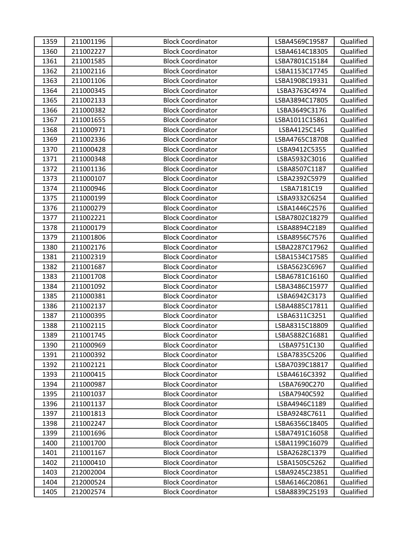| 1359 | 211001196 | <b>Block Coordinator</b> | LSBA4569C19587 | Qualified |
|------|-----------|--------------------------|----------------|-----------|
| 1360 | 211002227 | <b>Block Coordinator</b> | LSBA4614C18305 | Qualified |
| 1361 | 211001585 | <b>Block Coordinator</b> | LSBA7801C15184 | Qualified |
| 1362 | 211002116 | <b>Block Coordinator</b> | LSBA1153C17745 | Qualified |
| 1363 | 211001106 | <b>Block Coordinator</b> | LSBA1908C19331 | Qualified |
| 1364 | 211000345 | <b>Block Coordinator</b> | LSBA3763C4974  | Qualified |
| 1365 | 211002133 | <b>Block Coordinator</b> | LSBA3894C17805 | Qualified |
| 1366 | 211000382 | <b>Block Coordinator</b> | LSBA3649C3176  | Qualified |
| 1367 | 211001655 | <b>Block Coordinator</b> | LSBA1011C15861 | Qualified |
| 1368 | 211000971 | <b>Block Coordinator</b> | LSBA4125C145   | Qualified |
| 1369 | 211002336 | <b>Block Coordinator</b> | LSBA4765C18708 | Qualified |
| 1370 | 211000428 | <b>Block Coordinator</b> | LSBA9412C5355  | Qualified |
| 1371 | 211000348 | <b>Block Coordinator</b> | LSBA5932C3016  | Qualified |
| 1372 | 211001136 | <b>Block Coordinator</b> | LSBA8507C1187  | Qualified |
| 1373 | 211000107 | <b>Block Coordinator</b> | LSBA2392C5979  | Qualified |
| 1374 | 211000946 | <b>Block Coordinator</b> | LSBA7181C19    | Qualified |
| 1375 | 211000199 | <b>Block Coordinator</b> | LSBA9332C6254  | Qualified |
| 1376 | 211000279 | <b>Block Coordinator</b> | LSBA1446C2576  | Qualified |
| 1377 | 211002221 | <b>Block Coordinator</b> | LSBA7802C18279 | Qualified |
| 1378 | 211000179 | <b>Block Coordinator</b> | LSBA8894C2189  | Qualified |
| 1379 | 211001806 | <b>Block Coordinator</b> | LSBA8956C7576  | Qualified |
| 1380 | 211002176 | <b>Block Coordinator</b> | LSBA2287C17962 | Qualified |
| 1381 | 211002319 | <b>Block Coordinator</b> | LSBA1534C17585 | Qualified |
| 1382 | 211001687 | <b>Block Coordinator</b> | LSBA5623C6967  | Qualified |
| 1383 | 211001708 | <b>Block Coordinator</b> | LSBA6781C16160 | Qualified |
| 1384 | 211001092 | <b>Block Coordinator</b> | LSBA3486C15977 | Qualified |
| 1385 | 211000381 | <b>Block Coordinator</b> | LSBA6942C3173  | Qualified |
| 1386 | 211002137 | <b>Block Coordinator</b> | LSBA4885C17811 | Qualified |
| 1387 | 211000395 | <b>Block Coordinator</b> | LSBA6311C3251  | Qualified |
| 1388 | 211002115 | <b>Block Coordinator</b> | LSBA8315C18809 | Qualified |
| 1389 | 211001745 | <b>Block Coordinator</b> | LSBA5882C16881 | Qualified |
| 1390 | 211000969 | <b>Block Coordinator</b> | LSBA9751C130   | Qualified |
| 1391 | 211000392 | <b>Block Coordinator</b> | LSBA7835C5206  | Qualified |
| 1392 | 211002121 | <b>Block Coordinator</b> | LSBA7039C18817 | Qualified |
| 1393 | 211000415 | <b>Block Coordinator</b> | LSBA4616C3392  | Qualified |
| 1394 | 211000987 | <b>Block Coordinator</b> | LSBA7690C270   | Qualified |
| 1395 | 211001037 | <b>Block Coordinator</b> | LSBA7940C592   | Qualified |
| 1396 | 211001137 | <b>Block Coordinator</b> | LSBA4946C1189  | Qualified |
| 1397 | 211001813 | <b>Block Coordinator</b> | LSBA9248C7611  | Qualified |
| 1398 | 211002247 | <b>Block Coordinator</b> | LSBA6356C18405 | Qualified |
| 1399 | 211001696 | <b>Block Coordinator</b> | LSBA7491C16058 | Qualified |
| 1400 | 211001700 | <b>Block Coordinator</b> | LSBA1199C16079 | Qualified |
| 1401 | 211001167 | <b>Block Coordinator</b> | LSBA2628C1379  | Qualified |
| 1402 | 211000410 | <b>Block Coordinator</b> | LSBA1505C5262  | Qualified |
| 1403 | 212002004 | <b>Block Coordinator</b> | LSBA9245C23851 | Qualified |
| 1404 | 212000524 | <b>Block Coordinator</b> | LSBA6146C20861 | Qualified |
| 1405 | 212002574 | <b>Block Coordinator</b> | LSBA8839C25193 | Qualified |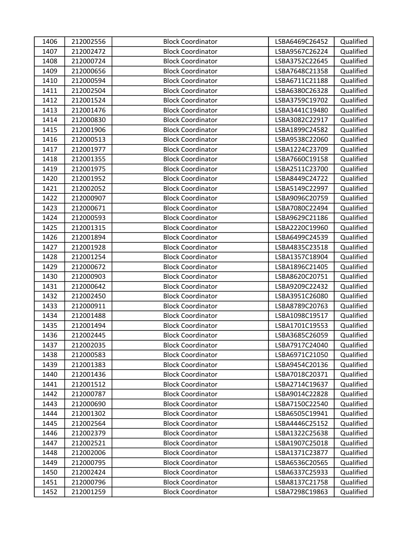| 1406 | 212002556 | <b>Block Coordinator</b> | LSBA6469C26452 | Qualified |
|------|-----------|--------------------------|----------------|-----------|
| 1407 | 212002472 | <b>Block Coordinator</b> | LSBA9567C26224 | Qualified |
| 1408 | 212000724 | <b>Block Coordinator</b> | LSBA3752C22645 | Qualified |
| 1409 | 212000656 | <b>Block Coordinator</b> | LSBA7648C21358 | Qualified |
| 1410 | 212000594 | <b>Block Coordinator</b> | LSBA6711C21188 | Qualified |
| 1411 | 212002504 | <b>Block Coordinator</b> | LSBA6380C26328 | Qualified |
| 1412 | 212001524 | <b>Block Coordinator</b> | LSBA3759C19702 | Qualified |
| 1413 | 212001476 | <b>Block Coordinator</b> | LSBA3441C19480 | Qualified |
| 1414 | 212000830 | <b>Block Coordinator</b> | LSBA3082C22917 | Qualified |
| 1415 | 212001906 | <b>Block Coordinator</b> | LSBA1899C24582 | Qualified |
| 1416 | 212000513 | <b>Block Coordinator</b> | LSBA9538C22060 | Qualified |
| 1417 | 212001977 | <b>Block Coordinator</b> | LSBA1224C23709 | Qualified |
| 1418 | 212001355 | <b>Block Coordinator</b> | LSBA7660C19158 | Qualified |
| 1419 | 212001975 | <b>Block Coordinator</b> | LSBA2511C23700 | Qualified |
| 1420 | 212001952 | <b>Block Coordinator</b> | LSBA8449C24722 | Qualified |
| 1421 | 212002052 | <b>Block Coordinator</b> | LSBA5149C22997 | Qualified |
| 1422 | 212000907 | <b>Block Coordinator</b> | LSBA9096C20759 | Qualified |
| 1423 | 212000671 | <b>Block Coordinator</b> | LSBA7080C22494 | Qualified |
| 1424 | 212000593 | <b>Block Coordinator</b> | LSBA9629C21186 | Qualified |
| 1425 | 212001315 | <b>Block Coordinator</b> | LSBA2220C19960 | Qualified |
| 1426 | 212001894 | <b>Block Coordinator</b> | LSBA6499C24539 | Qualified |
| 1427 | 212001928 | <b>Block Coordinator</b> | LSBA4835C23518 | Qualified |
| 1428 | 212001254 | <b>Block Coordinator</b> | LSBA1357C18904 | Qualified |
| 1429 | 212000672 | <b>Block Coordinator</b> | LSBA1896C21405 | Qualified |
| 1430 | 212000903 | <b>Block Coordinator</b> | LSBA8620C20751 | Qualified |
| 1431 | 212000642 | <b>Block Coordinator</b> | LSBA9209C22432 | Qualified |
| 1432 | 212002450 | <b>Block Coordinator</b> | LSBA3951C26080 | Qualified |
| 1433 | 212000911 | <b>Block Coordinator</b> | LSBA8789C20763 | Qualified |
| 1434 | 212001488 | <b>Block Coordinator</b> | LSBA1098C19517 | Qualified |
| 1435 | 212001494 | <b>Block Coordinator</b> | LSBA1701C19553 | Qualified |
| 1436 | 212002445 | <b>Block Coordinator</b> | LSBA3685C26059 | Qualified |
| 1437 | 212002035 | <b>Block Coordinator</b> | LSBA7917C24040 | Qualified |
| 1438 | 212000583 | <b>Block Coordinator</b> | LSBA6971C21050 | Qualified |
| 1439 | 212001383 | <b>Block Coordinator</b> | LSBA9454C20136 | Qualified |
| 1440 | 212001436 | <b>Block Coordinator</b> | LSBA7018C20371 | Qualified |
| 1441 | 212001512 | <b>Block Coordinator</b> | LSBA2714C19637 | Qualified |
| 1442 | 212000787 | <b>Block Coordinator</b> | LSBA9014C22828 | Qualified |
| 1443 | 212000690 | <b>Block Coordinator</b> | LSBA7150C22540 | Qualified |
| 1444 | 212001302 | <b>Block Coordinator</b> | LSBA6505C19941 | Qualified |
| 1445 | 212002564 | <b>Block Coordinator</b> | LSBA4446C25152 | Qualified |
| 1446 | 212002379 | <b>Block Coordinator</b> | LSBA1322C25638 | Qualified |
| 1447 | 212002521 | <b>Block Coordinator</b> | LSBA1907C25018 | Qualified |
| 1448 | 212002006 | <b>Block Coordinator</b> | LSBA1371C23877 | Qualified |
| 1449 | 212000795 | <b>Block Coordinator</b> | LSBA6536C20565 | Qualified |
| 1450 | 212002424 | <b>Block Coordinator</b> | LSBA6337C25933 | Qualified |
| 1451 | 212000796 | <b>Block Coordinator</b> | LSBA8137C21758 | Qualified |
| 1452 | 212001259 | <b>Block Coordinator</b> | LSBA7298C19863 | Qualified |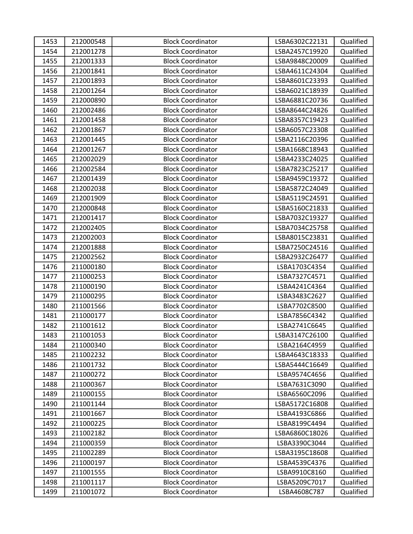| 1453 | 212000548 | <b>Block Coordinator</b> | LSBA6302C22131 | Qualified |
|------|-----------|--------------------------|----------------|-----------|
| 1454 | 212001278 | <b>Block Coordinator</b> | LSBA2457C19920 | Qualified |
| 1455 | 212001333 | <b>Block Coordinator</b> | LSBA9848C20009 | Qualified |
| 1456 | 212001841 | <b>Block Coordinator</b> | LSBA4611C24304 | Qualified |
| 1457 | 212001893 | <b>Block Coordinator</b> | LSBA8601C23393 | Qualified |
| 1458 | 212001264 | <b>Block Coordinator</b> | LSBA6021C18939 | Qualified |
| 1459 | 212000890 | <b>Block Coordinator</b> | LSBA6881C20736 | Qualified |
| 1460 | 212002486 | <b>Block Coordinator</b> | LSBA8644C24826 | Qualified |
| 1461 | 212001458 | <b>Block Coordinator</b> | LSBA8357C19423 | Qualified |
| 1462 | 212001867 | <b>Block Coordinator</b> | LSBA6057C23308 | Qualified |
| 1463 | 212001445 | <b>Block Coordinator</b> | LSBA2116C20396 | Qualified |
| 1464 | 212001267 | <b>Block Coordinator</b> | LSBA1668C18943 | Qualified |
| 1465 | 212002029 | <b>Block Coordinator</b> | LSBA4233C24025 | Qualified |
| 1466 | 212002584 | <b>Block Coordinator</b> | LSBA7823C25217 | Qualified |
| 1467 | 212001439 | <b>Block Coordinator</b> | LSBA9459C19372 | Qualified |
| 1468 | 212002038 | <b>Block Coordinator</b> | LSBA5872C24049 | Qualified |
| 1469 | 212001909 | <b>Block Coordinator</b> | LSBA5119C24591 | Qualified |
| 1470 | 212000848 | <b>Block Coordinator</b> | LSBA5160C21833 | Qualified |
| 1471 | 212001417 | <b>Block Coordinator</b> | LSBA7032C19327 | Qualified |
| 1472 | 212002405 | <b>Block Coordinator</b> | LSBA7034C25758 | Qualified |
| 1473 | 212002003 | <b>Block Coordinator</b> | LSBA8015C23831 | Qualified |
| 1474 | 212001888 | <b>Block Coordinator</b> | LSBA7250C24516 | Qualified |
| 1475 | 212002562 | <b>Block Coordinator</b> | LSBA2932C26477 | Qualified |
| 1476 | 211000180 | <b>Block Coordinator</b> | LSBA1703C4354  | Qualified |
| 1477 | 211000253 | <b>Block Coordinator</b> | LSBA7327C4571  | Qualified |
| 1478 | 211000190 | <b>Block Coordinator</b> | LSBA4241C4364  | Qualified |
| 1479 | 211000295 | <b>Block Coordinator</b> | LSBA3483C2627  | Qualified |
| 1480 | 211001566 | <b>Block Coordinator</b> | LSBA7702C8500  | Qualified |
| 1481 | 211000177 | <b>Block Coordinator</b> | LSBA7856C4342  | Qualified |
| 1482 | 211001612 | <b>Block Coordinator</b> | LSBA2741C6645  | Qualified |
| 1483 | 211001053 | <b>Block Coordinator</b> | LSBA3147C26100 | Qualified |
| 1484 | 211000340 | <b>Block Coordinator</b> | LSBA2164C4959  | Qualified |
| 1485 | 211002232 | <b>Block Coordinator</b> | LSBA4643C18333 | Qualified |
| 1486 | 211001732 | <b>Block Coordinator</b> | LSBA5444C16649 | Qualified |
| 1487 | 211000272 | <b>Block Coordinator</b> | LSBA9574C4656  | Qualified |
| 1488 | 211000367 | <b>Block Coordinator</b> | LSBA7631C3090  | Qualified |
| 1489 | 211000155 | <b>Block Coordinator</b> | LSBA6560C2096  | Qualified |
| 1490 | 211001144 | <b>Block Coordinator</b> | LSBA5172C16808 | Qualified |
| 1491 | 211001667 | <b>Block Coordinator</b> | LSBA4193C6866  | Qualified |
| 1492 | 211000225 | <b>Block Coordinator</b> | LSBA8199C4494  | Qualified |
| 1493 | 211002182 | <b>Block Coordinator</b> | LSBA6860C18026 | Qualified |
| 1494 | 211000359 | <b>Block Coordinator</b> | LSBA3390C3044  | Qualified |
| 1495 | 211002289 | <b>Block Coordinator</b> | LSBA3195C18608 | Qualified |
| 1496 | 211000197 | <b>Block Coordinator</b> | LSBA4539C4376  | Qualified |
| 1497 | 211001555 | <b>Block Coordinator</b> | LSBA9910C8160  | Qualified |
| 1498 | 211001117 | <b>Block Coordinator</b> | LSBA5209C7017  | Qualified |
| 1499 | 211001072 | <b>Block Coordinator</b> | LSBA4608C787   | Qualified |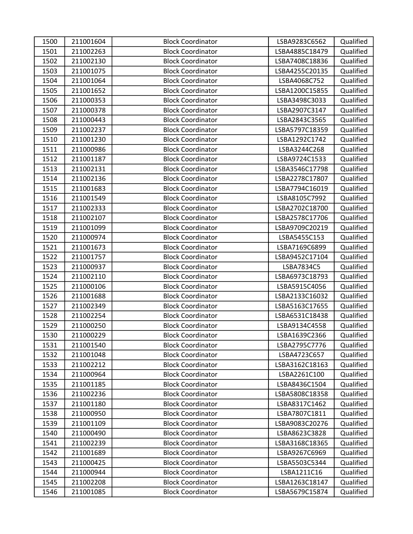| 1500 | 211001604 | <b>Block Coordinator</b> | LSBA9283C6562  | Qualified |
|------|-----------|--------------------------|----------------|-----------|
| 1501 | 211002263 | <b>Block Coordinator</b> | LSBA4885C18479 | Qualified |
| 1502 | 211002130 | <b>Block Coordinator</b> | LSBA7408C18836 | Qualified |
| 1503 | 211001075 | <b>Block Coordinator</b> | LSBA4255C20135 | Qualified |
| 1504 | 211001064 | <b>Block Coordinator</b> | LSBA4068C752   | Qualified |
| 1505 | 211001652 | <b>Block Coordinator</b> | LSBA1200C15855 | Qualified |
| 1506 | 211000353 | <b>Block Coordinator</b> | LSBA3498C3033  | Qualified |
| 1507 | 211000378 | <b>Block Coordinator</b> | LSBA2907C3147  | Qualified |
| 1508 | 211000443 | <b>Block Coordinator</b> | LSBA2843C3565  | Qualified |
| 1509 | 211002237 | <b>Block Coordinator</b> | LSBA5797C18359 | Qualified |
| 1510 | 211001230 | <b>Block Coordinator</b> | LSBA1292C1742  | Qualified |
| 1511 | 211000986 | <b>Block Coordinator</b> | LSBA3244C268   | Qualified |
| 1512 | 211001187 | <b>Block Coordinator</b> | LSBA9724C1533  | Qualified |
| 1513 | 211002131 | <b>Block Coordinator</b> | LSBA3546C17798 | Qualified |
| 1514 | 211002136 | <b>Block Coordinator</b> | LSBA2278C17807 | Qualified |
| 1515 | 211001683 | <b>Block Coordinator</b> | LSBA7794C16019 | Qualified |
| 1516 | 211001549 | <b>Block Coordinator</b> | LSBA8105C7992  | Qualified |
| 1517 | 211002333 | <b>Block Coordinator</b> | LSBA2702C18700 | Qualified |
| 1518 | 211002107 | <b>Block Coordinator</b> | LSBA2578C17706 | Qualified |
| 1519 | 211001099 | <b>Block Coordinator</b> | LSBA9709C20219 | Qualified |
| 1520 | 211000974 | <b>Block Coordinator</b> | LSBA5455C153   | Qualified |
| 1521 | 211001673 | <b>Block Coordinator</b> | LSBA7169C6899  | Qualified |
| 1522 | 211001757 | <b>Block Coordinator</b> | LSBA9452C17104 | Qualified |
| 1523 | 211000937 | <b>Block Coordinator</b> | LSBA7834C5     | Qualified |
| 1524 | 211002110 | <b>Block Coordinator</b> | LSBA6973C18793 | Qualified |
| 1525 | 211000106 | <b>Block Coordinator</b> | LSBA5915C4056  | Qualified |
| 1526 | 211001688 | <b>Block Coordinator</b> | LSBA2133C16032 | Qualified |
| 1527 | 211002349 | <b>Block Coordinator</b> | LSBA5163C17655 | Qualified |
| 1528 | 211002254 | <b>Block Coordinator</b> | LSBA6531C18438 | Qualified |
| 1529 | 211000250 | <b>Block Coordinator</b> | LSBA9134C4558  | Qualified |
| 1530 | 211000229 | <b>Block Coordinator</b> | LSBA1639C2366  | Qualified |
| 1531 | 211001540 | <b>Block Coordinator</b> | LSBA2795C7776  | Qualified |
| 1532 | 211001048 | <b>Block Coordinator</b> | LSBA4723C657   | Qualified |
| 1533 | 211002212 | <b>Block Coordinator</b> | LSBA3162C18163 | Qualified |
| 1534 | 211000964 | <b>Block Coordinator</b> | LSBA2261C100   | Qualified |
| 1535 | 211001185 | <b>Block Coordinator</b> | LSBA8436C1504  | Qualified |
| 1536 | 211002236 | <b>Block Coordinator</b> | LSBA5808C18358 | Qualified |
| 1537 | 211001180 | <b>Block Coordinator</b> | LSBA8317C1462  | Qualified |
| 1538 | 211000950 | <b>Block Coordinator</b> | LSBA7807C1811  | Qualified |
| 1539 | 211001109 | <b>Block Coordinator</b> | LSBA9083C20276 | Qualified |
| 1540 | 211000490 | <b>Block Coordinator</b> | LSBA8623C3828  | Qualified |
| 1541 | 211002239 | <b>Block Coordinator</b> | LSBA3168C18365 | Qualified |
| 1542 | 211001689 | <b>Block Coordinator</b> | LSBA9267C6969  | Qualified |
| 1543 | 211000425 | <b>Block Coordinator</b> | LSBA5503C5344  | Qualified |
| 1544 | 211000944 | <b>Block Coordinator</b> | LSBA1211C16    | Qualified |
| 1545 | 211002208 | <b>Block Coordinator</b> | LSBA1263C18147 | Qualified |
| 1546 | 211001085 | <b>Block Coordinator</b> | LSBA5679C15874 | Qualified |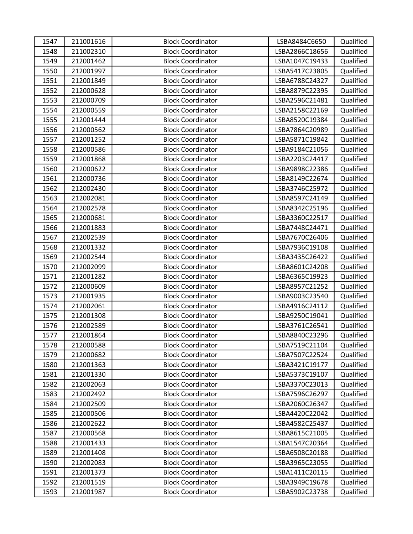| 1547 | 211001616 | <b>Block Coordinator</b> | LSBA8484C6650  | Qualified |
|------|-----------|--------------------------|----------------|-----------|
| 1548 | 211002310 | <b>Block Coordinator</b> | LSBA2866C18656 | Qualified |
| 1549 | 212001462 | <b>Block Coordinator</b> | LSBA1047C19433 | Qualified |
| 1550 | 212001997 | <b>Block Coordinator</b> | LSBA5417C23805 | Qualified |
| 1551 | 212001849 | <b>Block Coordinator</b> | LSBA6788C24327 | Qualified |
| 1552 | 212000628 | <b>Block Coordinator</b> | LSBA8879C22395 | Qualified |
| 1553 | 212000709 | <b>Block Coordinator</b> | LSBA2596C21481 | Qualified |
| 1554 | 212000559 | <b>Block Coordinator</b> | LSBA2158C22169 | Qualified |
| 1555 | 212001444 | <b>Block Coordinator</b> | LSBA8520C19384 | Qualified |
| 1556 | 212000562 | <b>Block Coordinator</b> | LSBA7864C20989 | Qualified |
| 1557 | 212001252 | <b>Block Coordinator</b> | LSBA5871C19842 | Qualified |
| 1558 | 212000586 | <b>Block Coordinator</b> | LSBA9184C21056 | Qualified |
| 1559 | 212001868 | <b>Block Coordinator</b> | LSBA2203C24417 | Qualified |
| 1560 | 212000622 | <b>Block Coordinator</b> | LSBA9898C22386 | Qualified |
| 1561 | 212000736 | <b>Block Coordinator</b> | LSBA8149C22674 | Qualified |
| 1562 | 212002430 | <b>Block Coordinator</b> | LSBA3746C25972 | Qualified |
| 1563 | 212002081 | <b>Block Coordinator</b> | LSBA8597C24149 | Qualified |
| 1564 | 212002578 | <b>Block Coordinator</b> | LSBA8342C25196 | Qualified |
| 1565 | 212000681 | <b>Block Coordinator</b> | LSBA3360C22517 | Qualified |
| 1566 | 212001883 | <b>Block Coordinator</b> | LSBA7448C24471 | Qualified |
| 1567 | 212002539 | <b>Block Coordinator</b> | LSBA7670C26406 | Qualified |
| 1568 | 212001332 | <b>Block Coordinator</b> | LSBA7936C19108 | Qualified |
| 1569 | 212002544 | <b>Block Coordinator</b> | LSBA3435C26422 | Qualified |
| 1570 | 212002099 | <b>Block Coordinator</b> | LSBA8601C24208 | Qualified |
| 1571 | 212001282 | <b>Block Coordinator</b> | LSBA6365C19923 | Qualified |
| 1572 | 212000609 | <b>Block Coordinator</b> | LSBA8957C21252 | Qualified |
| 1573 | 212001935 | <b>Block Coordinator</b> | LSBA9003C23540 | Qualified |
| 1574 | 212002061 | <b>Block Coordinator</b> | LSBA4916C24112 | Qualified |
| 1575 | 212001308 | <b>Block Coordinator</b> | LSBA9250C19041 | Qualified |
| 1576 | 212002589 | <b>Block Coordinator</b> | LSBA3761C26541 | Qualified |
| 1577 | 212001864 | <b>Block Coordinator</b> | LSBA8840C23296 | Qualified |
| 1578 | 212000588 | <b>Block Coordinator</b> | LSBA7519C21104 | Qualified |
| 1579 | 212000682 | <b>Block Coordinator</b> | LSBA7507C22524 | Qualified |
| 1580 | 212001363 | <b>Block Coordinator</b> | LSBA3421C19177 | Qualified |
| 1581 | 212001330 | <b>Block Coordinator</b> | LSBA5373C19107 | Qualified |
| 1582 | 212002063 | <b>Block Coordinator</b> | LSBA3370C23013 | Qualified |
| 1583 | 212002492 | <b>Block Coordinator</b> | LSBA7596C26297 | Qualified |
| 1584 | 212002509 | <b>Block Coordinator</b> | LSBA2060C26347 | Qualified |
| 1585 | 212000506 | <b>Block Coordinator</b> | LSBA4420C22042 | Qualified |
| 1586 | 212002622 | <b>Block Coordinator</b> | LSBA4582C25437 | Qualified |
| 1587 | 212000568 | <b>Block Coordinator</b> | LSBA8615C21005 | Qualified |
| 1588 | 212001433 | <b>Block Coordinator</b> | LSBA1547C20364 | Qualified |
| 1589 | 212001408 | <b>Block Coordinator</b> | LSBA6508C20188 | Qualified |
| 1590 | 212002083 | <b>Block Coordinator</b> | LSBA3965C23055 | Qualified |
| 1591 | 212001373 | <b>Block Coordinator</b> | LSBA1411C20115 | Qualified |
| 1592 | 212001519 | <b>Block Coordinator</b> | LSBA3949C19678 | Qualified |
| 1593 | 212001987 | <b>Block Coordinator</b> | LSBA5902C23738 | Qualified |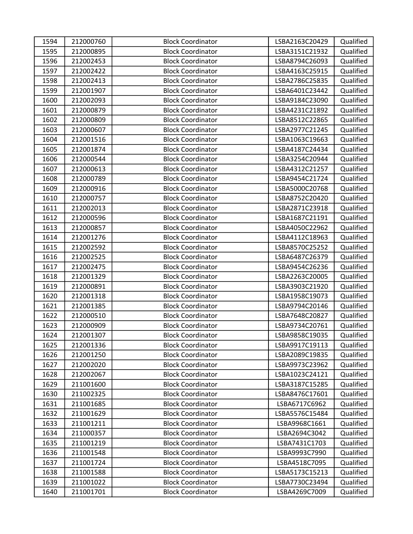| 1594 | 212000760 | <b>Block Coordinator</b> | LSBA2163C20429 | Qualified |
|------|-----------|--------------------------|----------------|-----------|
| 1595 | 212000895 | <b>Block Coordinator</b> | LSBA3151C21932 | Qualified |
| 1596 | 212002453 | <b>Block Coordinator</b> | LSBA8794C26093 | Qualified |
| 1597 | 212002422 | <b>Block Coordinator</b> | LSBA4163C25915 | Qualified |
| 1598 | 212002413 | <b>Block Coordinator</b> | LSBA2786C25835 | Qualified |
| 1599 | 212001907 | <b>Block Coordinator</b> | LSBA6401C23442 | Qualified |
| 1600 | 212002093 | <b>Block Coordinator</b> | LSBA9184C23090 | Qualified |
| 1601 | 212000879 | <b>Block Coordinator</b> | LSBA4231C21892 | Qualified |
| 1602 | 212000809 | <b>Block Coordinator</b> | LSBA8512C22865 | Qualified |
| 1603 | 212000607 | <b>Block Coordinator</b> | LSBA2977C21245 | Qualified |
| 1604 | 212001516 | <b>Block Coordinator</b> | LSBA1063C19663 | Qualified |
| 1605 | 212001874 | <b>Block Coordinator</b> | LSBA4187C24434 | Qualified |
| 1606 | 212000544 | <b>Block Coordinator</b> | LSBA3254C20944 | Qualified |
| 1607 | 212000613 | <b>Block Coordinator</b> | LSBA4312C21257 | Qualified |
| 1608 | 212000789 | <b>Block Coordinator</b> | LSBA9454C21724 | Qualified |
| 1609 | 212000916 | <b>Block Coordinator</b> | LSBA5000C20768 | Qualified |
| 1610 | 212000757 | <b>Block Coordinator</b> | LSBA8752C20420 | Qualified |
| 1611 | 212002013 | <b>Block Coordinator</b> | LSBA2871C23918 | Qualified |
| 1612 | 212000596 | <b>Block Coordinator</b> | LSBA1687C21191 | Qualified |
| 1613 | 212000857 | <b>Block Coordinator</b> | LSBA4050C22962 | Qualified |
| 1614 | 212001276 | <b>Block Coordinator</b> | LSBA4112C18963 | Qualified |
| 1615 | 212002592 | <b>Block Coordinator</b> | LSBA8570C25252 | Qualified |
| 1616 | 212002525 | <b>Block Coordinator</b> | LSBA6487C26379 | Qualified |
| 1617 | 212002475 | <b>Block Coordinator</b> | LSBA9454C26236 | Qualified |
| 1618 | 212001329 | <b>Block Coordinator</b> | LSBA2263C20005 | Qualified |
| 1619 | 212000891 | <b>Block Coordinator</b> | LSBA3903C21920 | Qualified |
| 1620 | 212001318 | <b>Block Coordinator</b> | LSBA1958C19073 | Qualified |
| 1621 | 212001385 | <b>Block Coordinator</b> | LSBA9794C20146 | Qualified |
| 1622 | 212000510 | <b>Block Coordinator</b> | LSBA7648C20827 | Qualified |
| 1623 | 212000909 | <b>Block Coordinator</b> | LSBA9734C20761 | Qualified |
| 1624 | 212001307 | <b>Block Coordinator</b> | LSBA9858C19035 | Qualified |
| 1625 | 212001336 | <b>Block Coordinator</b> | LSBA9917C19113 | Qualified |
| 1626 | 212001250 | <b>Block Coordinator</b> | LSBA2089C19835 | Qualified |
| 1627 | 212002020 | <b>Block Coordinator</b> | LSBA9973C23962 | Qualified |
| 1628 | 212002067 | <b>Block Coordinator</b> | LSBA1023C24121 | Qualified |
| 1629 | 211001600 | <b>Block Coordinator</b> | LSBA3187C15285 | Qualified |
| 1630 | 211002325 | <b>Block Coordinator</b> | LSBA8476C17601 | Qualified |
| 1631 | 211001685 | <b>Block Coordinator</b> | LSBA6717C6962  | Qualified |
| 1632 | 211001629 | <b>Block Coordinator</b> | LSBA5576C15484 | Qualified |
| 1633 | 211001211 | <b>Block Coordinator</b> | LSBA9968C1661  | Qualified |
| 1634 | 211000357 | <b>Block Coordinator</b> | LSBA2694C3042  | Qualified |
| 1635 | 211001219 | <b>Block Coordinator</b> | LSBA7431C1703  | Qualified |
| 1636 | 211001548 | <b>Block Coordinator</b> | LSBA9993C7990  | Qualified |
| 1637 | 211001724 | <b>Block Coordinator</b> | LSBA4518C7095  | Qualified |
| 1638 | 211001588 | <b>Block Coordinator</b> | LSBA5173C15213 | Qualified |
| 1639 | 211001022 | <b>Block Coordinator</b> | LSBA7730C23494 | Qualified |
| 1640 | 211001701 | <b>Block Coordinator</b> | LSBA4269C7009  | Qualified |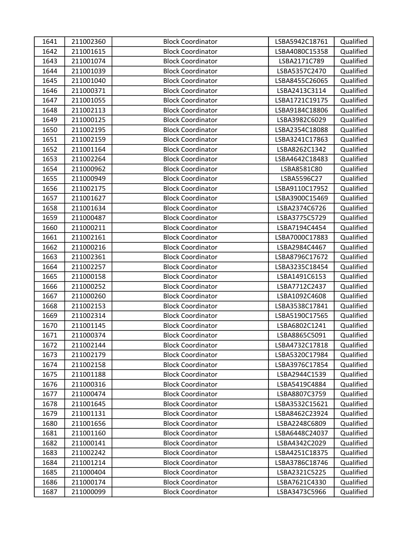| 1641 | 211002360 | <b>Block Coordinator</b> | LSBA5942C18761 | Qualified |
|------|-----------|--------------------------|----------------|-----------|
| 1642 | 211001615 | <b>Block Coordinator</b> | LSBA4080C15358 | Qualified |
| 1643 | 211001074 | <b>Block Coordinator</b> | LSBA2171C789   | Qualified |
| 1644 | 211001039 | <b>Block Coordinator</b> | LSBA5357C2470  | Qualified |
| 1645 | 211001040 | <b>Block Coordinator</b> | LSBA8455C26065 | Qualified |
| 1646 | 211000371 | <b>Block Coordinator</b> | LSBA2413C3114  | Qualified |
| 1647 | 211001055 | <b>Block Coordinator</b> | LSBA1721C19175 | Qualified |
| 1648 | 211002113 | <b>Block Coordinator</b> | LSBA9184C18806 | Qualified |
| 1649 | 211000125 | <b>Block Coordinator</b> | LSBA3982C6029  | Qualified |
| 1650 | 211002195 | <b>Block Coordinator</b> | LSBA2354C18088 | Qualified |
| 1651 | 211002159 | <b>Block Coordinator</b> | LSBA3241C17863 | Qualified |
| 1652 | 211001164 | <b>Block Coordinator</b> | LSBA8262C1342  | Qualified |
| 1653 | 211002264 | <b>Block Coordinator</b> | LSBA4642C18483 | Qualified |
| 1654 | 211000962 | <b>Block Coordinator</b> | LSBA8581C80    | Qualified |
| 1655 | 211000949 | <b>Block Coordinator</b> | LSBA5596C27    | Qualified |
| 1656 | 211002175 | <b>Block Coordinator</b> | LSBA9110C17952 | Qualified |
| 1657 | 211001627 | <b>Block Coordinator</b> | LSBA3900C15469 | Qualified |
| 1658 | 211001634 | <b>Block Coordinator</b> | LSBA2374C6726  | Qualified |
| 1659 | 211000487 | <b>Block Coordinator</b> | LSBA3775C5729  | Qualified |
| 1660 | 211000211 | <b>Block Coordinator</b> | LSBA7194C4454  | Qualified |
| 1661 | 211002161 | <b>Block Coordinator</b> | LSBA7000C17883 | Qualified |
| 1662 | 211000216 | <b>Block Coordinator</b> | LSBA2984C4467  | Qualified |
| 1663 | 211002361 | <b>Block Coordinator</b> | LSBA8796C17672 | Qualified |
| 1664 | 211002257 | <b>Block Coordinator</b> | LSBA3235C18454 | Qualified |
| 1665 | 211000158 | <b>Block Coordinator</b> | LSBA1491C6153  | Qualified |
| 1666 | 211000252 | <b>Block Coordinator</b> | LSBA7712C2437  | Qualified |
| 1667 | 211000260 | <b>Block Coordinator</b> | LSBA1092C4608  | Qualified |
| 1668 | 211002153 | <b>Block Coordinator</b> | LSBA3538C17841 | Qualified |
| 1669 | 211002314 | <b>Block Coordinator</b> | LSBA5190C17565 | Qualified |
| 1670 | 211001145 | <b>Block Coordinator</b> | LSBA6802C1241  | Qualified |
| 1671 | 211000374 | <b>Block Coordinator</b> | LSBA8865C5091  | Qualified |
| 1672 | 211002144 | <b>Block Coordinator</b> | LSBA4732C17818 | Qualified |
| 1673 | 211002179 | <b>Block Coordinator</b> | LSBA5320C17984 | Qualified |
| 1674 | 211002158 | <b>Block Coordinator</b> | LSBA3976C17854 | Qualified |
| 1675 | 211001188 | <b>Block Coordinator</b> | LSBA2944C1539  | Qualified |
| 1676 | 211000316 | <b>Block Coordinator</b> | LSBA5419C4884  | Qualified |
| 1677 | 211000474 | <b>Block Coordinator</b> | LSBA8807C3759  | Qualified |
| 1678 | 211001645 | <b>Block Coordinator</b> | LSBA3532C15621 | Qualified |
| 1679 | 211001131 | <b>Block Coordinator</b> | LSBA8462C23924 | Qualified |
| 1680 | 211001656 | <b>Block Coordinator</b> | LSBA2248C6809  | Qualified |
| 1681 | 211001160 | <b>Block Coordinator</b> | LSBA6448C24037 | Qualified |
| 1682 | 211000141 | <b>Block Coordinator</b> | LSBA4342C2029  | Qualified |
| 1683 | 211002242 | <b>Block Coordinator</b> | LSBA4251C18375 | Qualified |
| 1684 | 211001214 | <b>Block Coordinator</b> | LSBA3786C18746 | Qualified |
| 1685 | 211000404 | <b>Block Coordinator</b> | LSBA2321C5225  | Qualified |
| 1686 | 211000174 | <b>Block Coordinator</b> | LSBA7621C4330  | Qualified |
| 1687 | 211000099 | <b>Block Coordinator</b> | LSBA3473C5966  | Qualified |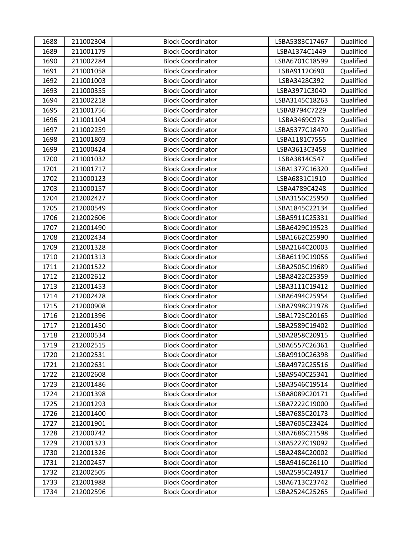| 1688 | 211002304 | <b>Block Coordinator</b> | LSBA5383C17467 | Qualified |
|------|-----------|--------------------------|----------------|-----------|
| 1689 | 211001179 | <b>Block Coordinator</b> | LSBA1374C1449  | Qualified |
| 1690 | 211002284 | <b>Block Coordinator</b> | LSBA6701C18599 | Qualified |
| 1691 | 211001058 | <b>Block Coordinator</b> | LSBA9112C690   | Qualified |
| 1692 | 211001003 | <b>Block Coordinator</b> | LSBA3428C392   | Qualified |
| 1693 | 211000355 | <b>Block Coordinator</b> | LSBA3971C3040  | Qualified |
| 1694 | 211002218 | <b>Block Coordinator</b> | LSBA3145C18263 | Qualified |
| 1695 | 211001756 | <b>Block Coordinator</b> | LSBA8794C7229  | Qualified |
| 1696 | 211001104 | <b>Block Coordinator</b> | LSBA3469C973   | Qualified |
| 1697 | 211002259 | <b>Block Coordinator</b> | LSBA5377C18470 | Qualified |
| 1698 | 211001803 | <b>Block Coordinator</b> | LSBA1181C7555  | Qualified |
| 1699 | 211000424 | <b>Block Coordinator</b> | LSBA3613C3458  | Qualified |
| 1700 | 211001032 | <b>Block Coordinator</b> | LSBA3814C547   | Qualified |
| 1701 | 211001717 | <b>Block Coordinator</b> | LSBA1377C16320 | Qualified |
| 1702 | 211000123 | <b>Block Coordinator</b> | LSBA6831C1910  | Qualified |
| 1703 | 211000157 | <b>Block Coordinator</b> | LSBA4789C4248  | Qualified |
| 1704 | 212002427 | <b>Block Coordinator</b> | LSBA3156C25950 | Qualified |
| 1705 | 212000549 | <b>Block Coordinator</b> | LSBA1845C22134 | Qualified |
| 1706 | 212002606 | <b>Block Coordinator</b> | LSBA5911C25331 | Qualified |
| 1707 | 212001490 | <b>Block Coordinator</b> | LSBA6429C19523 | Qualified |
| 1708 | 212002434 | <b>Block Coordinator</b> | LSBA1662C25990 | Qualified |
| 1709 | 212001328 | <b>Block Coordinator</b> | LSBA2164C20003 | Qualified |
| 1710 | 212001313 | <b>Block Coordinator</b> | LSBA6119C19056 | Qualified |
| 1711 | 212001522 | <b>Block Coordinator</b> | LSBA2505C19689 | Qualified |
| 1712 | 212002612 | <b>Block Coordinator</b> | LSBA8422C25359 | Qualified |
| 1713 | 212001453 | <b>Block Coordinator</b> | LSBA3111C19412 | Qualified |
| 1714 | 212002428 | <b>Block Coordinator</b> | LSBA6494C25954 | Qualified |
| 1715 | 212000908 | <b>Block Coordinator</b> | LSBA7998C21978 | Qualified |
| 1716 | 212001396 | <b>Block Coordinator</b> | LSBA1723C20165 | Qualified |
| 1717 | 212001450 | <b>Block Coordinator</b> | LSBA2589C19402 | Qualified |
| 1718 | 212000534 | <b>Block Coordinator</b> | LSBA2858C20915 | Qualified |
| 1719 | 212002515 | <b>Block Coordinator</b> | LSBA6557C26361 | Qualified |
| 1720 | 212002531 | <b>Block Coordinator</b> | LSBA9910C26398 | Qualified |
| 1721 | 212002631 | <b>Block Coordinator</b> | LSBA4972C25516 | Qualified |
| 1722 | 212002608 | <b>Block Coordinator</b> | LSBA9540C25341 | Qualified |
| 1723 | 212001486 | <b>Block Coordinator</b> | LSBA3546C19514 | Qualified |
| 1724 | 212001398 | <b>Block Coordinator</b> | LSBA8089C20171 | Qualified |
| 1725 | 212001293 | <b>Block Coordinator</b> | LSBA7222C19000 | Qualified |
| 1726 | 212001400 | <b>Block Coordinator</b> | LSBA7685C20173 | Qualified |
| 1727 | 212001901 | <b>Block Coordinator</b> | LSBA7605C23424 | Qualified |
| 1728 | 212000742 | <b>Block Coordinator</b> | LSBA7686C21598 | Qualified |
| 1729 | 212001323 | <b>Block Coordinator</b> | LSBA5227C19092 | Qualified |
| 1730 | 212001326 | <b>Block Coordinator</b> | LSBA2484C20002 | Qualified |
| 1731 | 212002457 | <b>Block Coordinator</b> | LSBA9416C26110 | Qualified |
| 1732 | 212002505 | <b>Block Coordinator</b> | LSBA2595C24917 | Qualified |
| 1733 | 212001988 | <b>Block Coordinator</b> | LSBA6713C23742 | Qualified |
| 1734 | 212002596 | <b>Block Coordinator</b> | LSBA2524C25265 | Qualified |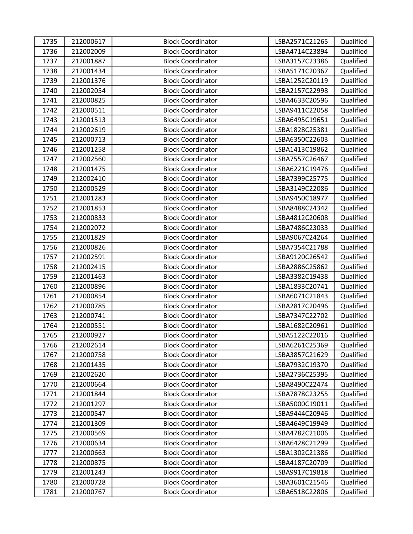| 1735 | 212000617 | <b>Block Coordinator</b> | LSBA2571C21265 | Qualified |
|------|-----------|--------------------------|----------------|-----------|
| 1736 | 212002009 | <b>Block Coordinator</b> | LSBA4714C23894 | Qualified |
| 1737 | 212001887 | <b>Block Coordinator</b> | LSBA3157C23386 | Qualified |
| 1738 | 212001434 | <b>Block Coordinator</b> | LSBA5171C20367 | Qualified |
| 1739 | 212001376 | <b>Block Coordinator</b> | LSBA1252C20119 | Qualified |
| 1740 | 212002054 | <b>Block Coordinator</b> | LSBA2157C22998 | Qualified |
| 1741 | 212000825 | <b>Block Coordinator</b> | LSBA4633C20596 | Qualified |
| 1742 | 212000511 | <b>Block Coordinator</b> | LSBA9411C22058 | Qualified |
| 1743 | 212001513 | <b>Block Coordinator</b> | LSBA6495C19651 | Qualified |
| 1744 | 212002619 | <b>Block Coordinator</b> | LSBA1828C25381 | Qualified |
| 1745 | 212000713 | <b>Block Coordinator</b> | LSBA6350C22603 | Qualified |
| 1746 | 212001258 | <b>Block Coordinator</b> | LSBA1413C19862 | Qualified |
| 1747 | 212002560 | <b>Block Coordinator</b> | LSBA7557C26467 | Qualified |
| 1748 | 212001475 | <b>Block Coordinator</b> | LSBA6221C19476 | Qualified |
| 1749 | 212002410 | <b>Block Coordinator</b> | LSBA7399C25775 | Qualified |
| 1750 | 212000529 | <b>Block Coordinator</b> | LSBA3149C22086 | Qualified |
| 1751 | 212001283 | <b>Block Coordinator</b> | LSBA9450C18977 | Qualified |
| 1752 | 212001853 | <b>Block Coordinator</b> | LSBA8488C24342 | Qualified |
| 1753 | 212000833 | <b>Block Coordinator</b> | LSBA4812C20608 | Qualified |
| 1754 | 212002072 | <b>Block Coordinator</b> | LSBA7486C23033 | Qualified |
| 1755 | 212001829 | <b>Block Coordinator</b> | LSBA9067C24264 | Qualified |
| 1756 | 212000826 | <b>Block Coordinator</b> | LSBA7354C21788 | Qualified |
| 1757 | 212002591 | <b>Block Coordinator</b> | LSBA9120C26542 | Qualified |
| 1758 | 212002415 | <b>Block Coordinator</b> | LSBA2886C25862 | Qualified |
| 1759 | 212001463 | <b>Block Coordinator</b> | LSBA3382C19438 | Qualified |
| 1760 | 212000896 | <b>Block Coordinator</b> | LSBA1833C20741 | Qualified |
| 1761 | 212000854 | <b>Block Coordinator</b> | LSBA6071C21843 | Qualified |
| 1762 | 212000785 | <b>Block Coordinator</b> | LSBA2817C20496 | Qualified |
| 1763 | 212000741 | <b>Block Coordinator</b> | LSBA7347C22702 | Qualified |
| 1764 | 212000551 | <b>Block Coordinator</b> | LSBA1682C20961 | Qualified |
| 1765 | 212000927 | <b>Block Coordinator</b> | LSBA5122C22016 | Qualified |
| 1766 | 212002614 | <b>Block Coordinator</b> | LSBA6261C25369 | Qualified |
| 1767 | 212000758 | <b>Block Coordinator</b> | LSBA3857C21629 | Qualified |
| 1768 | 212001435 | <b>Block Coordinator</b> | LSBA7932C19370 | Qualified |
| 1769 | 212002620 | <b>Block Coordinator</b> | LSBA2736C25395 | Qualified |
| 1770 | 212000664 | <b>Block Coordinator</b> | LSBA8490C22474 | Qualified |
| 1771 | 212001844 | <b>Block Coordinator</b> | LSBA7878C23255 | Qualified |
| 1772 | 212001297 | <b>Block Coordinator</b> | LSBA5000C19011 | Qualified |
| 1773 | 212000547 | <b>Block Coordinator</b> | LSBA9444C20946 | Qualified |
| 1774 | 212001309 | <b>Block Coordinator</b> | LSBA4649C19949 | Qualified |
| 1775 | 212000569 | <b>Block Coordinator</b> | LSBA4782C21006 | Qualified |
| 1776 | 212000634 | <b>Block Coordinator</b> | LSBA6428C21299 | Qualified |
| 1777 | 212000663 | <b>Block Coordinator</b> | LSBA1302C21386 | Qualified |
| 1778 | 212000875 | <b>Block Coordinator</b> | LSBA4187C20709 | Qualified |
| 1779 | 212001243 | <b>Block Coordinator</b> | LSBA9917C19818 | Qualified |
| 1780 | 212000728 | <b>Block Coordinator</b> | LSBA3601C21546 | Qualified |
| 1781 | 212000767 | <b>Block Coordinator</b> | LSBA6518C22806 | Qualified |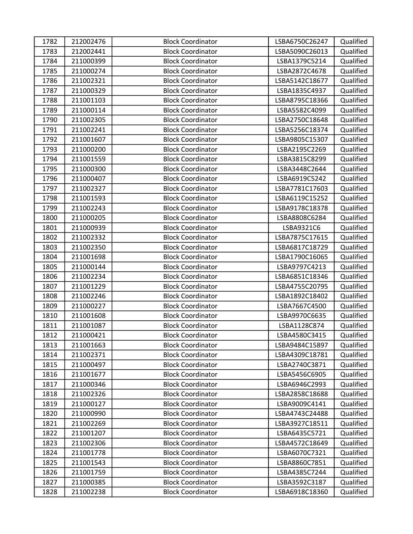| 1782 | 212002476 | <b>Block Coordinator</b> | LSBA6750C26247 | Qualified |
|------|-----------|--------------------------|----------------|-----------|
| 1783 | 212002441 | <b>Block Coordinator</b> | LSBA5090C26013 | Qualified |
| 1784 | 211000399 | <b>Block Coordinator</b> | LSBA1379C5214  | Qualified |
| 1785 | 211000274 | <b>Block Coordinator</b> | LSBA2872C4678  | Qualified |
| 1786 | 211002321 | <b>Block Coordinator</b> | LSBA5142C18677 | Qualified |
| 1787 | 211000329 | <b>Block Coordinator</b> | LSBA1835C4937  | Qualified |
| 1788 | 211001103 | <b>Block Coordinator</b> | LSBA8795C18366 | Qualified |
| 1789 | 211000114 | <b>Block Coordinator</b> | LSBA5582C4099  | Qualified |
| 1790 | 211002305 | <b>Block Coordinator</b> | LSBA2750C18648 | Qualified |
| 1791 | 211002241 | <b>Block Coordinator</b> | LSBA5256C18374 | Qualified |
| 1792 | 211001607 | <b>Block Coordinator</b> | LSBA9805C15307 | Qualified |
| 1793 | 211000200 | <b>Block Coordinator</b> | LSBA2195C2269  | Qualified |
| 1794 | 211001559 | <b>Block Coordinator</b> | LSBA3815C8299  | Qualified |
| 1795 | 211000300 | <b>Block Coordinator</b> | LSBA3448C2644  | Qualified |
| 1796 | 211000407 | <b>Block Coordinator</b> | LSBA6919C5242  | Qualified |
| 1797 | 211002327 | <b>Block Coordinator</b> | LSBA7781C17603 | Qualified |
| 1798 | 211001593 | <b>Block Coordinator</b> | LSBA6119C15252 | Qualified |
| 1799 | 211002243 | <b>Block Coordinator</b> | LSBA9178C18378 | Qualified |
| 1800 | 211000205 | <b>Block Coordinator</b> | LSBA8808C6284  | Qualified |
| 1801 | 211000939 | <b>Block Coordinator</b> | LSBA9321C6     | Qualified |
| 1802 | 211002332 | <b>Block Coordinator</b> | LSBA7875C17615 | Qualified |
| 1803 | 211002350 | <b>Block Coordinator</b> | LSBA6817C18729 | Qualified |
| 1804 | 211001698 | <b>Block Coordinator</b> | LSBA1790C16065 | Qualified |
| 1805 | 211000144 | <b>Block Coordinator</b> | LSBA9797C4213  | Qualified |
| 1806 | 211002234 | <b>Block Coordinator</b> | LSBA6851C18346 | Qualified |
| 1807 | 211001229 | <b>Block Coordinator</b> | LSBA4755C20795 | Qualified |
| 1808 | 211002246 | <b>Block Coordinator</b> | LSBA1892C18402 | Qualified |
| 1809 | 211000227 | <b>Block Coordinator</b> | LSBA7667C4500  | Qualified |
| 1810 | 211001608 | <b>Block Coordinator</b> | LSBA9970C6635  | Qualified |
| 1811 | 211001087 | <b>Block Coordinator</b> | LSBA1128C874   | Qualified |
| 1812 | 211000421 | <b>Block Coordinator</b> | LSBA4580C3415  | Qualified |
| 1813 | 211001663 | <b>Block Coordinator</b> | LSBA9484C15897 | Qualified |
| 1814 | 211002371 | <b>Block Coordinator</b> | LSBA4309C18781 | Qualified |
| 1815 | 211000497 | <b>Block Coordinator</b> | LSBA2740C3871  | Qualified |
| 1816 | 211001677 | <b>Block Coordinator</b> | LSBA5456C6905  | Qualified |
| 1817 | 211000346 | <b>Block Coordinator</b> | LSBA6946C2993  | Qualified |
| 1818 | 211002326 | <b>Block Coordinator</b> | LSBA2858C18688 | Qualified |
| 1819 | 211000127 | <b>Block Coordinator</b> | LSBA9009C4141  | Qualified |
| 1820 | 211000990 | <b>Block Coordinator</b> | LSBA4743C24488 | Qualified |
| 1821 | 211002269 | <b>Block Coordinator</b> | LSBA3927C18511 | Qualified |
| 1822 | 211001207 | <b>Block Coordinator</b> | LSBA6435C5721  | Qualified |
| 1823 | 211002306 | <b>Block Coordinator</b> | LSBA4572C18649 | Qualified |
| 1824 | 211001778 | <b>Block Coordinator</b> | LSBA6070C7321  | Qualified |
| 1825 | 211001543 | <b>Block Coordinator</b> | LSBA8860C7851  | Qualified |
| 1826 | 211001759 | <b>Block Coordinator</b> | LSBA4385C7244  | Qualified |
| 1827 | 211000385 | <b>Block Coordinator</b> | LSBA3592C3187  | Qualified |
| 1828 | 211002238 | <b>Block Coordinator</b> | LSBA6918C18360 | Qualified |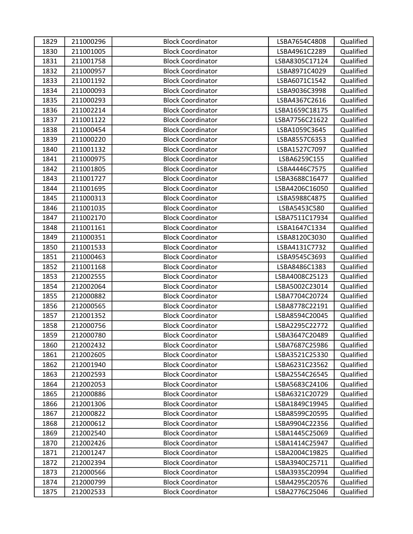| 1829 | 211000296 | <b>Block Coordinator</b> | LSBA7654C4808  | Qualified |
|------|-----------|--------------------------|----------------|-----------|
| 1830 | 211001005 | <b>Block Coordinator</b> | LSBA4961C2289  | Qualified |
| 1831 | 211001758 | <b>Block Coordinator</b> | LSBA8305C17124 | Qualified |
| 1832 | 211000957 | <b>Block Coordinator</b> | LSBA8971C4029  | Qualified |
| 1833 | 211001192 | <b>Block Coordinator</b> | LSBA6071C1542  | Qualified |
| 1834 | 211000093 | <b>Block Coordinator</b> | LSBA9036C3998  | Qualified |
| 1835 | 211000293 | <b>Block Coordinator</b> | LSBA4367C2616  | Qualified |
| 1836 | 211002214 | <b>Block Coordinator</b> | LSBA1659C18175 | Qualified |
| 1837 | 211001122 | <b>Block Coordinator</b> | LSBA7756C21622 | Qualified |
| 1838 | 211000454 | <b>Block Coordinator</b> | LSBA1059C3645  | Qualified |
| 1839 | 211000220 | <b>Block Coordinator</b> | LSBA8557C6353  | Qualified |
| 1840 | 211001132 | <b>Block Coordinator</b> | LSBA1527C7097  | Qualified |
| 1841 | 211000975 | <b>Block Coordinator</b> | LSBA6259C155   | Qualified |
| 1842 | 211001805 | <b>Block Coordinator</b> | LSBA4446C7575  | Qualified |
| 1843 | 211001727 | <b>Block Coordinator</b> | LSBA3688C16477 | Qualified |
| 1844 | 211001695 | <b>Block Coordinator</b> | LSBA4206C16050 | Qualified |
| 1845 | 211000313 | <b>Block Coordinator</b> | LSBA5988C4875  | Qualified |
| 1846 | 211001035 | <b>Block Coordinator</b> | LSBA5453C580   | Qualified |
| 1847 | 211002170 | <b>Block Coordinator</b> | LSBA7511C17934 | Qualified |
| 1848 | 211001161 | <b>Block Coordinator</b> | LSBA1647C1334  | Qualified |
| 1849 | 211000351 | <b>Block Coordinator</b> | LSBA8120C3030  | Qualified |
| 1850 | 211001533 | <b>Block Coordinator</b> | LSBA4131C7732  | Qualified |
| 1851 | 211000463 | <b>Block Coordinator</b> | LSBA9545C3693  | Qualified |
| 1852 | 211001168 | <b>Block Coordinator</b> | LSBA8486C1383  | Qualified |
| 1853 | 212002555 | <b>Block Coordinator</b> | LSBA4008C25123 | Qualified |
| 1854 | 212002064 | <b>Block Coordinator</b> | LSBA5002C23014 | Qualified |
| 1855 | 212000882 | <b>Block Coordinator</b> | LSBA7704C20724 | Qualified |
| 1856 | 212000565 | <b>Block Coordinator</b> | LSBA8778C22191 | Qualified |
| 1857 | 212001352 | <b>Block Coordinator</b> | LSBA8594C20045 | Qualified |
| 1858 | 212000756 | <b>Block Coordinator</b> | LSBA2295C22772 | Qualified |
| 1859 | 212000780 | <b>Block Coordinator</b> | LSBA3647C20489 | Qualified |
| 1860 | 212002432 | <b>Block Coordinator</b> | LSBA7687C25986 | Qualified |
| 1861 | 212002605 | <b>Block Coordinator</b> | LSBA3521C25330 | Qualified |
| 1862 | 212001940 | <b>Block Coordinator</b> | LSBA6231C23562 | Qualified |
| 1863 | 212002593 | <b>Block Coordinator</b> | LSBA2554C26545 | Qualified |
| 1864 | 212002053 | <b>Block Coordinator</b> | LSBA5683C24106 | Qualified |
| 1865 | 212000886 | <b>Block Coordinator</b> | LSBA6321C20729 | Qualified |
| 1866 | 212001306 | <b>Block Coordinator</b> | LSBA1849C19945 | Qualified |
| 1867 | 212000822 | <b>Block Coordinator</b> | LSBA8599C20595 | Qualified |
| 1868 | 212000612 | <b>Block Coordinator</b> | LSBA9904C22356 | Qualified |
| 1869 | 212002540 | <b>Block Coordinator</b> | LSBA1445C25069 | Qualified |
| 1870 | 212002426 | <b>Block Coordinator</b> | LSBA1414C25947 | Qualified |
| 1871 | 212001247 | <b>Block Coordinator</b> | LSBA2004C19825 | Qualified |
| 1872 | 212002394 | <b>Block Coordinator</b> | LSBA3940C25711 | Qualified |
| 1873 | 212000566 | <b>Block Coordinator</b> | LSBA3935C20994 | Qualified |
| 1874 | 212000799 | <b>Block Coordinator</b> | LSBA4295C20576 | Qualified |
| 1875 | 212002533 | <b>Block Coordinator</b> | LSBA2776C25046 | Qualified |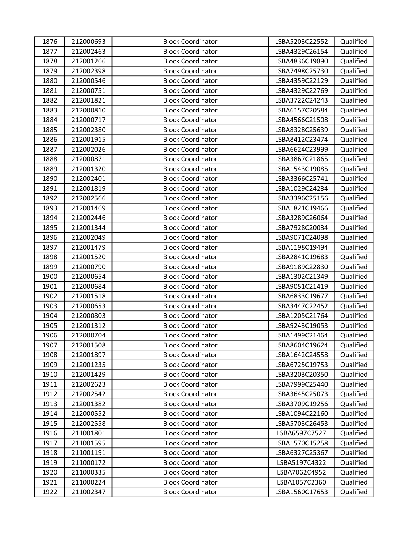| 1876 | 212000693 | <b>Block Coordinator</b> | LSBA5203C22552 | Qualified |
|------|-----------|--------------------------|----------------|-----------|
| 1877 | 212002463 | <b>Block Coordinator</b> | LSBA4329C26154 | Qualified |
| 1878 | 212001266 | <b>Block Coordinator</b> | LSBA4836C19890 | Qualified |
| 1879 | 212002398 | <b>Block Coordinator</b> | LSBA7498C25730 | Qualified |
| 1880 | 212000546 | <b>Block Coordinator</b> | LSBA4359C22129 | Qualified |
| 1881 | 212000751 | <b>Block Coordinator</b> | LSBA4329C22769 | Qualified |
| 1882 | 212001821 | <b>Block Coordinator</b> | LSBA3722C24243 | Qualified |
| 1883 | 212000810 | <b>Block Coordinator</b> | LSBA6157C20584 | Qualified |
| 1884 | 212000717 | <b>Block Coordinator</b> | LSBA4566C21508 | Qualified |
| 1885 | 212002380 | <b>Block Coordinator</b> | LSBA8328C25639 | Qualified |
| 1886 | 212001915 | <b>Block Coordinator</b> | LSBA8412C23474 | Qualified |
| 1887 | 212002026 | <b>Block Coordinator</b> | LSBA6624C23999 | Qualified |
| 1888 | 212000871 | <b>Block Coordinator</b> | LSBA3867C21865 | Qualified |
| 1889 | 212001320 | <b>Block Coordinator</b> | LSBA1543C19085 | Qualified |
| 1890 | 212002401 | <b>Block Coordinator</b> | LSBA3366C25741 | Qualified |
| 1891 | 212001819 | <b>Block Coordinator</b> | LSBA1029C24234 | Qualified |
| 1892 | 212002566 | <b>Block Coordinator</b> | LSBA3396C25156 | Qualified |
| 1893 | 212001469 | <b>Block Coordinator</b> | LSBA1821C19466 | Qualified |
| 1894 | 212002446 | <b>Block Coordinator</b> | LSBA3289C26064 | Qualified |
| 1895 | 212001344 | <b>Block Coordinator</b> | LSBA7928C20034 | Qualified |
| 1896 | 212002049 | <b>Block Coordinator</b> | LSBA9071C24098 | Qualified |
| 1897 | 212001479 | <b>Block Coordinator</b> | LSBA1198C19494 | Qualified |
| 1898 | 212001520 | <b>Block Coordinator</b> | LSBA2841C19683 | Qualified |
| 1899 | 212000790 | <b>Block Coordinator</b> | LSBA9189C22830 | Qualified |
| 1900 | 212000654 | <b>Block Coordinator</b> | LSBA1302C21349 | Qualified |
| 1901 | 212000684 | <b>Block Coordinator</b> | LSBA9051C21419 | Qualified |
| 1902 | 212001518 | <b>Block Coordinator</b> | LSBA6833C19677 | Qualified |
| 1903 | 212000653 | <b>Block Coordinator</b> | LSBA3447C22452 | Qualified |
| 1904 | 212000803 | <b>Block Coordinator</b> | LSBA1205C21764 | Qualified |
| 1905 | 212001312 | <b>Block Coordinator</b> | LSBA9243C19053 | Qualified |
| 1906 | 212000704 | <b>Block Coordinator</b> | LSBA1499C21464 | Qualified |
| 1907 | 212001508 | <b>Block Coordinator</b> | LSBA8604C19624 | Qualified |
| 1908 | 212001897 | <b>Block Coordinator</b> | LSBA1642C24558 | Qualified |
| 1909 | 212001235 | <b>Block Coordinator</b> | LSBA6725C19753 | Qualified |
| 1910 | 212001429 | <b>Block Coordinator</b> | LSBA3203C20350 | Qualified |
| 1911 | 212002623 | <b>Block Coordinator</b> | LSBA7999C25440 | Qualified |
| 1912 | 212002542 | <b>Block Coordinator</b> | LSBA3645C25073 | Qualified |
| 1913 | 212001382 | <b>Block Coordinator</b> | LSBA3709C19256 | Qualified |
| 1914 | 212000552 | <b>Block Coordinator</b> | LSBA1094C22160 | Qualified |
| 1915 | 212002558 | <b>Block Coordinator</b> | LSBA5703C26453 | Qualified |
| 1916 | 211001801 | <b>Block Coordinator</b> | LSBA6597C7527  | Qualified |
| 1917 | 211001595 | <b>Block Coordinator</b> | LSBA1570C15258 | Qualified |
| 1918 | 211001191 | <b>Block Coordinator</b> | LSBA6327C25367 | Qualified |
| 1919 | 211000172 | <b>Block Coordinator</b> | LSBA5197C4322  | Qualified |
| 1920 | 211000335 | <b>Block Coordinator</b> | LSBA7062C4952  | Qualified |
| 1921 | 211000224 | <b>Block Coordinator</b> | LSBA1057C2360  | Qualified |
| 1922 | 211002347 | <b>Block Coordinator</b> | LSBA1560C17653 | Qualified |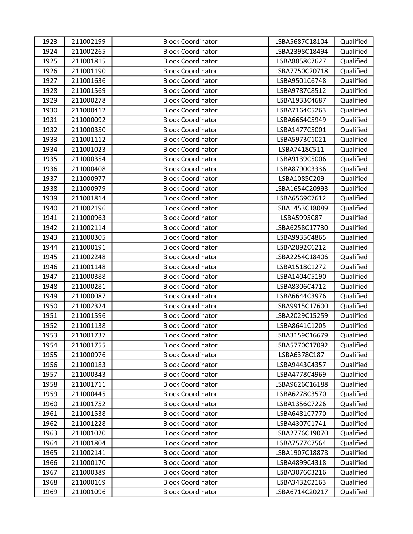| 1923 | 211002199 | <b>Block Coordinator</b> | LSBA5687C18104 | Qualified |
|------|-----------|--------------------------|----------------|-----------|
| 1924 | 211002265 | <b>Block Coordinator</b> | LSBA2398C18494 | Qualified |
| 1925 | 211001815 | <b>Block Coordinator</b> | LSBA8858C7627  | Qualified |
| 1926 | 211001190 | <b>Block Coordinator</b> | LSBA7750C20718 | Qualified |
| 1927 | 211001636 | <b>Block Coordinator</b> | LSBA9501C6748  | Qualified |
| 1928 | 211001569 | <b>Block Coordinator</b> | LSBA9787C8512  | Qualified |
| 1929 | 211000278 | <b>Block Coordinator</b> | LSBA1933C4687  | Qualified |
| 1930 | 211000412 | <b>Block Coordinator</b> | LSBA7164C5263  | Qualified |
| 1931 | 211000092 | <b>Block Coordinator</b> | LSBA6664C5949  | Qualified |
| 1932 | 211000350 | <b>Block Coordinator</b> | LSBA1477C5001  | Qualified |
| 1933 | 211001112 | <b>Block Coordinator</b> | LSBA5973C1021  | Qualified |
| 1934 | 211001023 | <b>Block Coordinator</b> | LSBA7418C511   | Qualified |
| 1935 | 211000354 | <b>Block Coordinator</b> | LSBA9139C5006  | Qualified |
| 1936 | 211000408 | <b>Block Coordinator</b> | LSBA8790C3336  | Qualified |
| 1937 | 211000977 | <b>Block Coordinator</b> | LSBA1085C209   | Qualified |
| 1938 | 211000979 | <b>Block Coordinator</b> | LSBA1654C20993 | Qualified |
| 1939 | 211001814 | <b>Block Coordinator</b> | LSBA6569C7612  | Qualified |
| 1940 | 211002196 | <b>Block Coordinator</b> | LSBA1453C18089 | Qualified |
| 1941 | 211000963 | <b>Block Coordinator</b> | LSBA5995C87    | Qualified |
| 1942 | 211002114 | <b>Block Coordinator</b> | LSBA6258C17730 | Qualified |
| 1943 | 211000305 | <b>Block Coordinator</b> | LSBA9935C4865  | Qualified |
| 1944 | 211000191 | <b>Block Coordinator</b> | LSBA2892C6212  | Qualified |
| 1945 | 211002248 | <b>Block Coordinator</b> | LSBA2254C18406 | Qualified |
| 1946 | 211001148 | <b>Block Coordinator</b> | LSBA1518C1272  | Qualified |
| 1947 | 211000388 | <b>Block Coordinator</b> | LSBA1404C5190  | Qualified |
| 1948 | 211000281 | <b>Block Coordinator</b> | LSBA8306C4712  | Qualified |
| 1949 | 211000087 | <b>Block Coordinator</b> | LSBA6644C3976  | Qualified |
| 1950 | 211002324 | <b>Block Coordinator</b> | LSBA9915C17600 | Qualified |
| 1951 | 211001596 | <b>Block Coordinator</b> | LSBA2029C15259 | Qualified |
| 1952 | 211001138 | <b>Block Coordinator</b> | LSBA8641C1205  | Qualified |
| 1953 | 211001737 | <b>Block Coordinator</b> | LSBA3159C16679 | Qualified |
| 1954 | 211001755 | <b>Block Coordinator</b> | LSBA5770C17092 | Qualified |
| 1955 | 211000976 | <b>Block Coordinator</b> | LSBA6378C187   | Qualified |
| 1956 | 211000183 | <b>Block Coordinator</b> | LSBA9443C4357  | Qualified |
| 1957 | 211000343 | <b>Block Coordinator</b> | LSBA4778C4969  | Qualified |
| 1958 | 211001711 | <b>Block Coordinator</b> | LSBA9626C16188 | Qualified |
| 1959 | 211000445 | <b>Block Coordinator</b> | LSBA6278C3570  | Qualified |
| 1960 | 211001752 | <b>Block Coordinator</b> | LSBA1356C7226  | Qualified |
| 1961 | 211001538 | <b>Block Coordinator</b> | LSBA6481C7770  | Qualified |
| 1962 | 211001228 | <b>Block Coordinator</b> | LSBA4307C1741  | Qualified |
| 1963 | 211001020 | <b>Block Coordinator</b> | LSBA2776C19070 | Qualified |
| 1964 | 211001804 | <b>Block Coordinator</b> | LSBA7577C7564  | Qualified |
| 1965 | 211002141 | <b>Block Coordinator</b> | LSBA1907C18878 | Qualified |
| 1966 | 211000170 | <b>Block Coordinator</b> | LSBA4899C4318  | Qualified |
| 1967 | 211000389 | <b>Block Coordinator</b> | LSBA3076C3216  | Qualified |
| 1968 | 211000169 | <b>Block Coordinator</b> | LSBA3432C2163  | Qualified |
| 1969 | 211001096 | <b>Block Coordinator</b> | LSBA6714C20217 | Qualified |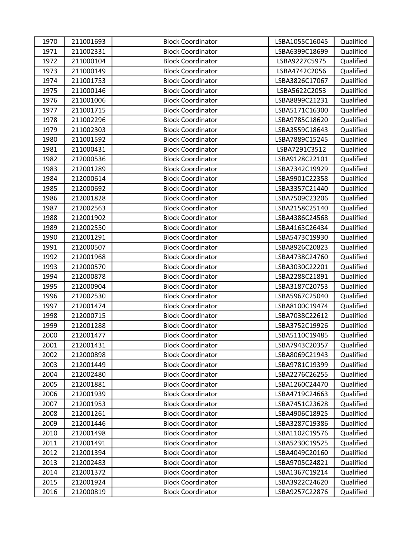| 1970 | 211001693 | <b>Block Coordinator</b> | LSBA1055C16045 | Qualified |
|------|-----------|--------------------------|----------------|-----------|
| 1971 | 211002331 | <b>Block Coordinator</b> | LSBA6399C18699 | Qualified |
| 1972 | 211000104 | <b>Block Coordinator</b> | LSBA9227C5975  | Qualified |
| 1973 | 211000149 | <b>Block Coordinator</b> | LSBA4742C2056  | Qualified |
| 1974 | 211001753 | <b>Block Coordinator</b> | LSBA3826C17067 | Qualified |
| 1975 | 211000146 | <b>Block Coordinator</b> | LSBA5622C2053  | Qualified |
| 1976 | 211001006 | <b>Block Coordinator</b> | LSBA8899C21231 | Qualified |
| 1977 | 211001715 | <b>Block Coordinator</b> | LSBA5171C16300 | Qualified |
| 1978 | 211002296 | <b>Block Coordinator</b> | LSBA9785C18620 | Qualified |
| 1979 | 211002303 | <b>Block Coordinator</b> | LSBA3559C18643 | Qualified |
| 1980 | 211001592 | <b>Block Coordinator</b> | LSBA7889C15245 | Qualified |
| 1981 | 211000431 | <b>Block Coordinator</b> | LSBA7291C3512  | Qualified |
| 1982 | 212000536 | <b>Block Coordinator</b> | LSBA9128C22101 | Qualified |
| 1983 | 212001289 | <b>Block Coordinator</b> | LSBA7342C19929 | Qualified |
| 1984 | 212000614 | <b>Block Coordinator</b> | LSBA9901C22358 | Qualified |
| 1985 | 212000692 | <b>Block Coordinator</b> | LSBA3357C21440 | Qualified |
| 1986 | 212001828 | <b>Block Coordinator</b> | LSBA7509C23206 | Qualified |
| 1987 | 212002563 | <b>Block Coordinator</b> | LSBA2158C25140 | Qualified |
| 1988 | 212001902 | <b>Block Coordinator</b> | LSBA4386C24568 | Qualified |
| 1989 | 212002550 | <b>Block Coordinator</b> | LSBA4163C26434 | Qualified |
| 1990 | 212001291 | <b>Block Coordinator</b> | LSBA5473C19930 | Qualified |
| 1991 | 212000507 | <b>Block Coordinator</b> | LSBA8926C20823 | Qualified |
| 1992 | 212001968 | <b>Block Coordinator</b> | LSBA4738C24760 | Qualified |
| 1993 | 212000570 | <b>Block Coordinator</b> | LSBA3030C22201 | Qualified |
| 1994 | 212000878 | <b>Block Coordinator</b> | LSBA2288C21891 | Qualified |
| 1995 | 212000904 | <b>Block Coordinator</b> | LSBA3187C20753 | Qualified |
| 1996 | 212002530 | <b>Block Coordinator</b> | LSBA5967C25040 | Qualified |
| 1997 | 212001474 | <b>Block Coordinator</b> | LSBA8100C19474 | Qualified |
| 1998 | 212000715 | <b>Block Coordinator</b> | LSBA7038C22612 | Qualified |
| 1999 | 212001288 | <b>Block Coordinator</b> | LSBA3752C19926 | Qualified |
| 2000 | 212001477 | <b>Block Coordinator</b> | LSBA5110C19485 | Qualified |
| 2001 | 212001431 | <b>Block Coordinator</b> | LSBA7943C20357 | Qualified |
| 2002 | 212000898 | <b>Block Coordinator</b> | LSBA8069C21943 | Qualified |
| 2003 | 212001449 | <b>Block Coordinator</b> | LSBA9781C19399 | Qualified |
| 2004 | 212002480 | <b>Block Coordinator</b> | LSBA2276C26255 | Qualified |
| 2005 | 212001881 | <b>Block Coordinator</b> | LSBA1260C24470 | Qualified |
| 2006 | 212001939 | <b>Block Coordinator</b> | LSBA4719C24663 | Qualified |
| 2007 | 212001953 | <b>Block Coordinator</b> | LSBA7451C23628 | Qualified |
| 2008 | 212001261 | <b>Block Coordinator</b> | LSBA4906C18925 | Qualified |
| 2009 | 212001446 | <b>Block Coordinator</b> | LSBA3287C19386 | Qualified |
| 2010 | 212001498 | <b>Block Coordinator</b> | LSBA1102C19576 | Qualified |
| 2011 | 212001491 | <b>Block Coordinator</b> | LSBA5230C19525 | Qualified |
| 2012 | 212001394 | <b>Block Coordinator</b> | LSBA4049C20160 | Qualified |
| 2013 | 212002483 | <b>Block Coordinator</b> | LSBA9705C24821 | Qualified |
| 2014 | 212001372 | <b>Block Coordinator</b> | LSBA1367C19214 | Qualified |
| 2015 | 212001924 | <b>Block Coordinator</b> | LSBA3922C24620 | Qualified |
| 2016 | 212000819 | <b>Block Coordinator</b> | LSBA9257C22876 | Qualified |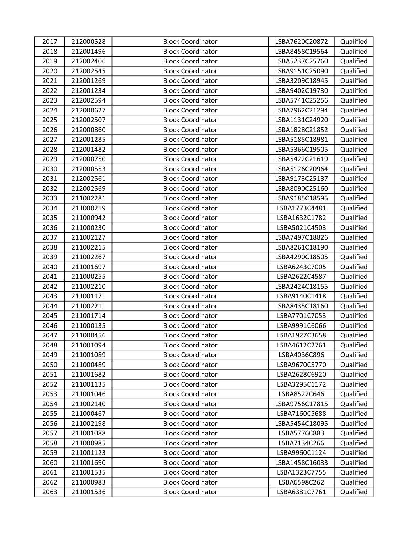| 2017 | 212000528 | <b>Block Coordinator</b> | LSBA7620C20872 | Qualified |
|------|-----------|--------------------------|----------------|-----------|
| 2018 | 212001496 | <b>Block Coordinator</b> | LSBA8458C19564 | Qualified |
| 2019 | 212002406 | <b>Block Coordinator</b> | LSBA5237C25760 | Qualified |
| 2020 | 212002545 | <b>Block Coordinator</b> | LSBA9151C25090 | Qualified |
| 2021 | 212001269 | <b>Block Coordinator</b> | LSBA3209C18945 | Qualified |
| 2022 | 212001234 | <b>Block Coordinator</b> | LSBA9402C19730 | Qualified |
| 2023 | 212002594 | <b>Block Coordinator</b> | LSBA5741C25256 | Qualified |
| 2024 | 212000627 | <b>Block Coordinator</b> | LSBA7962C21294 | Qualified |
| 2025 | 212002507 | <b>Block Coordinator</b> | LSBA1131C24920 | Qualified |
| 2026 | 212000860 | <b>Block Coordinator</b> | LSBA1828C21852 | Qualified |
| 2027 | 212001285 | <b>Block Coordinator</b> | LSBA5185C18981 | Qualified |
| 2028 | 212001482 | <b>Block Coordinator</b> | LSBA5366C19505 | Qualified |
| 2029 | 212000750 | <b>Block Coordinator</b> | LSBA5422C21619 | Qualified |
| 2030 | 212000553 | <b>Block Coordinator</b> | LSBA5126C20964 | Qualified |
| 2031 | 212002561 | <b>Block Coordinator</b> | LSBA9173C25137 | Qualified |
| 2032 | 212002569 | <b>Block Coordinator</b> | LSBA8090C25160 | Qualified |
| 2033 | 211002281 | <b>Block Coordinator</b> | LSBA9185C18595 | Qualified |
| 2034 | 211000219 | <b>Block Coordinator</b> | LSBA1773C4481  | Qualified |
| 2035 | 211000942 | <b>Block Coordinator</b> | LSBA1632C1782  | Qualified |
| 2036 | 211000230 | <b>Block Coordinator</b> | LSBA5021C4503  | Qualified |
| 2037 | 211002127 | <b>Block Coordinator</b> | LSBA7497C18826 | Qualified |
| 2038 | 211002215 | <b>Block Coordinator</b> | LSBA8261C18190 | Qualified |
| 2039 | 211002267 | <b>Block Coordinator</b> | LSBA4290C18505 | Qualified |
| 2040 | 211001697 | <b>Block Coordinator</b> | LSBA6243C7005  | Qualified |
| 2041 | 211000255 | <b>Block Coordinator</b> | LSBA2622C4587  | Qualified |
| 2042 | 211002210 | <b>Block Coordinator</b> | LSBA2424C18155 | Qualified |
| 2043 | 211001171 | <b>Block Coordinator</b> | LSBA9140C1418  | Qualified |
| 2044 | 211002211 | <b>Block Coordinator</b> | LSBA8435C18160 | Qualified |
| 2045 | 211001714 | <b>Block Coordinator</b> | LSBA7701C7053  | Qualified |
| 2046 | 211000135 | <b>Block Coordinator</b> | LSBA9991C6066  | Qualified |
| 2047 | 211000456 | <b>Block Coordinator</b> | LSBA1927C3658  | Qualified |
| 2048 | 211001094 | <b>Block Coordinator</b> | LSBA4612C2761  | Qualified |
| 2049 | 211001089 | <b>Block Coordinator</b> | LSBA4036C896   | Qualified |
| 2050 | 211000489 | <b>Block Coordinator</b> | LSBA9670C5770  | Qualified |
| 2051 | 211001682 | <b>Block Coordinator</b> | LSBA2628C6920  | Qualified |
| 2052 | 211001135 | <b>Block Coordinator</b> | LSBA3295C1172  | Qualified |
| 2053 | 211001046 | <b>Block Coordinator</b> | LSBA8522C646   | Qualified |
| 2054 | 211002140 | <b>Block Coordinator</b> | LSBA9756C17815 | Qualified |
| 2055 | 211000467 | <b>Block Coordinator</b> | LSBA7160C5688  | Qualified |
| 2056 | 211002198 | <b>Block Coordinator</b> | LSBA5454C18095 | Qualified |
| 2057 | 211001088 | <b>Block Coordinator</b> | LSBA5776C883   | Qualified |
| 2058 | 211000985 | <b>Block Coordinator</b> | LSBA7134C266   | Qualified |
| 2059 | 211001123 | <b>Block Coordinator</b> | LSBA9960C1124  | Qualified |
| 2060 | 211001690 | <b>Block Coordinator</b> | LSBA1458C16033 | Qualified |
| 2061 | 211001535 | <b>Block Coordinator</b> | LSBA1323C7755  | Qualified |
| 2062 | 211000983 | <b>Block Coordinator</b> | LSBA6598C262   | Qualified |
| 2063 | 211001536 | <b>Block Coordinator</b> | LSBA6381C7761  | Qualified |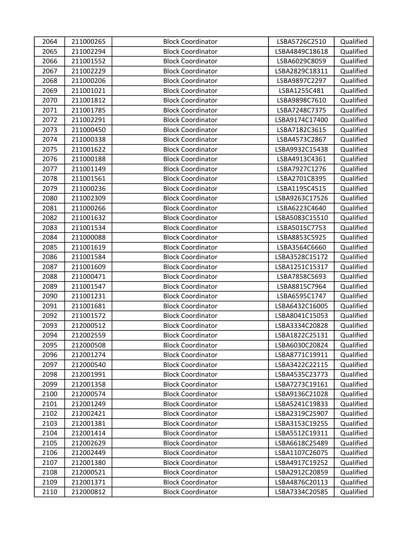| 2064 | 211000265 | <b>Block Coordinator</b> | LSBA5726C2510  | Qualified |
|------|-----------|--------------------------|----------------|-----------|
| 2065 | 211002294 | <b>Block Coordinator</b> | LSBA4849C18618 | Qualified |
| 2066 | 211001552 | <b>Block Coordinator</b> | LSBA6029C8059  | Qualified |
| 2067 | 211002229 | <b>Block Coordinator</b> | LSBA2829C18311 | Qualified |
| 2068 | 211000206 | <b>Block Coordinator</b> | LSBA9897C2297  | Qualified |
| 2069 | 211001021 | <b>Block Coordinator</b> | LSBA1255C481   | Qualified |
| 2070 | 211001812 | <b>Block Coordinator</b> | LSBA9898C7610  | Qualified |
| 2071 | 211001785 | <b>Block Coordinator</b> | LSBA7248C7375  | Qualified |
| 2072 | 211002291 | <b>Block Coordinator</b> | LSBA9174C17400 | Qualified |
| 2073 | 211000450 | <b>Block Coordinator</b> | LSBA7182C3615  | Qualified |
| 2074 | 211000338 | <b>Block Coordinator</b> | LSBA4573C2867  | Qualified |
| 2075 | 211001622 | <b>Block Coordinator</b> | LSBA9932C15438 | Qualified |
| 2076 | 211000188 | <b>Block Coordinator</b> | LSBA4913C4361  | Qualified |
| 2077 | 211001149 | <b>Block Coordinator</b> | LSBA7927C1276  | Qualified |
| 2078 | 211001561 | <b>Block Coordinator</b> | LSBA2701C8395  | Qualified |
| 2079 | 211000236 | <b>Block Coordinator</b> | LSBA1195C4515  | Qualified |
| 2080 | 211002309 | <b>Block Coordinator</b> | LSBA9263C17526 | Qualified |
| 2081 | 211000266 | <b>Block Coordinator</b> | LSBA6223C4640  | Qualified |
| 2082 | 211001632 | <b>Block Coordinator</b> | LSBA5083C15510 | Qualified |
| 2083 | 211001534 | <b>Block Coordinator</b> | LSBA5015C7753  | Qualified |
| 2084 | 211000088 | <b>Block Coordinator</b> | LSBA8853C5925  | Qualified |
| 2085 | 211001619 | <b>Block Coordinator</b> | LSBA3564C6660  | Qualified |
| 2086 | 211001584 | <b>Block Coordinator</b> | LSBA3528C15172 | Qualified |
| 2087 | 211001609 | <b>Block Coordinator</b> | LSBA1251C15317 | Qualified |
| 2088 | 211000471 | <b>Block Coordinator</b> | LSBA7858C5693  | Qualified |
| 2089 | 211001547 | <b>Block Coordinator</b> | LSBA8815C7964  | Qualified |
| 2090 | 211001231 | <b>Block Coordinator</b> | LSBA6595C1747  | Qualified |
| 2091 | 211001681 | <b>Block Coordinator</b> | LSBA6432C16005 | Qualified |
| 2092 | 211001572 | <b>Block Coordinator</b> | LSBA8041C15053 | Qualified |
| 2093 | 212000512 | <b>Block Coordinator</b> | LSBA3334C20828 | Qualified |
| 2094 | 212002559 | <b>Block Coordinator</b> | LSBA1822C25131 | Qualified |
| 2095 | 212000508 | <b>Block Coordinator</b> | LSBA6030C20824 | Qualified |
| 2096 | 212001274 | <b>Block Coordinator</b> | LSBA8771C19911 | Qualified |
| 2097 | 212000540 | <b>Block Coordinator</b> | LSBA3422C22115 | Qualified |
| 2098 | 212001991 | <b>Block Coordinator</b> | LSBA4535C23773 | Qualified |
| 2099 | 212001358 | <b>Block Coordinator</b> | LSBA7273C19161 | Qualified |
| 2100 | 212000574 | <b>Block Coordinator</b> | LSBA9136C21028 | Qualified |
| 2101 | 212001249 | <b>Block Coordinator</b> | LSBA5241C19833 | Qualified |
| 2102 | 212002421 | <b>Block Coordinator</b> | LSBA2319C25907 | Qualified |
| 2103 | 212001381 | <b>Block Coordinator</b> | LSBA3153C19255 | Qualified |
| 2104 | 212001414 | <b>Block Coordinator</b> | LSBA5512C19311 | Qualified |
| 2105 | 212002629 | <b>Block Coordinator</b> | LSBA6618C25489 | Qualified |
| 2106 | 212002449 | <b>Block Coordinator</b> | LSBA1107C26075 | Qualified |
| 2107 | 212001380 | <b>Block Coordinator</b> | LSBA4917C19252 | Qualified |
| 2108 | 212000521 | <b>Block Coordinator</b> | LSBA2912C20859 | Qualified |
| 2109 | 212001371 | <b>Block Coordinator</b> | LSBA4876C20113 | Qualified |
| 2110 | 212000812 | <b>Block Coordinator</b> | LSBA7334C20585 | Qualified |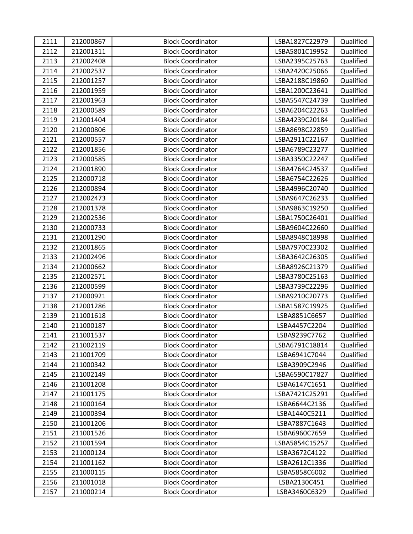| 2111 | 212000867 | <b>Block Coordinator</b> | LSBA1827C22979 | Qualified |
|------|-----------|--------------------------|----------------|-----------|
| 2112 | 212001311 | <b>Block Coordinator</b> | LSBA5801C19952 | Qualified |
| 2113 | 212002408 | <b>Block Coordinator</b> | LSBA2395C25763 | Qualified |
| 2114 | 212002537 | <b>Block Coordinator</b> | LSBA2420C25066 | Qualified |
| 2115 | 212001257 | <b>Block Coordinator</b> | LSBA2188C19860 | Qualified |
| 2116 | 212001959 | <b>Block Coordinator</b> | LSBA1200C23641 | Qualified |
| 2117 | 212001963 | <b>Block Coordinator</b> | LSBA5547C24739 | Qualified |
| 2118 | 212000589 | <b>Block Coordinator</b> | LSBA6204C22263 | Qualified |
| 2119 | 212001404 | <b>Block Coordinator</b> | LSBA4239C20184 | Qualified |
| 2120 | 212000806 | <b>Block Coordinator</b> | LSBA8698C22859 | Qualified |
| 2121 | 212000557 | <b>Block Coordinator</b> | LSBA2911C22167 | Qualified |
| 2122 | 212001856 | <b>Block Coordinator</b> | LSBA6789C23277 | Qualified |
| 2123 | 212000585 | <b>Block Coordinator</b> | LSBA3350C22247 | Qualified |
| 2124 | 212001890 | <b>Block Coordinator</b> | LSBA4764C24537 | Qualified |
| 2125 | 212000718 | <b>Block Coordinator</b> | LSBA6754C22626 | Qualified |
| 2126 | 212000894 | <b>Block Coordinator</b> | LSBA4996C20740 | Qualified |
| 2127 | 212002473 | <b>Block Coordinator</b> | LSBA9647C26233 | Qualified |
| 2128 | 212001378 | <b>Block Coordinator</b> | LSBA9863C19250 | Qualified |
| 2129 | 212002536 | <b>Block Coordinator</b> | LSBA1750C26401 | Qualified |
| 2130 | 212000733 | <b>Block Coordinator</b> | LSBA9604C22660 | Qualified |
| 2131 | 212001290 | <b>Block Coordinator</b> | LSBA8948C18998 | Qualified |
| 2132 | 212001865 | <b>Block Coordinator</b> | LSBA7970C23302 | Qualified |
| 2133 | 212002496 | <b>Block Coordinator</b> | LSBA3642C26305 | Qualified |
| 2134 | 212000662 | <b>Block Coordinator</b> | LSBA8926C21379 | Qualified |
| 2135 | 212002571 | <b>Block Coordinator</b> | LSBA3780C25163 | Qualified |
| 2136 | 212000599 | <b>Block Coordinator</b> | LSBA3739C22296 | Qualified |
| 2137 | 212000921 | <b>Block Coordinator</b> | LSBA9210C20773 | Qualified |
| 2138 | 212001286 | <b>Block Coordinator</b> | LSBA1587C19925 | Qualified |
| 2139 | 211001618 | <b>Block Coordinator</b> | LSBA8851C6657  | Qualified |
| 2140 | 211000187 | <b>Block Coordinator</b> | LSBA4457C2204  | Qualified |
| 2141 | 211001537 | <b>Block Coordinator</b> | LSBA9239C7762  | Qualified |
| 2142 | 211002119 | <b>Block Coordinator</b> | LSBA6791C18814 | Qualified |
| 2143 | 211001709 | <b>Block Coordinator</b> | LSBA6941C7044  | Qualified |
| 2144 | 211000342 | <b>Block Coordinator</b> | LSBA3909C2946  | Qualified |
| 2145 | 211002149 | <b>Block Coordinator</b> | LSBA6590C17827 | Qualified |
| 2146 | 211001208 | <b>Block Coordinator</b> | LSBA6147C1651  | Qualified |
| 2147 | 211001175 | <b>Block Coordinator</b> | LSBA7421C25291 | Qualified |
| 2148 | 211000164 | <b>Block Coordinator</b> | LSBA6644C2136  | Qualified |
| 2149 | 211000394 | <b>Block Coordinator</b> | LSBA1440C5211  | Qualified |
| 2150 | 211001206 | <b>Block Coordinator</b> | LSBA7887C1643  | Qualified |
| 2151 | 211001526 | <b>Block Coordinator</b> | LSBA6960C7659  | Qualified |
| 2152 | 211001594 | <b>Block Coordinator</b> | LSBA5854C15257 | Qualified |
| 2153 | 211000124 | <b>Block Coordinator</b> | LSBA3672C4122  | Qualified |
| 2154 | 211001162 | <b>Block Coordinator</b> | LSBA2612C1336  | Qualified |
| 2155 | 211000115 | <b>Block Coordinator</b> | LSBA5858C6002  | Qualified |
| 2156 | 211001018 | <b>Block Coordinator</b> | LSBA2130C451   | Qualified |
| 2157 | 211000214 | <b>Block Coordinator</b> | LSBA3460C6329  | Qualified |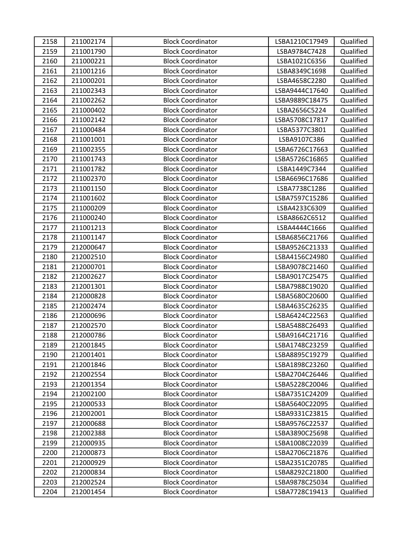| 2158 | 211002174 | <b>Block Coordinator</b> | LSBA1210C17949 | Qualified |
|------|-----------|--------------------------|----------------|-----------|
| 2159 | 211001790 | <b>Block Coordinator</b> | LSBA9784C7428  | Qualified |
| 2160 | 211000221 | <b>Block Coordinator</b> | LSBA1021C6356  | Qualified |
| 2161 | 211001216 | <b>Block Coordinator</b> | LSBA8349C1698  | Qualified |
| 2162 | 211000201 | <b>Block Coordinator</b> | LSBA4658C2280  | Qualified |
| 2163 | 211002343 | <b>Block Coordinator</b> | LSBA9444C17640 | Qualified |
| 2164 | 211002262 | <b>Block Coordinator</b> | LSBA9889C18475 | Qualified |
| 2165 | 211000402 | <b>Block Coordinator</b> | LSBA2656C5224  | Qualified |
| 2166 | 211002142 | <b>Block Coordinator</b> | LSBA5708C17817 | Qualified |
| 2167 | 211000484 | <b>Block Coordinator</b> | LSBA5377C3801  | Qualified |
| 2168 | 211001001 | <b>Block Coordinator</b> | LSBA9107C386   | Qualified |
| 2169 | 211002355 | <b>Block Coordinator</b> | LSBA6726C17663 | Qualified |
| 2170 | 211001743 | <b>Block Coordinator</b> | LSBA5726C16865 | Qualified |
| 2171 | 211001782 | <b>Block Coordinator</b> | LSBA1449C7344  | Qualified |
| 2172 | 211002370 | <b>Block Coordinator</b> | LSBA6696C17686 | Qualified |
| 2173 | 211001150 | <b>Block Coordinator</b> | LSBA7738C1286  | Qualified |
| 2174 | 211001602 | <b>Block Coordinator</b> | LSBA7597C15286 | Qualified |
| 2175 | 211000209 | <b>Block Coordinator</b> | LSBA4233C6309  | Qualified |
| 2176 | 211000240 | <b>Block Coordinator</b> | LSBA8662C6512  | Qualified |
| 2177 | 211001213 | <b>Block Coordinator</b> | LSBA4444C1666  | Qualified |
| 2178 | 211001147 | <b>Block Coordinator</b> | LSBA6856C21766 | Qualified |
| 2179 | 212000647 | <b>Block Coordinator</b> | LSBA9526C21333 | Qualified |
| 2180 | 212002510 | <b>Block Coordinator</b> | LSBA4156C24980 | Qualified |
| 2181 | 212000701 | <b>Block Coordinator</b> | LSBA9078C21460 | Qualified |
| 2182 | 212002627 | <b>Block Coordinator</b> | LSBA9017C25475 | Qualified |
| 2183 | 212001301 | <b>Block Coordinator</b> | LSBA7988C19020 | Qualified |
| 2184 | 212000828 | <b>Block Coordinator</b> | LSBA5680C20600 | Qualified |
| 2185 | 212002474 | <b>Block Coordinator</b> | LSBA4635C26235 | Qualified |
| 2186 | 212000696 | <b>Block Coordinator</b> | LSBA6424C22563 | Qualified |
| 2187 | 212002570 | <b>Block Coordinator</b> | LSBA5488C26493 | Qualified |
| 2188 | 212000786 | <b>Block Coordinator</b> | LSBA9164C21716 | Qualified |
| 2189 | 212001845 | <b>Block Coordinator</b> | LSBA1748C23259 | Qualified |
| 2190 | 212001401 | <b>Block Coordinator</b> | LSBA8895C19279 | Qualified |
| 2191 | 212001846 | <b>Block Coordinator</b> | LSBA1898C23260 | Qualified |
| 2192 | 212002554 | <b>Block Coordinator</b> | LSBA2704C26446 | Qualified |
| 2193 | 212001354 | <b>Block Coordinator</b> | LSBA5228C20046 | Qualified |
| 2194 | 212002100 | <b>Block Coordinator</b> | LSBA7351C24209 | Qualified |
| 2195 | 212000533 | <b>Block Coordinator</b> | LSBA5640C22095 | Qualified |
| 2196 | 212002001 | <b>Block Coordinator</b> | LSBA9331C23815 | Qualified |
| 2197 | 212000688 | <b>Block Coordinator</b> | LSBA9576C22537 | Qualified |
| 2198 | 212002388 | <b>Block Coordinator</b> | LSBA3890C25698 | Qualified |
| 2199 | 212000935 | <b>Block Coordinator</b> | LSBA1008C22039 | Qualified |
| 2200 | 212000873 | <b>Block Coordinator</b> | LSBA2706C21876 | Qualified |
| 2201 | 212000929 | <b>Block Coordinator</b> | LSBA2351C20785 | Qualified |
| 2202 | 212000834 | <b>Block Coordinator</b> | LSBA8292C21800 | Qualified |
| 2203 | 212002524 | <b>Block Coordinator</b> | LSBA9878C25034 | Qualified |
| 2204 | 212001454 | <b>Block Coordinator</b> | LSBA7728C19413 | Qualified |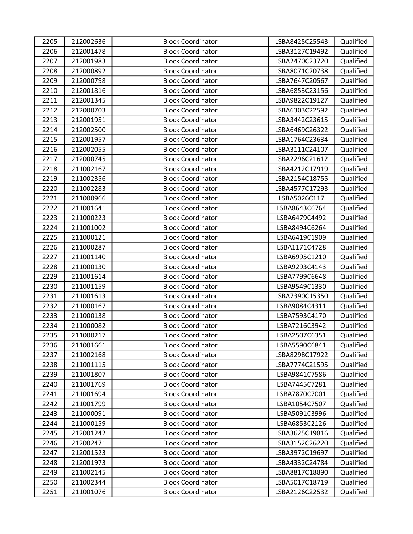| 2205 | 212002636 | <b>Block Coordinator</b> | LSBA8425C25543 | Qualified |
|------|-----------|--------------------------|----------------|-----------|
| 2206 | 212001478 | <b>Block Coordinator</b> | LSBA3127C19492 | Qualified |
| 2207 | 212001983 | <b>Block Coordinator</b> | LSBA2470C23720 | Qualified |
| 2208 | 212000892 | <b>Block Coordinator</b> | LSBA8071C20738 | Qualified |
| 2209 | 212000798 | <b>Block Coordinator</b> | LSBA7647C20567 | Qualified |
| 2210 | 212001816 | <b>Block Coordinator</b> | LSBA6853C23156 | Qualified |
| 2211 | 212001345 | <b>Block Coordinator</b> | LSBA9822C19127 | Qualified |
| 2212 | 212000703 | <b>Block Coordinator</b> | LSBA6303C22592 | Qualified |
| 2213 | 212001951 | <b>Block Coordinator</b> | LSBA3442C23615 | Qualified |
| 2214 | 212002500 | <b>Block Coordinator</b> | LSBA6469C26322 | Qualified |
| 2215 | 212001957 | <b>Block Coordinator</b> | LSBA1764C23634 | Qualified |
| 2216 | 212002055 | <b>Block Coordinator</b> | LSBA3111C24107 | Qualified |
| 2217 | 212000745 | <b>Block Coordinator</b> | LSBA2296C21612 | Qualified |
| 2218 | 211002167 | <b>Block Coordinator</b> | LSBA4212C17919 | Qualified |
| 2219 | 211002356 | <b>Block Coordinator</b> | LSBA2154C18755 | Qualified |
| 2220 | 211002283 | <b>Block Coordinator</b> | LSBA4577C17293 | Qualified |
| 2221 | 211000966 | <b>Block Coordinator</b> | LSBA5026C117   | Qualified |
| 2222 | 211001641 | <b>Block Coordinator</b> | LSBA8643C6764  | Qualified |
| 2223 | 211000223 | <b>Block Coordinator</b> | LSBA6479C4492  | Qualified |
| 2224 | 211001002 | <b>Block Coordinator</b> | LSBA8494C6264  | Qualified |
| 2225 | 211000121 | <b>Block Coordinator</b> | LSBA6419C1909  | Qualified |
| 2226 | 211000287 | <b>Block Coordinator</b> | LSBA1171C4728  | Qualified |
| 2227 | 211001140 | <b>Block Coordinator</b> | LSBA6995C1210  | Qualified |
| 2228 | 211000130 | <b>Block Coordinator</b> | LSBA9293C4143  | Qualified |
| 2229 | 211001614 | <b>Block Coordinator</b> | LSBA7799C6648  | Qualified |
| 2230 | 211001159 | <b>Block Coordinator</b> | LSBA9549C1330  | Qualified |
| 2231 | 211001613 | <b>Block Coordinator</b> | LSBA7390C15350 | Qualified |
| 2232 | 211000167 | <b>Block Coordinator</b> | LSBA9084C4311  | Qualified |
| 2233 | 211000138 | <b>Block Coordinator</b> | LSBA7593C4170  | Qualified |
| 2234 | 211000082 | <b>Block Coordinator</b> | LSBA7216C3942  | Qualified |
| 2235 | 211000217 | <b>Block Coordinator</b> | LSBA2507C6351  | Qualified |
| 2236 | 211001661 | <b>Block Coordinator</b> | LSBA5590C6841  | Qualified |
| 2237 | 211002168 | <b>Block Coordinator</b> | LSBA8298C17922 | Qualified |
| 2238 | 211001115 | <b>Block Coordinator</b> | LSBA7774C21595 | Qualified |
| 2239 | 211001807 | <b>Block Coordinator</b> | LSBA9841C7586  | Qualified |
| 2240 | 211001769 | <b>Block Coordinator</b> | LSBA7445C7281  | Qualified |
| 2241 | 211001694 | <b>Block Coordinator</b> | LSBA7870C7001  | Qualified |
| 2242 | 211001799 | <b>Block Coordinator</b> | LSBA1054C7507  | Qualified |
| 2243 | 211000091 | <b>Block Coordinator</b> | LSBA5091C3996  | Qualified |
| 2244 | 211000159 | <b>Block Coordinator</b> | LSBA6853C2126  | Qualified |
| 2245 | 212001242 | <b>Block Coordinator</b> | LSBA3625C19816 | Qualified |
| 2246 | 212002471 | <b>Block Coordinator</b> | LSBA3152C26220 | Qualified |
| 2247 | 212001523 | <b>Block Coordinator</b> | LSBA3972C19697 | Qualified |
| 2248 | 212001973 | <b>Block Coordinator</b> | LSBA4332C24784 | Qualified |
| 2249 | 211002145 | <b>Block Coordinator</b> | LSBA8817C18890 | Qualified |
| 2250 | 211002344 | <b>Block Coordinator</b> | LSBA5017C18719 | Qualified |
| 2251 | 211001076 | <b>Block Coordinator</b> | LSBA2126C22532 | Qualified |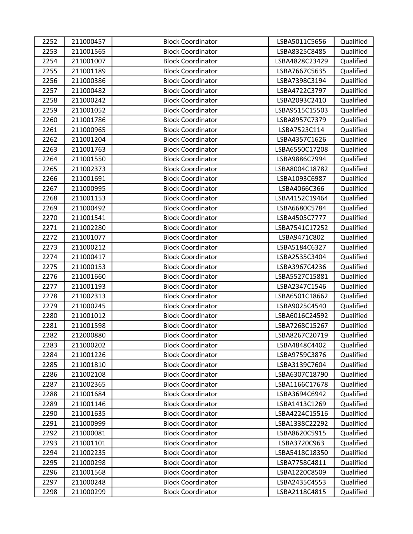| 2252 | 211000457 | <b>Block Coordinator</b> | LSBA5011C5656  | Qualified |
|------|-----------|--------------------------|----------------|-----------|
| 2253 | 211001565 | <b>Block Coordinator</b> | LSBA8325C8485  | Qualified |
| 2254 | 211001007 | <b>Block Coordinator</b> | LSBA4828C23429 | Qualified |
| 2255 | 211001189 | <b>Block Coordinator</b> | LSBA7667C5635  | Qualified |
| 2256 | 211000386 | <b>Block Coordinator</b> | LSBA7398C3194  | Qualified |
| 2257 | 211000482 | <b>Block Coordinator</b> | LSBA4722C3797  | Qualified |
| 2258 | 211000242 | <b>Block Coordinator</b> | LSBA2093C2410  | Qualified |
| 2259 | 211001052 | <b>Block Coordinator</b> | LSBA9515C15503 | Qualified |
| 2260 | 211001786 | <b>Block Coordinator</b> | LSBA8957C7379  | Qualified |
| 2261 | 211000965 | <b>Block Coordinator</b> | LSBA7523C114   | Qualified |
| 2262 | 211001204 | <b>Block Coordinator</b> | LSBA4357C1626  | Qualified |
| 2263 | 211001763 | <b>Block Coordinator</b> | LSBA6550C17208 | Qualified |
| 2264 | 211001550 | <b>Block Coordinator</b> | LSBA9886C7994  | Qualified |
| 2265 | 211002373 | <b>Block Coordinator</b> | LSBA8004C18782 | Qualified |
| 2266 | 211001691 | <b>Block Coordinator</b> | LSBA1093C6987  | Qualified |
| 2267 | 211000995 | <b>Block Coordinator</b> | LSBA4066C366   | Qualified |
| 2268 | 211001153 | <b>Block Coordinator</b> | LSBA4152C19464 | Qualified |
| 2269 | 211000492 | <b>Block Coordinator</b> | LSBA6680C5784  | Qualified |
| 2270 | 211001541 | <b>Block Coordinator</b> | LSBA4505C7777  | Qualified |
| 2271 | 211002280 | <b>Block Coordinator</b> | LSBA7541C17252 | Qualified |
| 2272 | 211001077 | <b>Block Coordinator</b> | LSBA9471C802   | Qualified |
| 2273 | 211000212 | <b>Block Coordinator</b> | LSBA5184C6327  | Qualified |
| 2274 | 211000417 | <b>Block Coordinator</b> | LSBA2535C3404  | Qualified |
| 2275 | 211000153 | <b>Block Coordinator</b> | LSBA3967C4236  | Qualified |
| 2276 | 211001660 | <b>Block Coordinator</b> | LSBA5527C15881 | Qualified |
| 2277 | 211001193 | <b>Block Coordinator</b> | LSBA2347C1546  | Qualified |
| 2278 | 211002313 | <b>Block Coordinator</b> | LSBA6501C18662 | Qualified |
| 2279 | 211000245 | <b>Block Coordinator</b> | LSBA9025C4540  | Qualified |
| 2280 | 211001012 | <b>Block Coordinator</b> | LSBA6016C24592 | Qualified |
| 2281 | 211001598 | <b>Block Coordinator</b> | LSBA7268C15267 | Qualified |
| 2282 | 212000880 | <b>Block Coordinator</b> | LSBA8267C20719 | Qualified |
| 2283 | 211000202 | <b>Block Coordinator</b> | LSBA4848C4402  | Qualified |
| 2284 | 211001226 | <b>Block Coordinator</b> | LSBA9759C3876  | Qualified |
| 2285 | 211001810 | <b>Block Coordinator</b> | LSBA3139C7604  | Qualified |
| 2286 | 211002108 | <b>Block Coordinator</b> | LSBA6307C18790 | Qualified |
| 2287 | 211002365 | <b>Block Coordinator</b> | LSBA1166C17678 | Qualified |
| 2288 | 211001684 | <b>Block Coordinator</b> | LSBA3694C6942  | Qualified |
| 2289 | 211001146 | <b>Block Coordinator</b> | LSBA1413C1269  | Qualified |
| 2290 | 211001635 | <b>Block Coordinator</b> | LSBA4224C15516 | Qualified |
| 2291 | 211000999 | <b>Block Coordinator</b> | LSBA1338C22292 | Qualified |
| 2292 | 211000081 | <b>Block Coordinator</b> | LSBA8620C5915  | Qualified |
| 2293 | 211001101 | <b>Block Coordinator</b> | LSBA3720C963   | Qualified |
| 2294 | 211002235 | <b>Block Coordinator</b> | LSBA5418C18350 | Qualified |
| 2295 | 211000298 | <b>Block Coordinator</b> | LSBA7758C4811  | Qualified |
| 2296 | 211001568 | <b>Block Coordinator</b> | LSBA1220C8509  | Qualified |
| 2297 | 211000248 | <b>Block Coordinator</b> | LSBA2435C4553  | Qualified |
| 2298 | 211000299 | <b>Block Coordinator</b> | LSBA2118C4815  | Qualified |